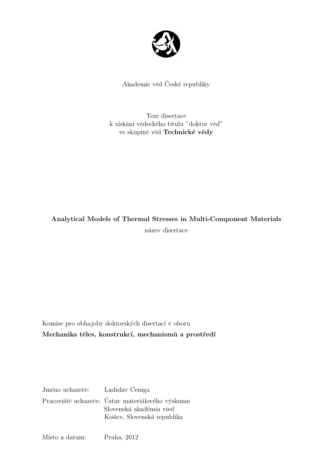

## Akademie věd České republiky

Teze disertace k získání vědeckého titulu "doktor věd" ve skupině věd Technické vědy

# Analytical Models of Thermal Stresses in Multi-Component Materials n´azev disertace

Komise pro obhajoby doktorských disertací v oboru Mechanika těles, konstrukcí, mechanismů a prostředí

Jméno uchazeče: Ladislav Ceniga Pracoviště uchazeče: Ústav materiálového výskumu Slovenská akadémia vied Košice, Slovenská republika

Místo a datum: Praha, 2012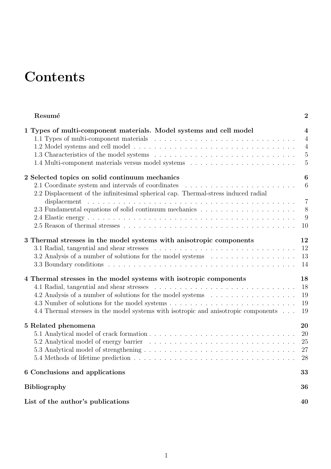# **Contents**

| Resumé                                                                                                                                                   | $\boldsymbol{2}$                                                 |
|----------------------------------------------------------------------------------------------------------------------------------------------------------|------------------------------------------------------------------|
| 1 Types of multi-component materials. Model systems and cell model                                                                                       | 4<br>$\overline{4}$<br>$\overline{4}$<br>$5\,$<br>$\overline{5}$ |
| 2 Selected topics on solid continuum mechanics<br>2.2 Displacement of the infinitesimal spherical cap. Thermal-stress induced radial                     | 6<br>$6\phantom{.}6$<br>$\overline{7}$<br>8<br>9<br>10           |
| 3 Thermal stresses in the model systems with anisotropic components                                                                                      | 12<br>12<br>13<br>14                                             |
| 4 Thermal stresses in the model systems with isotropic components<br>4.4 Thermal stresses in the model systems with isotropic and anisotropic components | 18<br>18<br>19<br>19<br>19                                       |
| 5 Related phenomena                                                                                                                                      | 20<br>20<br>25<br>27<br>28                                       |
| 6 Conclusions and applications                                                                                                                           | 33                                                               |
| <b>Bibliography</b>                                                                                                                                      | 36                                                               |
| List of the author's publications                                                                                                                        | 40                                                               |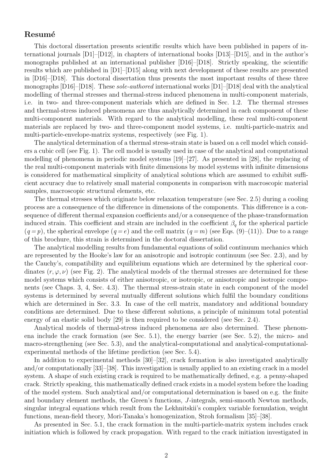## Resumé

This doctoral dissertation presents scientific results which have been published in papers of international journals [D1]–[D12], in chapters of international books [D13]–[D15], and in the author's monographs published at an international publisher [D16]–[D18]. Strictly speaking, the scientific results which are published in [D1]–[D15] along with next development of these results are presented in [D16]–[D18]. This doctoral dissertation thus presents the most important results of these three monographs  $[D16]$ – $[D18]$ . These *sole-authored* international works  $[D1]$ – $[D18]$  deal with the analytical modelling of thermal stresses and thermal-stress induced phenomena in multi-component materials, i.e. in two- and three-component materials which are defined in Sec. 1.2. The thermal stresses and thermal-stress induced phenomena are thus analytically determined in each component of these multi-component materials. With regard to the analytical modelling, these real multi-component materials are replaced by two- and three-component model systems, i.e. multi-particle-matrix and multi-particle-envelope-matrix systems, respectively (see Fig. 1).

The analytical determination of a thermal stress-strain state is based on a cell model which considers a cubic cell (see Fig. 1). The cell model is usually used in case of the analytical and computational modelling of phenomena in periodic model systems [19]–[27]. As presented in [28], the replacing of the real multi-component materials with finite dimensions by model systems with infinite dimensions is considered for mathematical simplicity of analytical solutions which are assumed to exhibit sufficient accuracy due to relatively small material components in comparison with macroscopic material samples, macroscopic structural elements, etc.

The thermal stresses which originate below relaxation temperature (see Sec. 2.5) during a cooling process are a consequence of the difference in dimensions of the components. This difference is a consequence of different thermal expansion coefficients and/or a consequence of the phase-transformation induced strain. This coefficient and strain are included in the coefficient  $\beta_q$  for the spherical particle  $(q = p)$ , the spherical envelope  $(q = e)$  and the cell matrix  $(q = m)$  (see Eqs. (9)–(11)). Due to a range of this brochure, this strain is determined in the doctoral dissertation.

The analytical modelling results from fundamental equations of solid continuum mechanics which are represented by the Hooke's law for an anisotropic and isotropic continuum (see Sec. 2.3), and by the Cauchy's, compatibility and equilibrium equations which are determined by the spherical coordinates  $(r, \varphi, \nu)$  (see Fig. 2). The analytical models of the thermal stresses are determined for these model systems which consists of either anisotropic, or isotropic, or anisotropic and isotropic components (see Chaps. 3, 4, Sec. 4.3). The thermal stress-strain state in each component of the model systems is determined by several mutually different solutions which fulfil the boundary conditions which are determined in Sec. 3.3. In case of the cell matrix, mandatory and additional boundary conditions are determined. Due to these different solutions, a principle of minimum total potential energy of an elastic solid body [29] is then required to be considered (see Sec. 2.4).

Analytical models of thermal-stress induced phenomena are also determined. These phenomena include the crack formation (see Sec. 5.1), the energy barrier (see Sec. 5.2), the micro- and macro-strengthening (see Sec. 5.3), and the analytical-computational and analytical-computationalexperimental methods of the lifetime prediction (see Sec. 5.4).

In addition to experimental methods [30]–[32], crack formation is also investigated analytically and/or computationally [33]–[38]. This investigation is usually applied to an existing crack in a model system. A shape of such existing crack is required to be mathematically defined, e.g. a penny-shaped crack. Strictly speaking, this mathematically defined crack exists in a model system before the loading of the model system. Such analytical and/or computational determination is based on e.g. the finite and boundary element methods, the Green's functions, J-integrals, semi-smooth Newton methods, singular integral equations which result from the Lekhnitskii's complex variable formulation, weight functions, mean-field theory, Mori-Tanaka's homogenization, Stroh formalism [35]–[38].

As presented in Sec. 5.1, the crack formation in the multi-particle-matrix system includes crack initiation which is followed by crack propagation. With regard to the crack initiation investigated in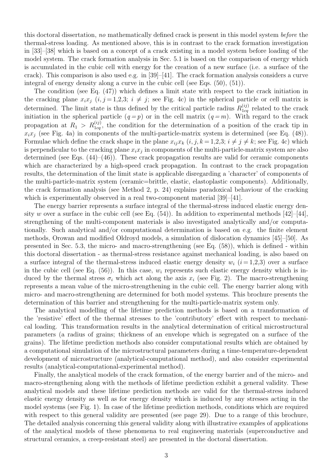this doctoral dissertation, no mathematically defined crack is present in this model system before the thermal-stress loading. As mentioned above, this is in contrast to the crack formation investigation in [33]–[38] which is based on a concept of a crack existing in a model system before loading of the model system. The crack formation analysis in Sec. 5.1 is based on the comparison of energy which is accumulated in the cubic cell with energy for the creation of a new surface (i.e. a surface of the crack). This comparison is also used e.g. in [39]–[41]. The crack formation analysis considers a curve integral of energy density along a curve in the cubic cell (see Eqs. (50), (51)).

The condition (see Eq. (47)) which defines a limit state with respect to the crack initiation in the cracking plane  $x_ix_j$   $(i, j = 1,2,3; i \neq j;$  see Fig. 4c) in the spherical particle or cell matrix is determined. The limit state is thus defined by the critical particle radius  $R_{1cq}^{(ij)}$  related to the crack initiation in the spherical particle  $(q = p)$  or in the cell matrix  $(q = m)$ . With regard to the crack propagation at  $R_1 > R_{1cq}^{(ij)}$ , the condition for the determination of a position of the crack tip in  $x_ix_j$  (see Fig. 4a) in components of the multi-particle-matrix system is determined (see Eq. (48)). Formulae which define the crack shape in the plane  $x_{ij}x_k$   $(i, j, k = 1, 2, 3; i \neq j \neq k$ ; see Fig. 4c) which is perpendicular to the cracking plane  $x_ix_j$  in components of the multi-particle-matrix system are also determined (see Eqs.  $(44)$ – $(46)$ ). These crack propagation results are valid for ceramic components which are characterized by a high-speed crack propagation. In contrast to the crack propagation results, the determination of the limit state is applicable disregarding a 'character' of components of the multi-particle-matrix system (ceramic=brittle, elastic, elastoplastic components). Additionally, the crack formation analysis (see Method 2, p. 24) explains paradoxical behaviour of the cracking which is experimentally observed in a real two-component material [39]–[41].

The energy barrier represents a surface integral of the thermal-stress induced elastic energy density w over a surface in the cubic cell (see Eq.  $(54)$ ). In addition to experimental methods [42]–[44], strengthening of the multi-component materials is also investigated analytically and/or computationally. Such analytical and/or computational determination is based on e.g. the finite element methods, Orowan and modified Oldroyd models, a simulation of dislocation dynamics [45]–[50]. As presented in Sec. 5.3, the micro- and macro-strengthening (see Eq. (58)), which is defined - within this doctoral dissertation - as thermal-stress resistance against mechanical loading, is also based on a surface integral of the thermal-stress induced elastic energy density  $w_i$   $(i = 1,2,3)$  over a surface in the cubic cell (see Eq.  $(56)$ ). In this case,  $w<sub>i</sub>$  represents such elastic energy density which is induced by the thermal stress  $\sigma_i$  which act along the axis  $x_i$  (see Fig. 2). The macro-strengthening represents a mean value of the micro-strengthening in the cubic cell. The energy barrier along with micro- and macro-strengthening are determined for both model systems. This brochure presents the determination of this barrier and strengthening for the multi-particle-matrix system only.

The analytical modelling of the lifetime prediction methods is based on a transformation of the 'resistive' effect of the thermal stresses to the 'contributory' effect with respect to mechanical loading. This transformation results in the analytical determination of critical microstructural parameters (a radius of grains; thickness of an envelope which is segregated on a surface of the grains). The lifetime prediction methods also consider computational results which are obtained by a computational simulation of the microstructural parameters during a time-temperature-dependent development of microstructure (analytical-computational method), and also consider experimental results (analytical-computational-experimental method).

Finally, the analytical models of the crack formation, of the energy barrier and of the micro- and macro-strengthening along with the methods of lifetime prediction exhibit a general validity. These analytical models and these lifetime prediction methods are valid for the thermal-stress induced elastic energy density as well as for energy density which is induced by any stresses acting in the model systems (see Fig. 1). In case of the lifetime prediction methods, conditions which are required with respect to this general validity are presented (see page 29). Due to a range of this brochure, The detailed analysis concerning this general validity along with illustrative examples of applications of the analytical models of these phenomena to real engineering materials (superconductive and structural ceramics, a creep-resistant steel) are presented in the doctoral dissertation.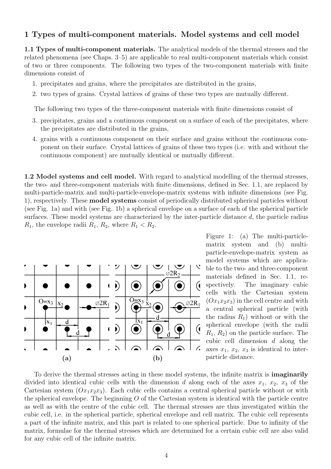## 1 Types of multi-component materials. Model systems and cell model

1.1 Types of multi-component materials. The analytical models of the thermal stresses and the related phenomena (see Chaps. 3–5) are applicable to real multi-component materials which consist of two or three components. The following two types of the two-component materials with finite dimensions consist of

- 1. precipitates and grains, where the precipitates are distributed in the grains,
- 2. two types of grains. Crystal lattices of grains of these two types are mutually different.

The following two types of the three-component materials with finite dimensions consist of

- 3. precipitates, grains and a continuous component on a surface of each of the precipitates, where the precipitates are distributed in the grains,
- 4. grains with a continuous component on their surface and grains without the continuous component on their surface. Crystal lattices of grains of these two types (i.e. with and without the continuous component) are mutually identical or mutually different.

1.2 Model systems and cell model. With regard to analytical modelling of the thermal stresses, the two- and three-component materials with finite dimensions, defined in Sec. 1.1, are replaced by multi-particle-matrix and multi-particle-envelope-matrix systems with infinite dimensions (see Fig. 1), respectively. These model systems consist of periodically distributed spherical particles without (see Fig. 1a) and with (see Fig. 1b) a spherical envelope on a surface of each of the spherical particle surfaces. These model systems are characterized by the inter-particle distance d, the particle radius  $R_1$ , the envelope radii  $R_1, R_2$ , where  $R_1 < R_2$ .



Figure 1: (a) The multi-particlematrix system and (b) multiparticle-envelope-matrix system as model systems which are applicable to the two- and three-component materials defined in Sec. 1.1, respectively. The imaginary cubic cells with the Cartesian system  $(Ox_1x_2x_3)$  in the cell centre and with a central spherical particle (with the radius  $R_1$ ) without or with the spherical envelope (with the radii  $R_1, R_2$  on the particle surface. The cubic cell dimension d along the axes  $x_1, x_2, x_3$  is identical to interparticle distance.

To derive the thermal stresses acting in these model systems, the infinite matrix is **imaginarily** divided into identical cubic cells with the dimension d along each of the axes  $x_1, x_2, x_3$  of the Cartesian system  $(Ox_1x_2x_3)$ . Each cubic cells contains a central spherical particle without or with the spherical envelope. The beginning  $O$  of the Cartesian system is identical with the particle centre as well as with the centre of the cubic cell. The thermal stresses are thus investigated within the cubic cell, i.e. in the spherical particle, spherical envelope and cell matrix. The cubic cell represents a part of the infinite matrix, and this part is related to one spherical particle. Due to infinity of the matrix, formulae for the thermal stresses which are determined for a certain cubic cell are also valid for any cubic cell of the infinite matrix.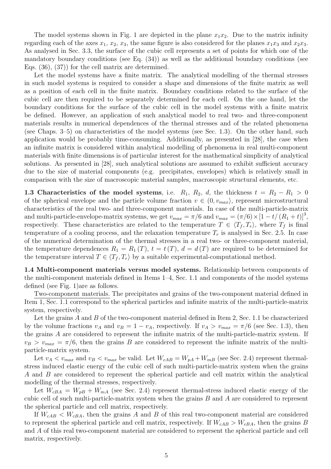The model systems shown in Fig. 1 are depicted in the plane  $x_1x_2$ . Due to the matrix infinity regarding each of the axes  $x_1, x_2, x_3$ , the same figure is also considered for the planes  $x_1x_3$  and  $x_2x_3$ . As analysed in Sec. 3.3, the surface of the cubic cell represents a set of points for which one of the mandatory boundary conditions (see Eq.  $(34)$ ) as well as the additional boundary conditions (see Eqs. (36), (37)) for the cell matrix are determined.

Let the model systems have a finite matrix. The analytical modelling of the thermal stresses in such model systems is required to consider a shape and dimensions of the finite matrix as well as a position of each cell in the finite matrix. Boundary conditions related to the surface of the cubic cell are then required to be separately determined for each cell. On the one hand, let the boundary conditions for the surface of the cubic cell in the model systems with a finite matrix be defined. However, an application of such analytical model to real two- and three-component materials results in numerical dependences of the thermal stresses and of the related phenomena (see Chaps. 3–5) on characteristics of the model systems (see Sec. 1.3). On the other hand, such application would be probably time-consuming. Additionally, as presented in [28], the case when an infinite matrix is considered within analytical modelling of phenomena in real multi-component materials with finite dimensions is of particular interest for the mathematical simplicity of analytical solutions. As presented in [28], such analytical solutions are assumed to exhibit sufficient accuracy due to the size of material components (e.g. precipitates, envelopes) which is relatively small in comparison with the size of macroscopic material samples, macroscopic structural elements, etc.

1.3 Characteristics of the model systems, i.e.  $R_1$ ,  $R_2$ ,  $d$ , the thickness  $t = R_2 - R_1 > 0$ of the spherical envelope and the particle volume fraction  $v \in (0, v_{max})$ , represent microstructural characteristics of the real two- and three-component materials. In case of the multi-particle-matrix and multi-particle-envelope-matrix systems, we get  $v_{max} = \pi/6$  and  $v_{max} = (\pi/6) \times [1 - t/(R_1 + t)]^3$ , respectively. These characteristics are related to the temperature  $T \in \langle T_f, T_r \rangle$ , where  $T_f$  is final temperature of a cooling process, and the relaxation temperature  $T_r$  is analysed in Sec. 2.5. In case of the numerical determination of the thermal stresses in a real two- or three-component material, the temperature dependences  $R_1 = R_1(T), t = t(T), d = d(T)$  are required to be determined for the temperature interval  $T \in \langle T_f, T_r \rangle$  by a suitable experimental-computational method.

1.4 Multi-component materials versus model systems. Relationship between components of the multi-component materials defined in Items 1–4, Sec. 1.1 and components of the model systems defined (see Fig. 1)are as follows.

Two-component materials. The precipitates and grains of the two-component material defined in Item 1, Sec. 1.1 correspond to the spherical particles and infinite matrix of the multi-particle-matrix system, respectively.

Let the grains A and B of the two-component material defined in Item 2, Sec. 1.1 be characterized by the volume fractions  $v_A$  and  $v_B = 1 - v_A$ , respectively. If  $v_A > v_{max} = \pi/6$  (see Sec. 1.3), then the grains A are considered to represent the infinite matrix of the multi-particle-matrix system. If  $v_B > v_{max} = \pi/6$ , then the grains B are considered to represent the infinite matrix of the multiparticle-matrix system.

Let  $v_A < v_{max}$  and  $v_B < v_{max}$  be valid. Let  $W_{cAB} = W_{pA} + W_{mB}$  (see Sec. 2.4) represent thermalstress induced elastic energy of the cubic cell of such multi-particle-matrix system when the grains A and B are considered to represent the spherical particle and cell matrix within the analytical modelling of the thermal stresses, respectively.

Let  $W_{cBA} = W_{pB} + W_{mA}$  (see Sec. 2.4) represent thermal-stress induced elastic energy of the cubic cell of such multi-particle-matrix system when the grains  $B$  and  $A$  are considered to represent the spherical particle and cell matrix, respectively.

If  $W_{cAB} < W_{cBA}$ , then the grains A and B of this real two-component material are considered to represent the spherical particle and cell matrix, respectively. If  $W_{cAB} > W_{cBA}$ , then the grains B and A of this real two-component material are considered to represent the spherical particle and cell matrix, respectively.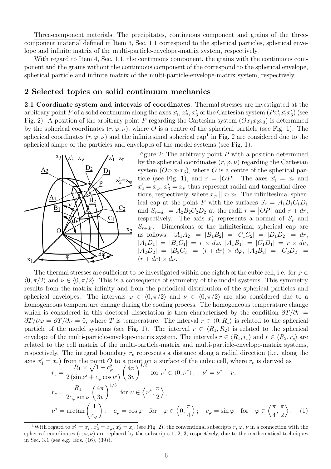Three-component materials. The precipitates, continuous component and grains of the threecomponent material defined in Item 3, Sec. 1.1 correspond to the spherical particles, spherical envelope and infinite matrix of the multi-particle-envelope-matrix system, respectively.

With regard to Item 4, Sec. 1.1, the continuous component, the grains with the continuous component and the grains without the continuous component of the correspond to the spherical envelope, spherical particle and infinite matrix of the multi-particle-envelope-matrix system, respectively.

## 2 Selected topics on solid continuum mechanics

2.1 Coordinate system and intervals of coordinates. Thermal stresses are investigated at the arbitrary point P of a solid continuum along the axes  $x'_1, x'_2, x'_3$  of the Cartesian system  $(Px'_1x'_2x'_3)$  (see Fig. 2). A position of the arbitrary point P regarding the Cartesian system  $(Ox_1x_2x_3)$  is determined by the spherical coordinates  $(r, \varphi, \nu)$ , where O is a centre of the spherical particle (see Fig. 1). The spherical coordinates  $(r, \varphi, \nu)$  and the infinitesimal spherical cap<sup>1</sup> in Fig. 2 are considered due to the spherical shape of the particles and envelopes of the model systems (see Fig. 1).



Figure 2: The arbitrary point  $P$  with a position determined by the spherical coordinates  $(r, \varphi, \nu)$  regarding the Cartesian system  $(Ox_1x_2x_3)$ , where O is a centre of the spherical particle (see Fig. 1), and  $r = |OP|$ . The axes  $x'_1 = x_r$  and  $x_2' = x_{\varphi}, x_3' = x_{\nu}$  thus represent radial and tangential directions, respectively, where  $x_{\varphi} \parallel x_1x_2$ . The infinitesimal spherical cap at the point P with the surfaces  $S_r = A_1 B_1 C_1 D_1$ and  $S_{r+dr} = A_2 B_2 C_2 D_2$  at the radii  $r = |\overline{OP}|$  and  $r + dr$ , respectively. The axis  $x'_1$  represents a normal of  $S_r$  and  $S_{r+dr}$ . Dimensions of the infinitesimal spherical cap are as follows:  $|A_1A_2| = |B_1B_2| = |C_1C_2| = |D_1D_2| = dr$ ,  $|A_1D_1| = |B_1C_1| = r \times d\varphi, |A_1B_1| = |C_1D_1| = r \times d\nu,$  $|A_2D_2| = |B_2C_2| = (r + dr) \times d\varphi, |A_2B_2| = |C_2D_2|$  $(r + dr) \times d\nu$ .

The thermal stresses are sufficient to be investigated within one eighth of the cubic cell, i.e. for  $\varphi \in$  $\langle 0, \pi/2 \rangle$  and  $\nu \in \langle 0, \pi/2 \rangle$ . This is a consequence of symmetry of the model systems. This symmetry results from the matrix infinity and from the periodical distribution of the spherical particles and spherical envelopes. The intervals  $\varphi \in \langle 0, \pi/2 \rangle$  and  $\nu \in \langle 0, \pi/2 \rangle$  are also considered due to a homogeneous temperature change during the cooling process. The homogeneous temperature change which is considered in this doctoral dissertation is then characterized by the condition  $\partial T/\partial r =$  $\frac{\partial T}{\partial \varphi} = \frac{\partial T}{\partial \nu} = 0$ , where T is temperature. The interval  $r \in \langle 0, R_1 \rangle$  is related to the spherical particle of the model systems (see Fig. 1). The interval  $r \in \langle R_1, R_2 \rangle$  is related to the spherical envelope of the multi-particle-envelope-matrix system. The intervals  $r \in \langle R_1, r_c \rangle$  and  $r \in \langle R_2, r_c \rangle$  are related to the cell matrix of the multi-particle-matrix and multi-particle-envelope-matrix systems, respectively. The integral boundary  $r_c$  represents a distance along a radial direction (i.e. along the axis  $x_1' = x_r$ ) from the point O to a point on a surface of the cubic cell, where  $r_c$  is derived as  $R_1 \times \sqrt{1+c_\varphi^2} \left(\frac{4\pi}{\pi}\right)^{1/3}$ ϕ

$$
r_c = \frac{R_1 \times \sqrt{1 + c_\varphi}}{2(\sin \nu' + c_\varphi \cos \nu')} \left(\frac{4\pi}{3\nu}\right) \quad \text{for } \nu' \in \langle 0, \nu^* \rangle; \quad \nu' = \nu^* - \nu,
$$
  

$$
r_c = \frac{R_1}{2c_\varphi \sin \nu} \left(\frac{4\pi}{3\nu}\right)^{1/3} \quad \text{for } \nu \in \left\langle \nu^*, \frac{\pi}{2} \right\rangle,
$$
  

$$
\nu^* = \arctan\left(\frac{1}{c_\varphi}\right); \quad c_\varphi = \cos \varphi \quad \text{for } \quad \varphi \in \left\langle 0, \frac{\pi}{4} \right\rangle; \quad c_\varphi = \sin \varphi \quad \text{for } \quad \varphi \in \left\langle \frac{\pi}{4}, \frac{\pi}{2} \right\rangle. \tag{1}
$$

<sup>&</sup>lt;sup>1</sup>With regard to  $x_1' = x_r$ ,  $x_2' = x_\varphi$ ,  $x_3' = x_\nu$  (see Fig. 2), the conventional subscripts r,  $\varphi$ ,  $\nu$  in a connection with the spherical coordinates  $(r, \varphi, \nu)$  are replaced by the subscripts 1, 2, 3, respectively, due to the mathematical techniques in Sec. 3.1 (see e.g. Eqs. (16), (39)).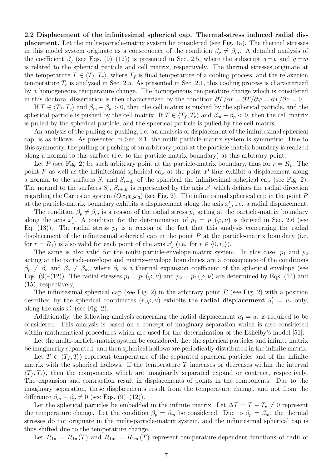#### 2.2 Displacement of the infinitesimal spherical cap. Thermal-stress induced radial dis-

placement. Let the multi-particle-matrix system be considered (see Fig. 1a). The thermal stresses in this model system originate as a consequence of the condition  $\beta_p \neq \beta_m$ . A detailed analysis of the coefficient  $\beta_q$  (see Eqs. (9)–(12)) is presented in Sec. 2.5, where the subscript  $q = p$  and  $q = m$ is related to the spherical particle and cell matrix, respectively. The thermal stresses originate at the temperature  $T \in \langle T_f, T_r \rangle$ , where  $T_f$  is final temperature of a cooling process, and the relaxation temperature  $T_r$  is analysed in Sec. 2.5. As presented in Sec. 2.1, this cooling process is characterized by a homogeneous temperature change. The homogeneous temperature change which is considered in this doctoral dissertation is then characterized by the condition  $\frac{\partial T}{\partial r} = \frac{\partial T}{\partial \varphi} = \frac{\partial T}{\partial \nu} = 0$ .

If  $T \in \langle T_f, T_r \rangle$  and  $\beta_m - \beta_p > 0$ , then the cell matrix is pushed by the spherical particle, and the spherical particle is pushed by the cell matrix. If  $T \in \langle T_f, T_r \rangle$  and  $\beta_m - \beta_p < 0$ , then the cell matrix is pulled by the spherical particle, and the spherical particle is pulled by the cell matrix.

An analysis of the pulling or pushing, i.e. an analysis of displacement of the infinitesimal spherical cap, is as follows. As presented in Sec. 2.1, the multi-particle-matrix system is symmetric. Due to this symmetry, the pulling or pushing of an arbitrary point at the particle-matrix boundary is realized along a normal to this surface (i.e. to the particle-matrix boundary) at this arbitrary point.

Let P (see Fig. 2) be such arbitrary point at the particle-matrix boundary, thus for  $r = R_1$ . The point  $P$  as well as the infinitesimal spherical cap at the point  $P$  thus exhibit a displacement along a normal to the surfaces  $S_r$  and  $S_{r+dr}$  of the spherical the infinitesimal spherical cap (see Fig. 2). The normal to the surfaces  $S_r$ ,  $S_{r+dr}$  is represented by the axis  $x'_1$  which defines the radial direction regarding the Cartesian system  $(Ox_1x_2x_3)$  (see Fig. 2). The infinitesimal spherical cap in the point P at the particle-matrix boundary exhibits a displacement along the axis  $x'_1$ , i.e. a radial displacement.

The condition  $\beta_p \neq \beta_m$  is a reason of the radial stress  $p_1$  acting at the particle-matrix boundary along the axis  $x'_1$ . A condition for the determination of  $p_1 = p_1(\varphi, \nu)$  is derived in Sec. 2.6 (see Eq. (13)). The radial stress  $p_1$  is a reason of the fact that this analysis concerning the radial displacement of the infinitesimal spherical cap in the point  $P$  at the particle-matrix boundary (i.e. for  $r = R_1$ ) is also valid for each point of the axis  $x'_1$  (i.e. for  $r \in (0, r_c)$ ).

The same is also valid for the multi-particle-envelope-matrix system. In this case,  $p_1$  and  $p_2$ acting at the particle-envelope and matrix-envelope boundaries are a consequence of the conditions  $\beta_p \neq \beta_e$  and  $\beta_e \neq \beta_m$ , where  $\beta_e$  is a thermal expansion coefficient of the spherical envelope (see Eqs. (9)–(12)). The radial stresses  $p_1 = p_1(\varphi, \nu)$  and  $p_2 = p_2(\varphi, \nu)$  are determined by Eqs. (14) and (15), respectively,

The infinitesimal spherical cap (see Fig. 2) in the arbitrary point  $P$  (see Fig. 2) with a position described by the spherical coordinates  $(r, \varphi, \nu)$  exhibits the **radial displacement**  $u'_1 = u_r$  only, along the axis  $x'_1$  (see Fig. 2).

Additionally, the following analysis concerning the radial displacement  $u'_1 = u_r$  is required to be considered. This analysis is based on a concept of imaginary separation which is also considered within mathematical procedures which are used for the determination of the Eshelby's model [51].

Let the multi-particle-matrix system be considered. Let the spherical particles and infinite matrix be imaginarily separated, and then spherical hollows are periodically distributed in the infinite matrix.

Let  $T \in \langle T_f, T_r \rangle$  represent temperature of the separated spherical particles and of the infinite matrix with the spherical hollows. If the temperature  $T$  increases or decreases within the interval  $\langle T_f, T_r \rangle$ , then the components which are imaginarily separated expand or contract, respectively. The expansion and contraction result in displacements of points in the components. Due to the imaginary separation, these displacements result from the temperature change, and not from the difference  $\beta_m - \beta_p \neq 0$  (see Eqs. (9)–(12)).

Let the spherical particles be embedded in the infinite matrix. Let  $\Delta T = T - T_r \neq 0$  represent the temperature change. Let the condition  $\beta_p = \beta_m$  be considered. Due to  $\beta_p = \beta_m$ , the thermal stresses do not originate in the multi-particle-matrix system, and the infinitesimal spherical cap is thus shifted due to the temperature change.

Let  $R_{1p} = R_{1p}(T)$  and  $R_{1m} = R_{1m}(T)$  represent temperature-dependent functions of radii of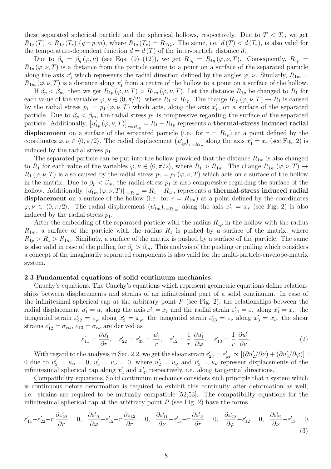these separated spherical particle and the spherical hollows, respectively. Due to  $T < T_r$ , we get  $R_{1q}(T) < R_{1q}(T_r)$   $(q = p,m)$ , where  $R_{1q}(T_r) = R_{1T_r}$ . The same, i.e.  $d(T) < d(T_r)$ , is also valid for the temperature-dependent function  $d = d(T)$  of the inter-particle distance d.

Due to  $\beta_q = \beta_q(\varphi, \nu)$  (see Eqs. (9)–(12)), we get  $R_{1q} = R_{1q}(\varphi, \nu, T)$ . Consequently,  $R_{1p} =$  $R_{1p}(\varphi,\nu,T)$  is a distance from the particle centre to a point on a surface of the separated particle along the axis  $x'_1$  which represents the radial direction defined by the angles  $\varphi$ ,  $\nu$ . Similarly,  $R_{1m} =$  $R_{1m}(\varphi,\nu,T)$  is a distance along  $x'_1$  from a centre of the hollow to a point on a surface of the hollow.

If  $\beta_p < \beta_m$ , then we get  $R_{1p}(\varphi, \nu, T) > R_{1m}(\varphi, \nu, T)$ . Let the distance  $R_{1p}$  be changed to  $R_1$  for each value of the variables  $\varphi, \nu \in \langle 0, \pi/2 \rangle$ , where  $R_1 < R_{1p}$ . The change  $R_{1p}(\varphi, \nu, T) \to R_1$  is caused by the radial stress  $p_1 = p_1(\varphi, \nu, T)$  which acts, along the axis  $x'_1$ , on a surface of the separated particle. Due to  $\beta_p < \beta_m$ , the radial stress  $p_1$  is compressive regarding the surface of the separated particle. Additionally,  $\big[u'_{1p}\left(\varphi,\nu,T\right)\big]_{r=R_{1p}}=R_1-R_{1p}$  represents a **thermal-stress induced radial displacement** on a surface of the separated particle (i.e. for  $r = R_{1p}$ ) at a point defined by the coordinates  $\varphi, \nu \in \langle 0, \pi/2 \rangle$ . The radial displacement  $(u'_{1p})_{r=R_{1p}}$  along the axis  $x'_1 = x_r$  (see Fig. 2) is induced by the radial stress  $p_1$ .

The separated particle can be put into the hollow provided that the distance  $R_{1m}$  is also changed to  $R_1$  for each value of the variables  $\varphi, \nu \in \langle 0, \pi/2 \rangle$ , where  $R_1 > R_{1m}$ . The change  $R_{1m}(\varphi, \nu, T) \to$  $R_1(\varphi,\nu,T)$  is also caused by the radial stress  $p_1 = p_1(\varphi,\nu,T)$  which acts on a surface of the hollow in the matrix. Due to  $\beta_p < \beta_m$ , the radial stress  $p_1$  is also compressive regarding the surface of the hollow. Additionally,  $[u'_{1m}(\varphi,\nu,T)]_{r=R_{1m}} = R_1 - R_{1m}$  represents a **thermal-stress induced radial displacement** on a surface of the hollow (i.e. for  $r = R_{1m}$ ) at a point defined by the coordinates  $\varphi, \nu \in \langle 0, \pi/2 \rangle$ . The radial displacement  $(u'_{1m})_{r=R_{1m}}$  along the axis  $x'_1 = x_r$  (see Fig. 2) is also induced by the radial stress  $p_1$ .

After the embedding of the separated particle with the radius  $R_{1p}$  in the hollow with the radius  $R_{1m}$ , a surface of the particle with the radius  $R_1$  is pushed by a surface of the matrix, where  $R_{1p} > R_1 > R_{1m}$ . Similarly, a surface of the matrix is pushed by a surface of the particle. The same is also valid in case of the pulling for  $\beta_p > \beta_m$ . This analysis of the pushing or pulling which considers a concept of the imaginarily separated components is also valid for the multi-particle-envelope-matrix system.

#### 2.3 Fundamental equations of solid continuum mechanics.

Cauchy's equations. The Cauchy's equations which represent geometric equations define relationships between displacements and strains of an infinitesimal part of a solid continuum. In case of the infinitesimal spherical cap at the arbitrary point  $P$  (see Fig. 2), the relationships between the radial displacement  $u'_1 = u_r$  along the axis  $x'_1 = x_r$  and the radial strain  $\varepsilon'_{11} = \varepsilon_r$  along  $x'_1 = x_r$ , the tangential strain  $\varepsilon'_{22} = \varepsilon_{\varphi}$  along  $x'_2 = x_{\varphi}$ , the tangential strain  $\varepsilon'_{33} = \varepsilon_{\nu}$  along  $x'_3 = x_{\nu}$ , the shear strains  $\varepsilon'_{12} = \sigma_{r\varphi}, \, \varepsilon_{13} = \sigma_{r\nu}$  are derived as

$$
\varepsilon'_{11} = \frac{\partial u'_1}{\partial r}, \quad \varepsilon'_{22} = \varepsilon'_{33} = \frac{u'_1}{r}, \quad \varepsilon'_{12} = \frac{1}{r} \frac{\partial u'_1}{\partial \varphi}, \quad \varepsilon'_{13} = \frac{1}{r} \frac{\partial u'_1}{\partial \nu}.
$$
 (2)

With regard to the analysis in Sec. 2.2, we get the shear strain  $\varepsilon'_{23} = \varepsilon'_{\varphi \nu} \propto [(\partial u'_2/\partial \nu) + (\partial u'_3/\partial \varphi)] =$ 0 due to  $u'_2 = u_{\varphi} = 0$ ,  $u'_3 = u_{\nu} = 0$ , where  $u'_2 = u_{\varphi}$  and  $u'_3 = u_{\nu}$  represent displacements of the infinitesimal spherical cap along  $x_2'$  and  $x_3'$ , respectively, i.e. along tangential directions.

Compatibility equations. Solid continuum mechanics considers such principle that a system which is continuous before deformation is required to exhibit this continuity after deformation as well, i.e. strains are required to be mutually compatible [52,53]. The compatibility equations for the infinitesimal spherical cap at the arbitrary point  $P$  (see Fig. 2) have the forms

$$
\varepsilon'_{11} - \varepsilon'_{22} - r \frac{\partial \varepsilon'_{22}}{\partial r} = 0, \quad \frac{\partial \varepsilon'_{11}}{\partial \varphi} - \varepsilon'_{12} - r \frac{\partial \varepsilon_{12}}{\partial r} = 0, \quad \frac{\partial \varepsilon'_{11}}{\partial \nu} - \varepsilon'_{13} - r \frac{\partial \varepsilon'_{13}}{\partial r} = 0, \quad \frac{\partial \varepsilon'_{22}}{\partial \varphi} - \varepsilon'_{12} = 0, \quad \frac{\partial \varepsilon'_{22}}{\partial \nu} - \varepsilon'_{13} = 0. \tag{3}
$$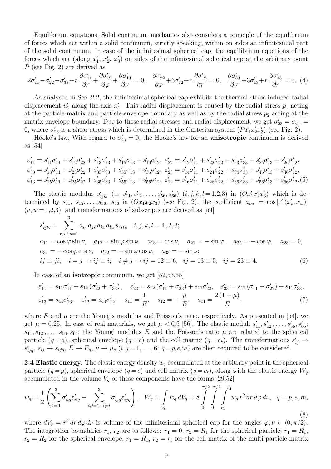Equilibrium equations. Solid continuum mechanics also considers a principle of the equilibrium of forces which act within a solid continuum, strictly speaking, within on sides an infinitesimal part of the solid continuum. In case of the infinitesimal spherical cap, the equilibrium equations of the forces which act (along  $x'_1, x'_2, x'_3$ ) on sides of the infinitesimal spherical cap at the arbitrary point P (see Fig. 2) are derived as

$$
2\sigma'_{11} - \sigma'_{22} - \sigma'_{33} + r\frac{\partial \sigma'_{11}}{\partial r} + \frac{\partial \sigma'_{12}}{\partial \varphi} + \frac{\partial \sigma'_{13}}{\partial \nu} = 0, \quad \frac{\partial \sigma'_{22}}{\partial \varphi} + 3\sigma'_{12} + r\frac{\partial \sigma'_{12}}{\partial r} = 0, \quad \frac{\partial \sigma'_{33}}{\partial \nu} + 3\sigma'_{13} + r\frac{\partial \sigma'_{13}}{\partial r} = 0. \tag{4}
$$

As analysed in Sec. 2.2, the infinitesimal spherical cap exhibits the thermal-stress induced radial displacement  $u'_1$  along the axis  $x'_1$ . This radial displacement is caused by the radial stress  $p_1$  acting at the particle-matrix and particle-envelope boundary as well as by the radial stress  $p_2$  acting at the matrix-envelope boundary. Due to these radial stresses and radial displacement, we get  $\sigma'_{23} = \sigma_{\varphi\nu}$ 0, where  $\sigma'_{23}$  is a shear stress which is determined in the Cartesian system  $(Px'_1x'_2x'_3)$  (see Fig. 2).

Hooke's law. With regard to  $\sigma'_{23} = 0$ , the Hooke's law for an **anisotropic** continuum is derived as [54]

$$
\varepsilon'_{11} = s'_{11}\sigma'_{11} + s'_{12}\sigma'_{22} + s'_{13}\sigma'_{33} + s'_{15}\sigma'_{13} + s'_{16}\sigma'_{12}, \ \varepsilon'_{22} = s'_{12}\sigma'_{11} + s'_{22}\sigma'_{22} + s'_{23}\sigma'_{33} + s'_{25}\sigma'_{13} + s'_{26}\sigma'_{12},
$$
  
\n
$$
\varepsilon'_{33} = s'_{13}\sigma'_{11} + s'_{23}\sigma'_{22} + s'_{33}\sigma'_{33} + s'_{35}\sigma'_{13} + s'_{36}\sigma'_{12}, \ \varepsilon'_{23} = s'_{14}\sigma'_{11} + s'_{24}\sigma'_{22} + s'_{34}\sigma'_{33} + s'_{45}\sigma'_{13} + s'_{46}\sigma'_{12},
$$
  
\n
$$
\varepsilon'_{13} = s'_{15}\sigma'_{11} + s'_{25}\sigma'_{22} + s'_{35}\sigma'_{33} + s'_{55}\sigma'_{13} + s'_{56}\sigma'_{12}, \ \varepsilon'_{12} = s'_{16}\sigma'_{11} + s'_{26}\sigma'_{22} + s'_{36}\sigma'_{33} + s'_{56}\sigma'_{13} + s'_{66}\sigma'_{12}. (5)
$$

The elastic modulus  $s'_{ijkl}$  ( $\equiv s'_{11}, s'_{12}, \ldots, s'_{56}, s'_{66}$ )  $(i, j, k, l = 1, 2, 3)$  in  $(Ox'_1x'_2x'_3)$  which is determined by  $s_{11}, s_{12}, \ldots, s_{56}, s_{66}$  in  $(Ox_1x_2x_3)$  (see Fig. 2), the coefficient  $a_{vw} = \cos[\angle(x'_v, x_w)]$  $(v, w = 1, 2, 3)$ , and transformations of subscripts are derived as [54]

$$
s'_{ijkl} = \sum_{r,s,t,u=1}^{3} a_{ir} a_{js} a_{kt} a_{lu} s_{rstu} \quad i, j, k, l = 1, 2, 3;
$$
  
\n
$$
a_{11} = \cos \varphi \sin \nu, \quad a_{12} = \sin \varphi \sin \nu, \quad a_{13} = \cos \nu, \quad a_{21} = -\sin \varphi, \quad a_{22} = -\cos \varphi, \quad a_{23} = 0,
$$
  
\n
$$
a_{31} = -\cos \varphi \cos \nu, \quad a_{32} = -\sin \varphi \cos \nu, \quad a_{33} = -\sin \nu;
$$
  
\n
$$
ij \equiv ji; \quad i = j \rightarrow ij \equiv i; \quad i \neq j \rightarrow ij = 12 \equiv 6, \quad ij = 13 \equiv 5, \quad ij = 23 \equiv 4.
$$
  
\n(6)

In case of an **isotropic** continuum, we get [52,53,55]

$$
\varepsilon'_{11} = s_{11}\sigma'_{11} + s_{12}\left(\sigma'_{22} + \sigma'_{33}\right), \quad \varepsilon'_{22} = s_{12}\left(\sigma'_{11} + \sigma'_{33}\right) + s_{11}\sigma'_{22}, \quad \varepsilon'_{33} = s_{12}\left(\sigma'_{11} + \sigma'_{22}\right) + s_{11}\sigma'_{33},
$$
\n
$$
\varepsilon'_{13} = s_{44}\sigma'_{13}, \quad \varepsilon'_{12} = s_{44}\sigma'_{12}; \quad s_{11} = \frac{1}{E}, \quad s_{12} = -\frac{\mu}{E}, \quad s_{44} = \frac{2\left(1+\mu\right)}{E}, \tag{7}
$$

where E and  $\mu$  are the Young's modulus and Poisson's ratio, respectively. As presented in [54], we get  $\mu = 0.25$ . In case of real materials, we get  $\mu < 0.5$  [56]. The elastic moduli  $s'_{11}, s'_{12}, \ldots, s'_{56}, s'_{66}$ ;  $s_{11}, s_{12}, \ldots, s_{56}, s_{66}$ ; the Young' modulus E and the Poisson's ratio  $\mu$  are related to the spherical particle  $(q = p)$ , spherical envelope  $(q = e)$  and the cell matrix  $(q = m)$ . The transformations  $s'_{ij} \rightarrow$  $s'_{ijq}, s_{ij} \rightarrow s_{ijq}, E \rightarrow E_q, \mu \rightarrow \mu_q (i, j = 1, \dots, 6; q = p, e, m)$  are then required to be considered.

**2.4 Elastic energy.** The elastic energy density  $w_q$  accumulated at the arbitrary point in the spherical particle  $(q = p)$ , spherical envelope  $(q = e)$  and cell matrix  $(q = m)$ , along with the elastic energy  $W_q$ accumulated in the volume  $V_q$  of these components have the forms [29,52]

$$
w_q = \frac{1}{2} \left( \sum_{i=1}^3 \sigma'_{iiq} \varepsilon'_{iiq} + \sum_{i,j=1;\ i \neq j}^3 \sigma'_{ijq} \varepsilon'_{ijq} \right), \quad W_q = \int_{V_q} w_q \, dV_q = 8 \int_0^{\pi/2} \int_0^{\pi/2} \int_{r_1}^{r_2} w_q \, r^2 \, dr \, d\varphi \, d\nu, \quad q = p, e, m,
$$
\n(8)

where  $dV_q = r^2 dr d\varphi d\nu$  is volume of the infinitesimal spherical cap for the angles  $\varphi, \nu \in \langle 0, \pi/2 \rangle$ . The integration boundaries  $r_1$ ,  $r_2$  are as follows:  $r_1 = 0$ ,  $r_2 = R_1$  for the spherical particle;  $r_1 = R_1$ ,  $r_2 = R_2$  for the spherical envelope;  $r_1 = R_1$ ,  $r_2 = r_c$  for the cell matrix of the multi-particle-matrix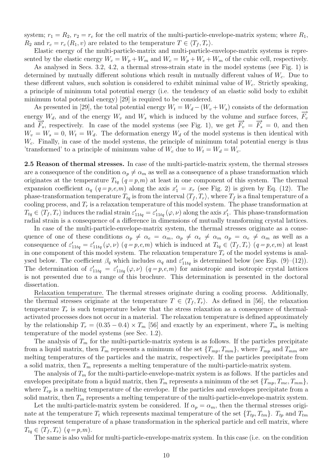system;  $r_1 = R_2$ ,  $r_2 = r_c$  for the cell matrix of the multi-particle-envelope-matrix system; where  $R_1$ ,  $R_2$  and  $r_c = r_c (R_1, v)$  are related to the temperature  $T \in \langle T_f, T_r \rangle$ .

Elastic energy of the multi-particle-matrix and multi-particle-envelope-matrix systems is represented by the elastic energy  $W_c = W_p + W_m$  and  $W_c = W_p + W_e + W_m$  of the cubic cell, respectively.

As analysed in Secs. 3.2, 4.2, a thermal stress-strain state in the model systems (see Fig. 1) is determined by mutually different solutions which result in mutually different values of  $W_c$ . Due to these different values, such solution is considered to exhibit minimal value of  $W_c$ . Strictly speaking, a principle of minimum total potential energy (i.e. the tendency of an elastic solid body to exhibit minimum total potential energy) [29] is required to be considered.

As presented in [29], the total potential energy  $W_t = W_d - (W_v + W_s)$  consists of the deformation energy  $W_d$ , and of the energy  $W_v$  and  $W_s$  which is induced by the volume and surface forces,  $\overline{F}_v$ and  $\overrightarrow{F}_s$ , respectively. In case of the model systems (see Fig. 1), we get  $\overrightarrow{F}_v = \overrightarrow{F}_s = 0$ , and then  $W_v = W_s = 0$ ,  $W_t = W_d$ . The deformation energy  $W_d$  of the model systems is then identical with  $W_c$ . Finally, in case of the model systems, the principle of minimum total potential energy is thus 'transformed' to a principle of minimum value of  $W_c$  due to  $W_t = W_d = W_c$ .

2.5 Reason of thermal stresses. In case of the multi-particle-matrix system, the thermal stresses are a consequence of the condition  $\alpha_p \neq \alpha_m$  as well as a consequence of a phase transformation which originates at the temperature  $T_{tq}$   $(q = p,m)$  at least in one component of this system. The thermal expansion coefficient  $\alpha_q$  ( $q = p, e, m$ ) along the axis  $x'_1 = x_r$  (see Fig. 2) is given by Eq. (12). The phase-transformation temperature  $T_{tq}$  is from the interval  $\langle T_f, T_r \rangle$ , where  $T_f$  is a final temperature of a cooling process, and  $T_r$  is a relaxation temperature of this model system. The phase transformation at  $T_{tq} \in \langle T_f, T_r \rangle$  induces the radial strain  $\varepsilon'_{11tq} = \varepsilon'_{11tq}(\varphi, \nu)$  along the axis  $x'_1$ . This phase-transformation radial strain is a consequence of a difference in dimensions of mutually transforming crystal lattices.

In case of the multi-particle-envelope-matrix system, the thermal stresses originate as a consequence of one of these conditions  $\alpha_p \neq \alpha_e = \alpha_m$ ,  $\alpha_p \neq \alpha_e \neq \alpha_m$   $\alpha_p = \alpha_e \neq \alpha_m$  as well as a consequence of  $\varepsilon'_{11tq} = \varepsilon'_{11tq} (\varphi, \nu)$   $(q = p, e, m)$  which is induced at  $T_{tq} \in \langle T_f, T_r \rangle$   $(q = p, e, m)$  at least in one component of this model system. The relaxation temperature  $T_r$  of the model systems is analysed below. The coefficient  $\beta_q$  which includes  $\alpha_q$  and  $\varepsilon'_{11tq}$  is determined below (see Eqs. (9)-(12)). The determination of  $\varepsilon'_{11tq} = \varepsilon'_{11tq}(\varphi,\nu)$   $(q=p,e,m)$  for anisotropic and isotropic crystal lattices is not presented due to a range of this brochure. This determination is presented in the doctoral dissertation.

Relaxation temperature. The thermal stresses originate during a cooling process. Additionally, the thermal stresses originate at the temperature  $T \in \langle T_f, T_r \rangle$ . As defined in [56], the relaxation temperature  $T_r$  is such temperature below that the stress relaxation as a consequence of thermalactivated processes does not occur in a material. The relaxation temperature is defined approximately by the relationship  $T_r = (0.35 - 0.4) \times T_m$  [56] and exactly by an experiment, where  $T_m$  is melting temperature of the model systems (see Sec. 1.2).

The analysis of  $T_m$  for the multi-particle-matrix system is as follows. If the particles precipitate from a liquid matrix, then  $T_m$  represents a minimum of the set  $\{T_{mp}, T_{mm}\}$ , where  $T_{mp}$  and  $T_{mm}$  are melting temperatures of the particles and the matrix, respectively. If the particles precipitate from a solid matrix, then  $T_m$  represents a melting temperature of the multi-particle-matrix system.

The analysis of  $T_m$  for the multi-particle-envelope-matrix system is as follows. If the particles and envelopes precipitate from a liquid matrix, then  $T_m$  represents a minimum of the set  $\{T_{mp}, T_{me}, T_{mm}\},$ where  $T_{ep}$  is a melting temperature of the envelope. If the particles and envelopes precipitate from a solid matrix, then  $T_m$  represents a melting temperature of the multi-particle-envelope-matrix system.

Let the multi-particle-matrix system be considered. If  $\alpha_p = \alpha_m$ , then the thermal stresses originate at the temperature  $T_t$  which represents maximal temperature of the set  $\{T_{tp}, T_{tm}\}\$ .  $T_{tp}$  and  $T_{tm}$ thus represent temperature of a phase transformation in the spherical particle and cell matrix, where  $T_{tq} \in \langle T_f, T_r \rangle \ (q = p,m).$ 

The same is also valid for multi-particle-envelope-matrix system. In this case (i.e. on the condition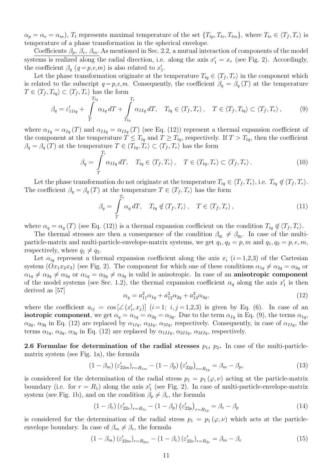$\alpha_p = \alpha_e = \alpha_m$ ,  $T_t$  represents maximal temperature of the set  $\{T_{tp}, T_{te}, T_{tm}\}\$ , where  $T_{te} \in \langle T_f, T_r \rangle$  is temperature of a phase transformation in the spherical envelope.

Coefficients  $\beta_p$ ,  $\beta_e$ ,  $\beta_m$ . As mentioned in Sec. 2.2, a mutual interaction of components of the model systems is realized along the radial direction, i.e. along the axis  $x_1' = x_r$  (see Fig. 2). Accordingly, the coefficient  $\beta_q$   $(q=p,e,m)$  is also related to  $x'_1$ .

Let the phase transformation originate at the temperature  $T_{tq} \in \langle T_f, T_r \rangle$  in the component which is related to the subscript  $q = p, e, m$ . Consequently, the coefficient  $\beta_q = \beta_q(T)$  at the temperature  $T \in \langle T_f, T_{tq} \rangle \subset \langle T_f, T_r \rangle$  has the form

$$
\beta_q = \varepsilon'_{11tq} + \int_T^{T_{tq}} \alpha_{Iq} dT + \int_{T_{tq}}^{T_r} \alpha_{IIq} dT, \quad T_{tq} \in \langle T_f, T_r \rangle, \quad T \in \langle T_f, T_{tq} \rangle \subset \langle T_f, T_r \rangle, \tag{9}
$$

where  $\alpha_{Iq} = \alpha_{Iq}(T)$  and  $\alpha_{IIq} = \alpha_{IIq}(T)$  (see Eq. (12)) represent a thermal expansion coefficient of the component at the temperature  $T \leq T_{tq}$  and  $T \geq T_{tq}$ , respectively. If  $T > T_{tq}$ , then the coefficient  $\beta_q = \beta_q(T)$  at the temperature  $T \in (T_{tq}, T_r) \subset \langle T_f, T_r \rangle$  has the form

$$
\beta_q = \int_T^{T_r} \alpha_{IIq} dT, \quad T_{tq} \in \langle T_f, T_r \rangle, \quad T \in (T_{tq}, T_r) \subset \langle T_f, T_r \rangle. \tag{10}
$$

Let the phase transformation do not originate at the temperature  $T_{tq} \in \langle T_f, T_r \rangle$ , i.e.  $T_{tq} \notin \langle T_f, T_r \rangle$ . The coefficient  $\beta_q = \beta_q(T)$  at the temperature  $T \in \langle T_f, T_r \rangle$  has the form

$$
\beta_q = \int_T^{T_r} \alpha_q \, dT, \quad T_{tq} \notin \langle T_f, T_r \rangle \,, \quad T \in \langle T_f, T_r \rangle \,, \tag{11}
$$

where  $\alpha_q = \alpha_q(T)$  (see Eq. (12)) is a thermal expansion coefficient on the condition  $T_{tq} \notin \langle T_f, T_r \rangle$ .

The thermal stresses are then a consequence of the condition  $\beta_{q_1} \neq \beta_{q_2}$ . In case of the multiparticle-matrix and multi-particle-envelope-matrix systems, we get  $q_1, q_2 = p, m$  and  $q_1, q_2 = p, e, m$ , respectively, where  $q_1 \neq q_2$ .

Let  $\alpha_{iq}$  represent a thermal expansion coefficient along the axis  $x_i$  (i=1,2,3) of the Cartesian system  $(Ox_1x_2x_3)$  (see Fig. 2). The component for which one of these conditions  $\alpha_{1q} \neq \alpha_{2q} = \alpha_{3q}$  or  $\alpha_{1q} \neq \alpha_{2q} \neq \alpha_{3q}$  or  $\alpha_{1q} = \alpha_{2q} \neq \alpha_{3q}$  is valid is anisotropic. In case of an **anisotropic component** of the model systems (see Sec. 1.2), the thermal expansion coefficient  $\alpha_q$  along the axis  $x'_1$  is then derived as [57]

$$
\alpha_q = a_{11}^2 \alpha_{1q} + a_{12}^2 \alpha_{2q} + a_{13}^2 \alpha_{3q},\tag{12}
$$

where the coefficient  $a_{ij} = \cos \left[\angle (x'_i, x_j)\right]$   $(i = 1; i, j = 1, 2, 3)$  is given by Eq. (6). In case of an **isotropic component**, we get  $\alpha_q = \alpha_{1q} = \alpha_{2q} = \alpha_{3q}$ . Due to the term  $\alpha_{Iq}$  in Eq. (9), the terms  $\alpha_{1q}$ ,  $\alpha_{2q}$ ,  $\alpha_{3q}$  in Eq. (12) are replaced by  $\alpha_{1Iq}$ ,  $\alpha_{2Iq}$ ,  $\alpha_{3Iq}$ , respectively. Consequently, in case of  $\alpha_{IIq}$ , the terms  $\alpha_{1q}$ ,  $\alpha_{2q}$ ,  $\alpha_{3q}$  in Eq. (12) are replaced by  $\alpha_{1IIq}$ ,  $\alpha_{2IIq}$ ,  $\alpha_{3IIq}$ , respectively.

2.6 Formulae for determination of the radial stresses  $p_1$ ,  $p_2$ . In case of the multi-particlematrix system (see Fig. 1a), the formula

$$
(1 - \beta_m) \left(\varepsilon'_{22m}\right)_{r=R_{1m}} - (1 - \beta_p) \left(\varepsilon'_{22p}\right)_{r=R_{1p}} = \beta_m - \beta_p,\tag{13}
$$

is considered for the determination of the radial stress  $p_1 = p_1(\varphi, \nu)$  acting at the particle-matrix boundary (i.e. for  $r = R_1$ ) along the axis  $x'_1$  (see Fig. 2). In case of multi-particle-envelope-matrix system (see Fig. 1b), and on the condition  $\beta_p \neq \beta_e$ , the formula

$$
(1 - \beta_e) \left(\varepsilon'_{22e}\right)_{r=R_{1e}} - (1 - \beta_p) \left(\varepsilon'_{22p}\right)_{r=R_{1p}} = \beta_e - \beta_p \tag{14}
$$

is considered for the determination of the radial stress  $p_1 = p_1(\varphi, \nu)$  which acts at the particleenvelope boundary. In case of  $\beta_m \neq \beta_e$ , the formula

$$
(1 - \beta_m) (\varepsilon'_{22m})_{r=R_{2m}} - (1 - \beta_e) (\varepsilon'_{22e})_{r=R_{2e}} = \beta_m - \beta_e
$$
 (15)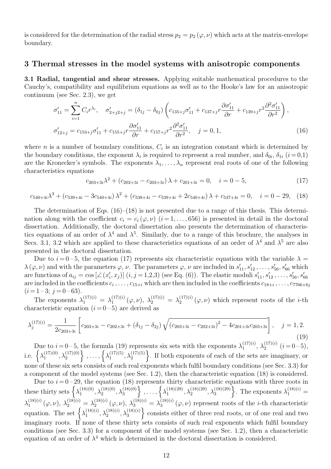is considered for the determination of the radial stress  $p_2 = p_2(\varphi, \nu)$  which acts at the matrix-envelope boundary.

## 3 Thermal stresses in the model systems with anisotropic components

3.1 Radial, tangential and shear stresses. Applying suitable mathematical procedures to the Cauchy's, compatibility and equilibrium equations as well as to the Hooke's law for an anisotropic continuum (see Sec. 2.3), we get

$$
\sigma'_{11} = \sum_{i=1}^{n} C_i r^{\lambda_i}, \quad \sigma'_{2+j2+j} = (\delta_{1j} - \delta_{0j}) \left( c_{135+j} \sigma'_{11} + c_{137+j} r \frac{\partial \sigma'_{11}}{\partial r} + c_{139+j} r^2 \frac{\partial^2 \sigma'_{11}}{\partial r^2} \right),
$$
  

$$
\sigma'_{12+j} = c_{153+j} \sigma'_{11} + c_{155+j} r \frac{\partial \sigma'_{11}}{\partial r} + c_{157+j} r^2 \frac{\partial^2 \sigma'_{11}}{\partial r^2}, \quad j = 0, 1,
$$
 (16)

where *n* is a number of boundary conditions,  $C_i$  is an integration constant which is determined by the boundary conditions, the exponent  $\lambda_i$  is required to represent a real number, and  $\delta_{0i}$ ,  $\delta_{1i}$   $(i=0,1)$ are the Kronecker's symbols. The exponents  $\lambda_1, \ldots, \lambda_n$  represent real roots of one of the following characteristics equations

$$
c_{203+3i}\lambda^2 + (c_{202+3i} - c_{203+3i})\lambda + c_{201+3i} = 0, \quad i = 0-5,
$$
\n(17)

$$
c_{540+4i}\lambda^3 + (c_{539+4i} - 3c_{540+4i})\lambda^2 + (c_{538+4i} - c_{539+4i} + 2c_{540+4i})\lambda + c_{537+4i} = 0, \quad i = 0 - 29, \quad (18)
$$

The determination of Eqs.  $(16)$ – $(18)$  is not presented due to a range of this thesis. This determination along with the coefficient  $c_i = c_i (\varphi, \nu)$   $(i = 1, ..., 656)$  is presented in detail in the doctoral dissertation. Additionally, the doctoral dissertation also presents the determination of characteristics equations of an order of  $\lambda^4$  and  $\lambda^5$ . Similarly, due to a range of this brochure, the analyses in Secs. 3.1, 3.2 which are applied to these characteristics equations of an order of  $\lambda^4$  and  $\lambda^5$  are also presented in the doctoral dissertation.

Due to  $i = 0-5$ , the equation (17) represents six characteristic equations with the variable  $\lambda =$  $\lambda(\varphi,\nu)$  and with the parameters  $\varphi$ ,  $\nu$ . The parameters  $\varphi$ ,  $\nu$  are included in  $s'_{11}, s'_{12}, \ldots, s'_{56}, s'_{66}$  which are functions of  $a_{ij} = \cos[\angle(x'_i, x_j)]$   $(i, j = 1, 2, 3)$  (see Eq. (6)). The elastic moduli  $s'_{11}, s'_{12}, \ldots, s'_{56}, s'_{66}$ are included in the coefficients  $c_i, \ldots, c_{15+i}$  which are then included in the coefficients  $c_{18+i}, \ldots, c_{7766+6j}$  $(i = 1-3; j = 0-63).$ 

The exponents  $\lambda_1^{(17)(i)} = \lambda_1^{(17)(i)}$  $\lambda_1^{(17)(i)}(\varphi,\nu), \ \lambda_2^{(17)(i)} = \lambda_2^{(17)(i)}$  $2^{(1)}(\varphi,\nu)$  which represent roots of the *i*-th characteristic equation  $(i = 0-5)$  are derived as

$$
\lambda_j^{(17)(i)} = \frac{1}{2c_{203+3i}} \left[ c_{203+3i} - c_{202+3i} + (\delta_{1j} - \delta_{2j}) \sqrt{(c_{203+3i} - c_{202+3i})^2 - 4c_{201+3i}c_{203+3i}} \right], \quad j = 1, 2.
$$
\n(19)

Due to  $i = 0-5$ , the formula (19) represents six sets with the exponents  $\lambda_1^{(17)(i)}$  $\lambda_1^{(17)(i)}, \lambda_2^{(17)(i)}$  $i^{(1)}(i)$   $(i=0-5)$ , i.e.  $\{\lambda_1^{(17)(0)}\}$  $\left\{ \lambda_1^{(17)(0)}, \lambda_2^{(17)(0)} \right\}, \ldots, \left\{ \lambda_1^{(17)(5)} \right\}$  $\left\{\lambda_1^{(17)(5)},\lambda_2^{(17)(5)}\right\}$ . If both exponents of each of the sets are imaginary, or none of these six sets consists of such real exponents which fulfil boundary conditions (see Sec. 3.3) for a component of the model systems (see Sec. 1.2), then the characteristic equation (18) is considered.

Due to  $i = 0-29$ , the equation (18) represents thirty characteristic equations with three roots in these thirty sets  $\left\{\lambda_1^{(18)(0)}\right\}$  $\left\{\lambda_1^{(18)(0)},\lambda_2^{(18)(0)},\lambda_3^{(18)(0)}\right\},\ldots,\left\{\lambda_1^{(18)(29)}\right\}$  $\left\{\lambda_1^{(18)(29)},\lambda_2^{(18)(29)},\lambda_3^{(18)(29)}\right\}.$  The exponents  $\lambda_1^{(18)(i)}=$  $\lambda_1^{(18)(i)}$  $\lambda_1^{(18)(i)}(\varphi,\nu),\ \lambda_2^{(18)(i)}=\lambda_2^{(18)(i)}$  $\lambda_2^{(18)(i)}(\varphi,\nu),\ \lambda_3^{(18)(i)}=\lambda_3^{(18)(i)}$  $\mathcal{L}_{3}^{(10)(i)}(\varphi,\nu)$  represent roots of the *i*-th characteristic equation. The set  $\{\lambda_1^{(18)(i)}\}$  $\left\{\lambda_1^{(18)(i)},\lambda_2^{(18)(i)},\lambda_3^{(18)(i)}\right\}$  consists either of three real roots, or of one real and two imaginary roots. If none of these thirty sets consists of such real exponents which fulfil boundary conditions (see Sec. 3.3) for a component of the model systems (see Sec. 1.2), then a characteristic equation of an order of  $\lambda^4$  which is determined in the doctoral dissertation is considered.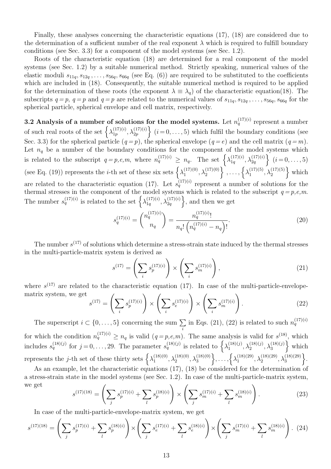Finally, these analyses concerning the characteristic equations (17), (18) are considered due to the determination of a sufficient number of the real exponent  $\lambda$  which is required to fulfill boundary conditions (see Sec. 3.3) for a component of the model systems (see Sec. 1.2).

Roots of the characteristic equation (18) are determined for a real component of the model systems (see Sec. 1.2) by a suitable numerical method. Strictly speaking, numerical values of the elastic moduli  $s_{11q}, s_{12q}, \ldots, s_{56q}, s_{66q}$  (see Eq. (6)) are required to be substituted to the coefficients which are included in (18). Consequently, the suitable numerical method is required to be applied for the determination of these roots (the exponent  $\lambda \equiv \lambda_q$ ) of the characteristic equation(18). The subscripts  $q = p$ ,  $q = p$  and  $q = p$  are related to the numerical values of  $s_{11q}, s_{12q}, \ldots, s_{56q}, s_{66q}$  for the spherical particle, spherical envelope and cell matrix, respectively.

3.2 Analysis of a number of solutions for the model systems. Let  $n_q^{(17)(i)}$  represent a number of such real roots of the set  $\left\{\lambda_{1p}^{(17)(i)}\right\}$  $\left\{\lambda_{1p}^{(17)(i)},\lambda_{2p}^{(17)(i)}\right\}$   $(i=0,\ldots,5)$  which fulfil the boundary conditions (see Sec. 3.3) for the spherical particle  $(q = p)$ , the spherical envelope  $(q = e)$  and the cell matrix  $(q = m)$ . Let  $n_q$  be a number of the boundary conditions for the component of the model systems which is related to the subscript  $q = p, e, m$ , where  $n_q^{(17)(i)} \geq n_q$ . The set  $\begin{cases} \lambda_{1q}^{(17)(i)} & \text{if } i \leq q \\ 1 & \text{if } i \leq q \end{cases}$  $\left\{\begin{array}{c} (17)(i), \lambda_{2q}^{(17)(i)} \end{array}\right\}$   $(i = 0, \ldots, 5)$ (see Eq. (19)) represents the *i*-th set of these six sets  $\{\lambda_1^{(17)(0)}\}$  $\left\{\lambda_1^{(17)(0)},\lambda_2^{(17)(0)}\right\},\ldots,\left\{\lambda_1^{(17)(5)}\right\}$  $\lambda_1^{(17)(5)}, \lambda_2^{(17)(5)}\}$  which are related to the characteristic equation (17). Let  $s_q^{(17)(i)}$  represent a number of solutions for the thermal stresses in the component of the model systems which is related to the subscript  $q = p,e,m$ . The number  $s_q^{(17)(i)}$  is related to the set  $\left\{\lambda_{1g}^{(17)(i)}\right\}$  $\left\{\lambda_{1q}^{(17)(i)}, \lambda_{2q}^{(17)(i)}\right\}$ , and then we get

$$
s_q^{(17)(i)} = \binom{n_q^{(17)(i)}}{n_q} = \frac{n_q^{(17)(i)}!}{n_q! \left(n_q^{(17)(i)} - n_q\right)!}.
$$
\n(20)

The number  $s^{(17)}$  of solutions which determine a stress-strain state induced by the thermal stresses in the multi-particle-matrix system is derived as

$$
s^{(17)} = \left(\sum_{i} s_p^{(17)(i)}\right) \times \left(\sum_{i} s_m^{(17)(i)}\right),\tag{21}
$$

where  $s^{(17)}$  are related to the characteristic equation (17). In case of the multi-particle-envelopematrix system, we get  $\setminus$ 

$$
s^{(17)} = \left(\sum_{i} s_p^{(17)(i)}\right) \times \left(\sum_{i} s_e^{(17)(i)}\right) \times \left(\sum_{i} s_m^{(17)(i)}\right). \tag{22}
$$

The superscript  $i \subset \{0, \ldots, 5\}$  concerning the sum  $\sum_{i}$ in Eqs. (21), (22) is related to such  $n_q^{(17)(i)}$ for which the condition  $n_q^{(17)(i)} \ge n_q$  is valid  $(q = p, e, m)$ . The same analysis is valid for  $s^{(18)}$ , which includes  $s_q^{(18)(j)}$  for  $j=0,\ldots,29$ . The parameter  $s_q^{(18)(j)}$  is related to  $\left\{\lambda_1^{(18)(j)}\right\}$  $\left\{\lambda_1^{(18)(j)},\lambda_2^{(18)(j)},\lambda_3^{(18)(j)}\right\}$  which represents the *j*-th set of these thirty sets  $\{\lambda_1^{(18)(0)}\}$  $\left\{\lambda_1^{(18)(0)},\lambda_2^{(18)(0)},\lambda_3^{(18)(0)}\right\},\ldots,\left\{\lambda_1^{(18)(29)}\right\}$  $\left\{\lambda_1^{(18)(29)},\lambda_2^{(18)(29)},\lambda_3^{(18)(29)}\right\}.$ 

As an example, let the characteristic equations (17), (18) be considered for the determination of a stress-strain state in the model systems (see Sec. 1.2). In case of the multi-particle-matrix system, we get

$$
s^{(17)(18)} = \left(\sum_{j} s_p^{(17)(i)} + \sum_{l} s_p^{(18)(i)}\right) \times \left(\sum_{j} s_m^{(17)(i)} + \sum_{l} s_m^{(18)(i)}\right). \tag{23}
$$

In case of the multi-particle-envelope-matrix system, we get

$$
s^{(17)(18)} = \left(\sum_{j} s_p^{(17)(i)} + \sum_{l} s_p^{(18)(i)}\right) \times \left(\sum_{j} s_e^{(17)(i)} + \sum_{l} s_e^{(18)(i)}\right) \times \left(\sum_{j} s_m^{(17)(i)} + \sum_{l} s_m^{(18)(i)}\right). \tag{24}
$$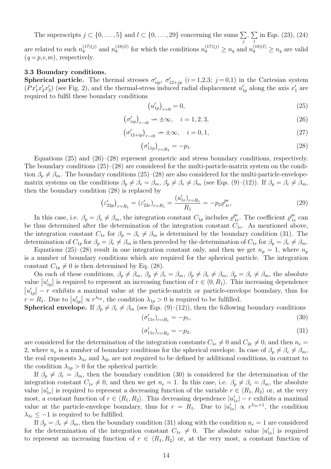The superscripts  $j \subset \{0, \ldots, 5\}$  and  $l \subset \{0, \ldots, 29\}$  concerning the sums  $\sum_{j}$ ,  $\sum$ in Eqs. (23), (24)

l are related to such  $n_q^{(17)(j)}$  and  $n_q^{(18)(l)}$  for which the conditions  $n_q^{(17)(j)} \ge n_q$  and  $n_q^{(18)(l)} \ge n_q$  are valid  $(q = p, e, m)$ , respectively.

#### 3.3 Boundary conditions.

**Spherical particle.** The thermal stresses  $\sigma'_{iip}$ ,  $\sigma'_{12+jp}$  ( $i=1,2,3; j=0,1$ ) in the Cartesian system  $(Px_1'x_2'x_3')$  (see Fig. 2), and the thermal-stress induced radial displacement  $u_{1p}'$  along the axis  $x_1'$  are required to fulfil these boundary conditions

$$
(u'_{1p})_{r=0} = 0,\t\t(25)
$$

$$
\left(\sigma'_{iip}\right)_{r\to 0} \to \pm \infty, \quad i = 1, 2, 3,
$$
\n<sup>(26)</sup>

$$
\left(\sigma'_{12+ip}\right)_{r\to 0} \to \pm \infty, \quad i = 0, 1,
$$
\n<sup>(27)</sup>

$$
\left(\sigma'_{11p}\right)_{r=R_1} = -p_1.\tag{28}
$$

Equations (25) and (26)–(28) represent geometric and stress boundary conditions, respectively. The boundary conditions (25)–(28) are considered for the multi-particle-matrix system on the condition  $\beta_p \neq \beta_m$ . The boundary conditions (25)–(28) are also considered for the multi-particle-envelopematrix systems on the conditions  $\beta_p \neq \beta_e = \beta_m$ ,  $\beta_p \neq \beta_e \neq \beta_m$  (see Eqs. (9)–(12)). If  $\beta_p = \beta_e \neq \beta_m$ , then the boundary condition (28) is replaced by

$$
\left(\varepsilon'_{22p}\right)_{r=R_1} = \left(\varepsilon'_{22e}\right)_{r=R_1} = \frac{(u'_{1e})_{r=R_1}}{R_1} = -p_2 \varrho_{1e}^{pe},\tag{29}
$$

In this case, i.e.  $\beta_p = \beta_e \neq \beta_m$ , the integration constant  $C_{1p}$  includes  $\rho_{1e}^{pe}$ <sup>pe</sup><sub>1e</sub>. The coefficient  $\rho_{1e}^{pe}$  $\frac{be}{1e}$  can be thus determined after the determination of the integration constant  $C_{1e}$ . As mentioned above, the integration constant  $C_{1e}$  for  $\beta_p = \beta_e \neq \beta_m$  is determined by the boundary condition (31). The determination of  $C_{1p}$  for  $\beta_p = \beta_e \neq \beta_m$  is then preceded by the determination of  $C_{1e}$  for  $\beta_p = \beta_e \neq \beta_m$ .

Equations (25)–(28) result in one integration constant only, and then we get  $n_p = 1$ , where  $n_p$ is a number of boundary conditions which are required for the spherical particle. The integration constant  $C_{1p} \neq 0$  is then determined by Eq. (28).

On each of these conditions,  $\beta_p \neq \beta_m$ ,  $\beta_p \neq \beta_e = \beta_m$ ,  $\beta_p \neq \beta_e \neq \beta_m$ ,  $\beta_p = \beta_e \neq \beta_m$ , the absolute value  $|u'_{1p}|$  is required to represent an increasing function of  $r \in \langle 0, R_1 \rangle$ . This increasing dependence  $|u'_{1p}| - r$  exhibits a maximal value at the particle-matrix or particle-envelope boundary, thus for  $r = R_1$ . Due to  $|u'_{1p}| \propto r^{\lambda_{1p}}$ , the condition  $\lambda_{1p} > 0$  is required to be fulfilled.

**Spherical envelope.** If 
$$
\beta_p \neq \beta_e \neq \beta_m
$$
 (see Eqs. (9)–(12)), then the following boundary conditions  $(\sigma'_{11e})_{r=R_1} = -p_1$ , (30)

$$
(\sigma'_{11e})_{r=R_2} = -p_2,\tag{31}
$$

are considered for the determination of the integration constants  $C_{1e} \neq 0$  and  $C_{2e} \neq 0$ , and then  $n_e =$ 2, where  $n_e$  is a number of boundary conditions for the spherical envelope. In case of  $\beta_p \neq \beta_e \neq \beta_m$ , the real exponents  $\lambda_{1e}$  and  $\lambda_{2e}$  are not required to be defined by additional conditions, in contrast to the condition  $\lambda_{1p} > 0$  for the spherical particle.

If  $\beta_p \neq \beta_e = \beta_m$ , then the boundary condition (30) is considered for the determination of the integration constant  $C_{1e} \neq 0$ , and then we get  $n_e = 1$ . In this case, i.e.  $\beta_p \neq \beta_e = \beta_m$ , the absolute value  $|u'_{1e}|$  is required to represent a decreasing function of the variable  $r \in \langle R_1, R_2 \rangle$  or, at the very most, a constant function of  $r \in \langle R_1, R_2 \rangle$ . This decreasing dependence  $|u'_{1e}| - r$  exhibits a maximal value at the particle-envelope boundary, thus for  $r = R_1$ . Due to  $|u'_{1e}| \propto r^{\lambda_{1e}+1}$ , the condition  $\lambda_{1e} \leq -1$  is required to be fulfilled.

If  $\beta_p = \beta_e \neq \beta_m$ , then the boundary condition (31) along with the condition  $n_e = 1$  are considered for the determination of the integration constant  $C_{1e} \neq 0$ . The absolute value  $|u'_{1e}|$  is required to represent an increasing function of  $r \in \langle R_1, R_2 \rangle$  or, at the very most, a constant function of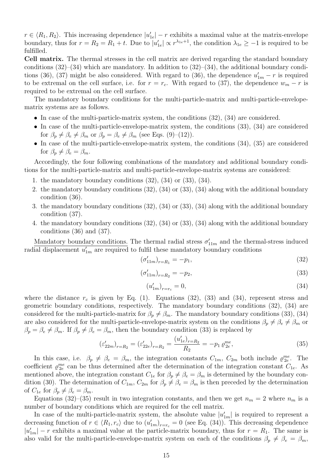$r \in \langle R_1, R_2 \rangle$ . This increasing dependence  $|u'_{1e}| - r$  exhibits a maximal value at the matrix-envelope boundary, thus for  $r = R_2 = R_1 + t$ . Due to  $|u'_{1e}| \propto r^{\lambda_{1e}+1}$ , the condition  $\lambda_{1e} \ge -1$  is required to be fulfilled.

Cell matrix. The thermal stresses in the cell matrix are derived regarding the standard boundary conditions  $(32)$ – $(34)$  which are mandatory. In addition to  $(32)$ – $(34)$ , the additional boundary conditions (36), (37) might be also considered. With regard to (36), the dependence  $u'_{1m} - r$  is required to be extremal on the cell surface, i.e. for  $r = r_c$ . With regard to (37), the dependence  $w_m - r$  is required to be extremal on the cell surface.

The mandatory boundary conditions for the multi-particle-matrix and multi-particle-envelopematrix systems are as follows.

- In case of the multi-particle-matrix system, the conditions (32), (34) are considered.
- In case of the multi-particle-envelope-matrix system, the conditions (33), (34) are considered for  $\beta_p \neq \beta_e \neq \beta_m$  or  $\beta_p = \beta_e \neq \beta_m$  (see Eqs. (9)–(12)).
- In case of the multi-particle-envelope-matrix system, the conditions (34), (35) are considered for  $\beta_p \neq \beta_e = \beta_m$ .

Accordingly, the four following combinations of the mandatory and additional boundary conditions for the multi-particle-matrix and multi-particle-envelope-matrix systems are considered:

- 1. the mandatory boundary conditions (32), (34) or (33), (34).
- 2. the mandatory boundary conditions (32), (34) or (33), (34) along with the additional boundary condition (36).
- 3. the mandatory boundary conditions (32), (34) or (33), (34) along with the additional boundary condition (37).
- 4. the mandatory boundary conditions (32), (34) or (33), (34) along with the additional boundary conditions (36) and (37).

Mandatory boundary conditions. The thermal radial stress  $\sigma'_{11m}$  and the thermal-stress induced radial displacement  $u'_{1m}$  are required to fulfil these mandatory boundary conditions

$$
(\sigma'_{11m})_{r=R_1} = -p_1,\tag{32}
$$

$$
(\sigma'_{11m})_{r=R_2} = -p_2,\tag{33}
$$

$$
(u'_{1m})_{r=r_c} = 0,\t\t(34)
$$

where the distance  $r_c$  is given by Eq. (1). Equations (32), (33) and (34), represent stress and geometric boundary conditions, respectively. The mandatory boundary conditions (32), (34) are considered for the multi-particle-matrix for  $\beta_p \neq \beta_m$ . The mandatory boundary conditions (33), (34) are also considered for the multi-particle-envelope-matrix system on the conditions  $\beta_p \neq \beta_e \neq \beta_m$  or  $\beta_p = \beta_e \neq \beta_m$ . If  $\beta_p \neq \beta_e = \beta_m$ , then the boundary condition (33) is replaced by

$$
\left(\varepsilon'_{22m}\right)_{r=R_2} = \left(\varepsilon'_{22e}\right)_{r=R_2} = \frac{\left(u'_{1e}\right)_{r=R_2}}{R_2} = -p_1 \,\varrho_{2e}^{me},\tag{35}
$$

In this case, i.e.  $\beta_p \neq \beta_e = \beta_m$ , the integration constants  $C_{1m}$ ,  $C_{2m}$  both include  $\varrho_{2e}^{me}$ . The coefficient  $\varrho_{2e}^{me}$  can be thus determined after the determination of the integration constant  $C_{1e}$ . As mentioned above, the integration constant  $C_{1e}$  for  $\beta_p \neq \beta_e = \beta_m$  is determined by the boundary condition (30). The determination of  $C_{1m}$ ,  $C_{2m}$  for  $\beta_p \neq \beta_e = \beta_m$  is then preceded by the determination of  $C_{1e}$  for  $\beta_p \neq \beta_e = \beta_m$ .

Equations (32)–(35) result in two integration constants, and then we get  $n_m = 2$  where  $n_m$  is a number of boundary conditions which are required for the cell matrix.

In case of the multi-particle-matrix system, the absolute value  $|u'_{1m}|$  is required to represent a decreasing function of  $r \in \langle R_1, r_c \rangle$  due to  $(u'_{1m})_{r=r_c} = 0$  (see Eq. (34)). This decreasing dependence  $|u'_{1m}| - r$  exhibits a maximal value at the particle-matrix boundary, thus for  $r = R_1$ . The same is also valid for the multi-particle-envelope-matrix system on each of the conditions  $\beta_p \neq \beta_e = \beta_m$ ,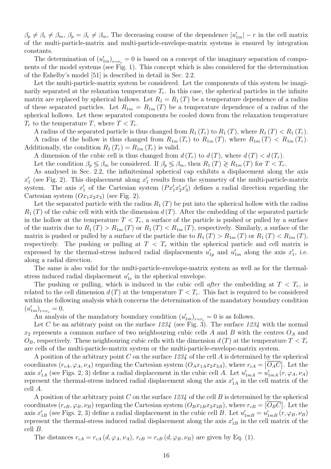$\beta_p \neq \beta_e \neq \beta_m$ ,  $\beta_p = \beta_e \neq \beta_m$ , The decreasing course of the dependence  $|u'_{1m}| - r$  in the cell matrix of the multi-particle-matrix and multi-particle-envelope-matrix systems is ensured by integration constants.

The determination of  $(u'_{1m})_{r=r_c} = 0$  is based on a concept of the imaginary separation of components of the model systems (see Fig. 1). This concept which is also considered for the determination of the Eshelby's model [51] is described in detail in Sec. 2.2.

Let the multi-particle-matrix system be considered. Let the components of this system be imaginarily separated at the relaxation temperature  $T_r$ . In this case, the spherical particles in the infinite matrix are replaced by spherical hollows. Let  $R_1 = R_1(T)$  be a temperature dependence of a radius of these separated particles. Let  $R_{1m} = R_{1m}(T)$  be a temperature dependence of a radius of the spherical hollows. Let these separated components be cooled down from the relaxation temperature  $T_r$  to the temperature T, where  $T < T_r$ .

A radius of the separated particle is thus changed from  $R_1(T_r)$  to  $R_1(T)$ , where  $R_1(T) < R_1(T_r)$ . A radius of the hollow is thus changed from  $R_{1m}(T_r)$  to  $R_{1m}(T)$ , where  $R_{1m}(T) < R_{1m}(T_r)$ . Additionally, the condition  $R_1(T_r) = R_{1m}(T_r)$  is valid.

A dimension of the cubic cell is thus changed from  $d(T_r)$  to  $d(T)$ , where  $d(T) < d(T_r)$ .

Let the condition  $\beta_p \leq \beta_m$  be considered. If  $\beta_p \leq \beta_m$ , then  $R_1(T) \geq R_{1m}(T)$  for  $T < T_r$ .

As analysed in Sec. 2.2, the infinitesimal spherical cap exhibits a displacement along the axis  $x'_1$  (see Fig. 2). This displacement along  $x'_1$  results from the symmetry of the multi-particle-matrix system. The axis  $x'_1$  of the Cartesian system  $(Px'_1x'_2x'_3)$  defines a radial direction regarding the Cartesian system  $(Ox_1x_2x_3)$  (see Fig. 2).

Let the separated particle with the radius  $R_1(T)$  be put into the spherical hollow with the radius  $R_1(T)$  of the cubic cell with with the dimension  $d(T)$ . After the embedding of the separated particle in the hollow at the temperature  $T < T_r$ , a surface of the particle is pushed or pulled by a surface of the matrix due to  $R_1(T) > R_{1m}(T)$  or  $R_1(T) < R_{1m}(T)$ , respectively. Similarly, a surface of the matrix is pushed or pulled by a surface of the particle due to  $R_1(T) > R_{1m}(T)$  or  $R_1(T) < R_{1m}(T)$ , respectively. The pushing or pulling at  $T < T_r$  within the spherical particle and cell matrix is expressed by the thermal-stress induced radial displacements  $u'_{1p}$  and  $u'_{1m}$  along the axis  $x'_{1}$ , i.e. along a radial direction.

The same is also valid for the multi-particle-envelope-matrix system as well as for the thermalstress induced radial displacement  $u'_{1e}$  in the spherical envelope.

The pushing or pulling, which is induced in the cubic cell after the embedding at  $T < T_r$ , is related to the cell dimension  $d(T)$  at the temperature  $T < T_r$ . This fact is required to be considered within the following analysis which concerns the determination of the mandatory boundary condition  $(u'_{1m})_{r=r_c} = 0.$ 

An analysis of the mandatory boundary condition  $(u'_{1m})_{r=r_c} = 0$  is as follows.

Let C be an arbitrary point on the surface  $1234$  (see Fig. 3). The surface  $1234$  with the normal  $x_2$  represents a common surface of two neighbouring cubic cells A and B with the centres  $O_A$  and  $O_B$ , respectively. These neighbouring cubic cells with the dimension  $d(T)$  at the temperature  $T < T_r$ are cells of the multi-particle-matrix system or the multi-particle-envelope-matrix system.

A position of the arbitrary point C on the surface  $1234$  of the cell A is determined by the spherical coordinates  $(r_{cA}, \varphi_A, \nu_A)$  regarding the Cartesian system  $(O_A x_{1A} x_2 x_{3A})$ , where  $r_{cA} = \left| \overline{O_A C} \right|$ . Let the axis  $x'_{1A}$  (see Figs. 2, 3) define a radial displacement in the cubic cell A. Let  $u'_{1mA} = u'_{1mA}$   $(r, \varphi_A, \nu_A)$ represent the thermal-stress induced radial displacement along the axis  $x'_{1A}$  in the cell matrix of the cell A.

A position of the arbitrary point C on the surface  $1234$  of the cell B is determined by the spherical coordinates  $(r_{cB}, \varphi_B, \nu_B)$  regarding the Cartesian system  $(O_B x_{1B} x_2 x_{3B})$ , where  $r_{cB} = |\overline{O_B C}|$ . Let the axis  $x'_{1B}$  (see Figs. 2, 3) define a radial displacement in the cubic cell B. Let  $u'_{1mB} = u'_{1mB}(r, \varphi_B, \nu_B)$ represent the thermal-stress induced radial displacement along the axis  $x'_{1B}$  in the cell matrix of the cell B.

The distances  $r_{cA} = r_{cA} (d, \varphi_A, \nu_A), r_{cB} = r_{cB} (d, \varphi_B, \nu_B)$  are given by Eq. (1).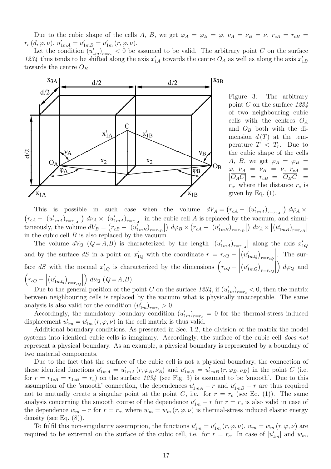Due to the cubic shape of the cells A, B, we get  $\varphi_A = \varphi_B = \varphi$ ,  $\nu_A = \nu_B = \nu$ ,  $r_{cA} = r_{cB}$  $r_c(d, \varphi, \nu), u'_{1mA} = u'_{1m} = u'_{1m}(r, \varphi, \nu).$ 

Let the condition  $(u'_{1m})_{r=r_c}$  < 0 be assumed to be valid. The arbitrary point C on the surface 1234 thus tends to be shifted along the axis  $x'_{1A}$  towards the centre  $O_A$  as well as along the axis  $x'_{1B}$ towards the centre  $O_B$ .



Figure 3: The arbitrary point C on the surface 1234 of two neighbouring cubic cells with the centres  $O<sub>A</sub>$ and  $O_B$  both with the dimension  $d(T)$  at the temperature  $T < T_r$ . Due to the cubic shape of the cells A, B, we get  $\varphi_A = \varphi_B =$  $\varphi$  $\begin{array}{c} \hline \end{array}$ ,  $\nu_A = \nu_B = \nu$ ,  $r_{cA} =$  $\left| \overline{O_A C} \right| = r_{cB} = \left| \overline{O_B C} \right| =$  $r_c$ , where the distance  $r_c$  is given by Eq.  $(1)$ .

This is possible in such case when the volume  $dV_A = (r_{cA} - |(u'_{1mA})_{r=r_{cA}}|) d\varphi_A \times$  $\begin{array}{c} \hline \end{array}$  $(r_{cA} - |(u'_{1mA})_{r=r_{cA}}|) d\nu_A \times |(u'_{1mA})_{r=r_{cA}}|$  in the cubic cell A is replaced by the vacuum, and simultaneously, the volume  $dV_B = (r_{cB} - |(u'_{1mB})_{r=r_{cB}}|) d\varphi_B \times (r_{cA} - |(u'_{1mB})_{r=r_{cB}}|) d\nu_A \times |(u'_{1mB})_{r=r_{cB}}|$ in the cubic cell  $B$  is also replaced by the vacuum.

The volume  $dV_Q$   $(Q = A, B)$  is characterized by the length  $|(u'_{1m}A)_{r=r_{cA}}|$  along the axis  $x'_{1Q}$ and by the surface dS in a point on  $x'_{1Q}$  with the coordinate  $r = r_{cQ} (u'_{1mQ})_{r=r_{cQ}}$ ¯ ¯ ¯ . The surface dS with the normal  $x'_{1Q}$  is characterized by the dimensions  $\left(r_{cQ} - \frac{1}{2}\right)$  $(u'_{1mQ})_{r=r_{cQ}}$ ¯ ¯ ¯  $\int d\varphi_Q$  and  $\left(r_{cQ}-\left|(u'_{1mQ})_{r=r_{cQ}}\right)$  $\bigcap d\nu_Q$   $(Q = A, B).$ 

Due to the general position of the point C on the surface 1234, if  $(u'_{1m})_{r=r_c} < 0$ , then the matrix between neighbouring cells is replaced by the vacuum what is physically unacceptable. The same analysis is also valid for the condition  $(u'_{1m})_{r=r_c} > 0$ .

Accordingly, the mandatory boundary condition  $(u'_{1m})_{r=r_c} = 0$  for the thermal-stress induced displacement  $u'_{1m} = u'_{1m}(r, \varphi, \nu)$  in the cell matrix is thus valid.

Additional boundary conditions. As presented in Sec. 1.2, the division of the matrix the model systems into identical cubic cells is imaginary. Accordingly, the surface of the cubic cell does not represent a physical boundary. As an example, a physical boundary is represented by a boundary of two material components.

Due to the fact that the surface of the cubic cell is not a physical boundary, the connection of these identical functions  $u'_{1mA} = u'_{1mA}(r, \varphi_A, \nu_A)$  and  $u'_{1mB} = u'_{1mB}(r, \varphi_B, \nu_B)$  in the point C (i.e. for  $r = r_{1cA} = r_{1cB} = r_c$ ) on the surface 1234 (see Fig. 3) is assumed to be 'smooth'. Due to this assumption of the 'smooth' connection, the dependences  $u'_{1mA} - r$  and  $u'_{1m} - r$  are thus required not to mutually create a singular point at the point C, i.e. for  $r = r_c$  (see Eq. (1)). The same analysis concerning the smooth course of the dependence  $u'_{1m} - r$  for  $r = r_c$  is also valid in case of the dependence  $w_m - r$  for  $r = r_c$ , where  $w_m = w_m (r, \varphi, \nu)$  is thermal-stress induced elastic energy density (see Eq.  $(8)$ ).

To fulfil this non-singularity assumption, the functions  $u'_{1m} = u'_{1m}(r, \varphi, \nu)$ ,  $w_m = w_m(r, \varphi, \nu)$  are required to be extremal on the surface of the cubic cell, i.e. for  $r = r_c$ . In case of  $|u'_{1m}|$  and  $w_m$ ,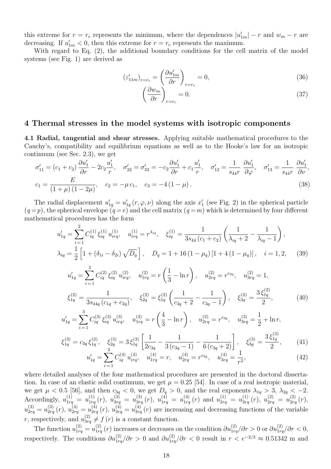this extreme for  $r = r_c$  represents the minimum, where the dependences  $|u'_{1m}| - r$  and  $w_m - r$  are decreasing. If  $u'_{1m} < 0$ , then this extreme for  $r = r_c$  represents the maximum.

With regard to Eq. (2), the additional boundary conditions for the cell matrix of the model systems (see Fig. 1) are derived as

$$
(\varepsilon'_{11m})_{r=r_c} = \left(\frac{\partial u'_{1m}}{\partial r}\right)_{r=r_c} = 0,
$$
\n(36)

$$
\left(\frac{\partial w_m}{\partial r}\right)_{r=r_c} = 0.\tag{37}
$$

#### 4 Thermal stresses in the model systems with isotropic components

4.1 Radial, tangential and shear stresses. Applying suitable mathematical procedures to the Cauchy's, compatibility and equilibrium equations as well as to the Hooke's law for an isotropic continuum (see Sec. 2.3), we get

$$
\sigma'_{11} = (c_1 + c_2) \frac{\partial u'_1}{\partial r} - 2c_2 \frac{u'_1}{r}, \quad \sigma'_{22} = \sigma'_{33} = -c_2 \frac{\partial u'_1}{\partial r} + c_1 \frac{u'_1}{r}, \quad \sigma'_{12} = \frac{1}{s_{44}r} \frac{\partial u'_1}{\partial \varphi}, \quad \sigma'_{13} = \frac{1}{s_{44}r} \frac{\partial u'_1}{\partial \nu},
$$
  

$$
c_1 = \frac{E}{(1 + \mu)(1 - 2\mu)}, \quad c_2 = -\mu c_1, \quad c_3 = -4(1 - \mu).
$$
 (38)

The radial displacement  $u'_{1q} = u'_{1q}(r, \varphi, \nu)$  along the axis  $x'_1$  (see Fig. 2) in the spherical particle  $(q = p)$ , the spherical envelope  $(q = e)$  and the cell matrix  $(q = m)$  which is determined by four different mathematical procedures has the form

$$
u'_{1q} = \sum_{i=1}^{2} C_{iq}^{(1)} \xi_{iq}^{(1)} u_{irq}^{(1)}, \quad u_{irq}^{(1)} = r^{\lambda_{iq}}, \quad \xi_{iq}^{(1)} = \frac{1}{3s_{44} (c_1 + c_2)} \left( \frac{1}{\lambda_{iq} + 2} - \frac{1}{\lambda_{iq} - 1} \right),
$$
  
\n
$$
\lambda_{iq} = \frac{1}{2} \left[ 1 + (\delta_{1i} - \delta_{2i}) \sqrt{D_q} \right], \quad D_q = 1 + 16 (1 - \mu_q) [1 + 4 (1 - \mu_q)], \quad i = 1, 2,
$$
 (39)  
\n
$$
u'_{1q} = \sum_{i=1}^{3} C_{iq}^{(2)} \xi_{iq}^{(2)} u_{irq}^{(2)}, \quad u_{1rq}^{(2)} = r \left( \frac{1}{3} - \ln r \right), \quad u_{2rq}^{(2)} = r^{c_{3q}}, \quad u_{3rq}^{(2)} = 1,
$$

$$
\xi_{1q}^{(2)} = \frac{1}{3s_{44q} (c_{1q} + c_{2q})}, \quad \xi_{2q}^{(2)} = \xi_{1q}^{(2)} \left( \frac{1}{c_{3q} + 2} - \frac{1}{c_{3q} - 1} \right), \quad \xi_{3q}^{(2)} = \frac{3 \xi_{1q}^{(2)}}{2},\tag{40}
$$

$$
u'_{1q} = \sum_{i=1}^{3} C_{iq}^{(3)} \xi_{iq}^{(3)} u_{iq}^{(3)}, \quad u_{1rq}^{(3)} = r \left(\frac{4}{3} - \ln r\right), \quad u_{2rq}^{(3)} = r^{c_{3q}}, \quad u_{3rq}^{(3)} = \frac{1}{2} + \ln r,
$$

$$
\xi_{1q}^{(3)} = c_{3q} \xi_{1q}^{(2)}, \quad \xi_{2q}^{(3)} = 3 \xi_{1q}^{(3)} \left[ \frac{1}{2c_{3q}} - \frac{1}{3(c_{3q} - 1)} - \frac{1}{6(c_{3q} + 2)} \right], \quad \xi_{3q}^{(3)} = \frac{3 \xi_{1q}^{(3)}}{2}, \tag{41}
$$

$$
u'_{1q} = \sum_{i=1}^{3} C_{iq}^{(4)} u_{irq}^{(4)}, \quad u_{1rq}^{(4)} = r, \quad u_{2rq}^{(4)} = r^{c_{3q}}, \quad u_{3rq}^{(4)} = \frac{1}{r^2}, \tag{42}
$$

where detailed analyses of the four mathematical procedures are presented in the doctoral dissertation. In case of an elastic solid continuum, we get  $\mu = 0.25$  [54]. In case of a real isotropic material, we get  $\mu < 0.5$  [56], and then  $c_{3q} < 0$ , we get  $D_q > 0$ , and the real exponents  $\lambda_{1q} > 3$ ,  $\lambda_{2q} < -2$ . Accordingly,  $u_{1rq}^{(1)} = u_{1rq}^{(1)}(r)$ ,  $u_{3rq}^{(3)} = u_{3rq}^{(3)}(r)$ ,  $u_{1rq}^{(4)} = u_{1rq}^{(4)}(r)$  and  $u_{2rq}^{(1)} = u_{2rq}^{(1)}(r)$ ,  $u_{2rq}^{(2)} = u_{2rq}^{(2)}(r)$ ,  $u_{2rq}^{(3)} = u_{2rq}^{(3)}(r)$ ,  $u_{2rq}^{(4)} = u_{2rq}^{(4)}(r)$ ,  $u_{3rq}^{(4)} = u_{3rq}^{(4)}(r)$  are increasing and decreasing functions of the variable r, respectively, and  $u_{3rq}^{(2)} \neq f(r)$  is a constant function.

The function  $u_{1rq}^{(2)} = u_{1rq}^{(2)}(r)$  increases or decreases on the condition  $\partial u_{1rq}^{(2)}/\partial r > 0$  or  $\partial u_{1rq}^{(2)}/\partial r < 0$ , respectively. The conditions  $\partial u_{1rq}^{(2)}/\partial r > 0$  and  $\partial u_{1rq}^{(2)}/\partial r < 0$  result in  $r < e^{-2/3} \approx 0.51342$  m and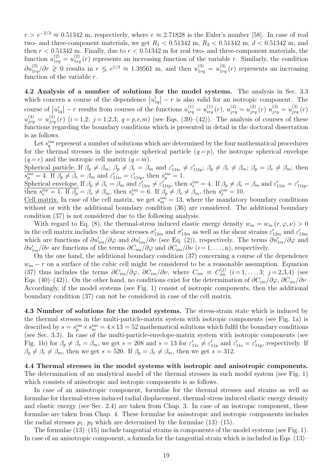$r > e^{-2/3} \approx 0.51342$  m, respectively, where  $e \approx 2.71828$  is the Euler's number [58]. In case of real two- and three-component materials, we get  $R_1 < 0.51342$  m,  $R_2 < 0.51342$  m,  $d < 0.51342$  m, and then  $r < 0.51342$  m. Finally, due to  $r < 0.51342$  m for real two- and three-component materials, the function  $u_{1rq}^{(2)} = u_{1rq}^{(2)}(r)$  represents an increasing function of the variable r. Similarly, the condition  $\partial u_{1rq}^{(3)}/\partial r \geq 0$  results in  $r \leq e^{1/3} \approx 1.39561$  m, and then  $u_{1rq}^{(3)} = u_{1rq}^{(3)}(r)$  represents an increasing function of the variable  $r$ .

4.2 Analysis of a number of solutions for the model systems. The analysis in Sec. 3.3 which concern a course of the dependence  $|u'_{1q}| - r$  is also valid for an isotropic component. The course of  $|u'_{1q}| - r$  results from courses of the functions  $u_{irq}^{(1)} = u_{irq}^{(1)}(r)$ ,  $u_{jrq}^{(2)} = u_{jrq}^{(2)}(r) u_{jrq}^{(3)} = u_{jrq}^{(3)}(r)$  $u_{jrq}^{(4)} = u_{jrq}^{(4)}(r)$   $(i=1,2; j=1,2,3; q=p,e,m)$  (see Eqs. (39)–(42)). The analysis of courses of these functions regarding the boundary conditions which is presented in detail in the doctoral dissertation is as follows.

Let  $s_q^{iso}$  represent a number of solutions which are determined by the four mathematical procedures for the thermal stresses in the isotropic spherical particle  $(q = p)$ , the isotropic spherical envelope  $(q = e)$  and the isotropic cell matrix  $(q = m)$ .

Spherical particle. If  $\beta_p \neq \beta_m$ ;  $\beta_p \neq \beta_e = \beta_m$  and  $\varepsilon'_{11te} \neq \varepsilon'_{11tp}$ ;  $\beta_p \neq \beta_e \neq \beta_m$ ;  $\beta_p = \beta_e \neq \beta_m$ ; then  $s_p^{iso} = 4$ . If  $\beta_p \neq \beta_e = \beta_m$  and  $\varepsilon'_{11te} = \varepsilon'_{11tp}$ , then  $s_p^{iso} = 1$ .

Spherical envelope. If  $\beta_p \neq \beta_e = \beta_m$  and  $\varepsilon'_{11te} \neq \varepsilon'_{11tp}$ , then  $s_e^{iso} = 4$ . If  $\beta_p \neq \beta_e = \beta_m$  and  $\varepsilon'_{11te} = \varepsilon'_{11tp}$ , then  $s_e^{iso} = 1$ . If  $\beta_p = \beta_e \neq \beta_m$ , then  $s_e^{iso} = 6$ . If  $\beta_p \neq \beta_e \neq \beta_m$ , then  $s_e^{iso} = 10$ .

Cell matrix. In case of the cell matrix, we get  $s_m^{iso} = 13$ , where the mandatory boundary conditions without or with the additional boundary condition (36) are considered. The additional boundary condition (37) is not considered due to the following analysis.

With regard to Eq. (8), the thermal-stress induced elastic energy density  $w_m = w_m (r, \varphi, \nu) > 0$ in the cell matrix includes the shear stresses  $\sigma'_{12m}$  and  $\sigma'_{13m}$  as well as the shear strains  $\varepsilon'_{12m}$  and  $\varepsilon'_{13m}$ which are functions of  $\partial u'_{1m}/\partial \varphi$  and  $\partial u'_{1m}/\partial \nu$  (see Eq. (2)), respectively. The terms  $\partial u'_{1m}/\partial \varphi$  and  $\partial u'_{1m}/\partial \nu$  are functions of the terms  $\partial C_{im}/\partial \varphi$  and  $\partial C_{im}/\partial \nu$   $(i = 1, ..., n)$ , respectively.

On the one hand, the additional boundary condition (37) concerning a course of the dependence  $w_m - r$  on a surface of the cubic cell might be considered to be a reasonable assumption. Equation (37) thus includes the terms  $\partial C_{im}/\partial \varphi$ ,  $\partial C_{im}/\partial \nu$ , where  $C_{im} \equiv C_{im}^{(j)}$   $(i=1,\ldots,3; j=2,3,4)$  (see Eqs. (40)–(42)). On the other hand, no conditions exist for the determination of  $\partial C_{im}/\partial \varphi$ ,  $\partial C_{im}/\partial \nu$ . Accordingly, if the model systems (see Fig. 1) consist of isotropic components, then the additional boundary condition (37) can not be considered in case of the cell matrix.

4.3 Number of solutions for the model systems. The stress-strain state which is induced by the thermal stresses in the multi-particle-matrix system with isotropic components (see Fig. 1a) is described by  $s = s_p^{iso} \times s_m^{iso} = 4 \times 13 = 52$  mathematical solutions which fulfil the boundary conditions (see Sec. 3.3). In case of the multi-particle-envelope-matrix system with isotropic components (see Fig. 1b) for  $\beta_p \neq \beta_e = \beta_m$ , we get  $s = 208$  and  $s = 13$  for  $\varepsilon'_{11e} \neq \varepsilon'_{11p}$  and  $\varepsilon'_{11e} = \varepsilon'_{11p}$ , respectively. If  $\beta_p \neq \beta_e \neq \beta_m$ , then we get  $s = 520$ . If  $\beta_p = \beta_e \neq \beta_m$ , then we get  $s = 312$ .

4.4 Thermal stresses in the model systems with isotropic and anisotropic components. The determination of an analytical model of the thermal stresses in such model system (see Fig. 1) which consists of anisotropic and isotropic components is as follows.

In case of an anisotropic component, formulae for the thermal stresses and strains as well as formulae for thermal-stress induced radial displacement, thermal-stress induced elastic energy density and elastic energy (see Sec. 2.4) are taken from Chap. 3. In case of an isotropic component, these formulae are taken from Chap. 4. These formulae for anisotropic and isotropic components includes the radial stresses  $p_1$ ,  $p_2$  which are determined by the formulae (13)–(15).

The formulae  $(13)$ – $(15)$  include tangential strains in components of the model systems (see Fig. 1). In case of an anisotropic component, a formula for the tangential strain which is included in Eqs. (13)–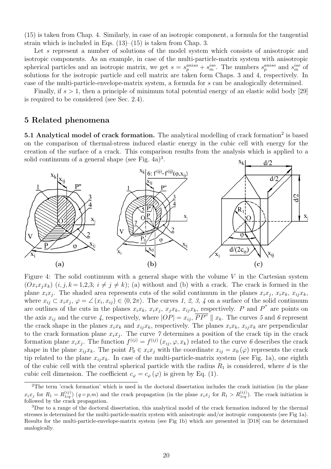(15) is taken from Chap. 4. Similarly, in case of an isotropic component, a formula for the tangential strain which is included in Eqs.  $(13)$ – $(15)$  is taken from Chap. 3.

Let s represent a number of solutions of the model system which consists of anisotropic and isotropic components. As an example, in case of the multi-particle-matrix system with anisotropic spherical particles and an isotropic matrix, we get  $s = s_p^{aniso} + s_m^{iso}$ . The numbers  $s_p^{aniso}$  and  $s_m^{iso}$  of solutions for the isotropic particle and cell matrix are taken form Chaps. 3 and 4, respectively. In case of the multi-particle-envelope-matrix system, a formula for s can be analogically determined.

Finally, if  $s > 1$ , then a principle of minimum total potential energy of an elastic solid body [29] is required to be considered (see Sec. 2.4).

## 5 Related phenomena

5.1 Analytical model of crack formation. The analytical modelling of crack formation<sup>2</sup> is based on the comparison of thermal-stress induced elastic energy in the cubic cell with energy for the creation of the surface of a crack. This comparison results from the analysis which is applied to a solid continuum of a general shape (see Fig.  $4a)^3$ .  $X_k$ 



Figure 4: The solid continuum with a general shape with the volume V in the Cartesian system  $(Ox_ix_ix_k)$   $(i, j, k = 1,2,3; i \neq j \neq k)$ ; (a) without and (b) with a crack. The crack is formed in the plane  $x_i x_j$ . The shaded area represents cuts of the solid continuum in the planes  $x_i x_j$ ,  $x_i x_k$ ,  $x_{ij} x_k$ , where  $x_{ij} \subset x_ix_j$ ,  $\varphi = \angle (x_i, x_{ij}) \in \langle 0, 2\pi \rangle$ . The curves 1, 2, 3, 4 on a surface of the solid continuum are outlines of the cuts in the planes  $x_i x_k$ ,  $x_i x_j$ ,  $x_j x_k$ ,  $x_{ij} x_k$ , respectively. P and P'' are points on the axis  $x_{ij}$  and the curve 4, respectively, where  $|OP| = x_{ij}$ ,  $\overline{PP''} \parallel x_k$ . The curves 5 and 6 represent the crack shape in the planes  $x_ix_k$  and  $x_{ij}x_k$ , respectively. The planes  $x_ix_k$ ,  $x_{ij}x_k$  are perpendicular to the crack formation plane  $x_i x_j$ . The curve 7 determines a position of the crack tip in the crack formation plane  $x_i x_j$ . The function  $f^{(ij)} = f^{(ij)}(x_{ij}, \varphi, x_k)$  related to the curve 6 describes the crack shape in the plane  $x_{ij}x_k$ . The point  $P_0 \in x_ix_j$  with the coordinate  $x_{ij} = x_0(\varphi)$  represents the crack tip related to the plane  $x_{ij}x_k$ . In case of the multi-particle-matrix system (see Fig. 1a), one eighth of the cubic cell with the central spherical particle with the radius  $R_1$  is considered, where d is the cubic cell dimension. The coefficient  $c_{\varphi} = c_{\varphi}(\varphi)$  is given by Eq. (1).

<sup>&</sup>lt;sup>2</sup>The term 'crack formation' which is used in the doctoral dissertation includes the crack initiation (in the plane  $x_ix_j$  for  $R_1 = R_{1cq}^{(ij)}$   $(q = p,m)$  and the crack propagation (in the plane  $x_ix_j$  for  $R_1 > R_{1cq}^{(ij)}$ ). The crack initiation is followed by the crack propagation.

<sup>&</sup>lt;sup>3</sup>Due to a range of the doctoral dissertation, this analytical model of the crack formation induced by the thermal stresses is determined for the multi-particle-matrix system with anisotropic and/or isotropic components (see Fig 1a). Results for the multi-particle-envelope-matrix system (see Fig 1b) which are presented in [D18] can be determined analogically.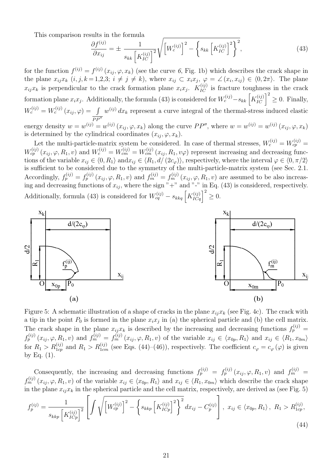This comparison results in the formula

$$
\frac{\partial f^{(ij)}}{\partial x_{ij}} = \pm \frac{1}{s_{kk} \left[ K_{IC}^{(ij)} \right]^2} \sqrt{\left[ W_c^{(ij)} \right]^2 - \left\{ s_{kk} \left[ K_{IC}^{(ij)} \right]^2 \right\}^2},\tag{43}
$$

for the function  $f^{(ij)} = f^{(ij)}(x_{ij}, \varphi, x_k)$  (see the curve 6, Fig. 1b) which describes the crack shape in the plane  $x_{ij}x_k$   $(i, j, k = 1, 2, 3; i \neq j \neq k$ , where  $x_{ij} \subset x_ix_j$ ,  $\varphi = \angle (x_i, x_{ij}) \in \langle 0, 2\pi \rangle$ . The plane  $x_{ij}x_k$  is perpendicular to the crack formation plane  $x_ix_j$ .  $K_{IC}^{(ij)}$  is fracture toughness in the crack formation plane  $x_ix_j$ . Additionally, the formula (43) is considered for  $W_c^{(ij)} - s_{kk} \left[K_{IC}^{(ij)}\right]^2 \geq 0$ . Finally,  $W_c^{(ij)} = W_c^{(ij)}\left(x_{ij}, \varphi\right) = \int$  $PP''$  $w^{(ij)} dx_k$  represent a curve integral of the thermal-stress induced elastic energy density  $w = w^{(ij)} = w^{(ij)} (x_{ij}, \varphi, x_k)$  along the curve  $PP''$ , where  $w = w^{(ij)} = w^{(ij)} (x_{ij}, \varphi, x_k)$ is determined by the cylindrical coordinates  $(x_{ij}, \varphi, x_k)$ .

Let the multi-particle-matrix system be considered. In case of thermal stresses,  $W_c^{(ij)} = W_{cp}^{(ij)} =$  $W_{cp}^{(ij)}(x_{ij},\varphi,R_1,v)$  and  $W_{c}^{(ij)}=W_{cm}^{(ij)}=W_{cm}^{(ij)}(x_{ij},R_1,v\varphi)$  represent increasing and decreasing functions of the variable  $x_{ij} \in (0, R_1)$  and  $x_{ij} \in (R_1, d/(2c_\varphi))$ , respectively, where the interval  $\varphi \in (0, \pi/2)$ is sufficient to be considered due to the symmetry of the multi-particle-matrix system (see Sec. 2.1. Accordingly,  $f_p^{(ij)} = f_p^{(ij)}(x_{ij}, \varphi, R_1, v)$  and  $f_m^{(ij)} = f_m^{(ij)}(x_{ij}, \varphi, R_1, v)$  are assumed to be also increasing and decreasing functions of  $x_{ij}$ , where the sign "+" and "-" in Eq. (43) is considered, respectively. Additionally, formula (43) is considered for  $W_{cq}^{(ij)} - s_{kkq} \left[ K_{ICq}^{(ij)} \right]^2 \geq 0$ .



Figure 5: A schematic illustration of a shape of cracks in the plane  $x_{ij}x_k$  (see Fig. 4c). The crack with a tip in the point  $P_0$  is formed in the plane  $x_i x_j$  in (a) the spherical particle and (b) the cell matrix. The crack shape in the plane  $x_{ij}x_k$  is described by the increasing and decreasing functions  $f_p^{(ij)} =$  $f_p^{(ij)}(x_{ij},\varphi,R_1,v)$  and  $f_m^{(ij)} = f_m^{(ij)}(x_{ij},\varphi,R_1,v)$  of the variable  $x_{ij} \in \langle x_{0p},R_1 \rangle$  and  $x_{ij} \in \langle R_1,x_{0m} \rangle$ for  $R_1 > R_{1cp}^{(ij)}$  and  $R_1 > R_{1cm}^{(ij)}$  (see Eqs. (44)–(46)), respectively. The coefficient  $c_\varphi = c_\varphi(\varphi)$  is given by Eq.  $(1)$ .

Consequently, the increasing and decreasing functions  $f_p^{(ij)} = f_p^{(ij)}(x_{ij}, \varphi, R_1, v)$  and  $f_m^{(ij)} =$  $f_m^{(ij)}(x_{ij}, \varphi, R_1, v)$  of the variable  $x_{ij} \in \langle x_{0p}, R_1 \rangle$  and  $x_{ij} \in \langle R_1, x_{0m} \rangle$  which describe the crack shape in the plane  $x_{ij}x_k$  in the spherical particle and the cell matrix, respectively, are derived as (see Fig. 5)

$$
f_p^{(ij)} = \frac{1}{s_{kkp} \left[ K_{ICp}^{(ij)} \right]^2} \left[ \int \sqrt{\left[ W_{cp}^{(ij)} \right]^2 - \left\{ s_{kkp} \left[ K_{ICp}^{(ij)} \right]^2 \right\}^2} \, dx_{ij} - C_p^{(ij)} \right], \ x_{ij} \in \langle x_{0p}, R_1 \rangle \,, \ R_1 > R_{1cp}^{(ij)} \tag{44}
$$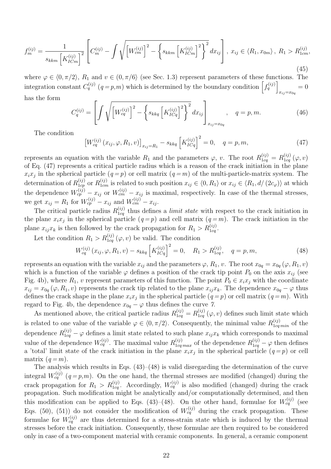$$
f_m^{(ij)} = \frac{1}{s_{kkm} \left[ K_{ICm}^{(ij)} \right]^2} \left[ C_m^{(ij)} - \int \sqrt{\left[ W_{cm}^{(ij)} \right]^2 - \left\{ s_{kkm} \left[ K_{ICm}^{(ij)} \right]^2 \right\}^2} \, dx_{ij} \right], \ x_{ij} \in \langle R_1, x_{0m} \rangle, \ R_1 > R_{1cm}^{(ij)}, \tag{45}
$$

where  $\varphi \in \langle 0, \pi/2 \rangle$ ,  $R_1$  and  $v \in (0, \pi/6)$  (see Sec. 1.3) represent parameters of these functions. The integration constant  $C_q^{(ij)}$   $(q = p,m)$  which is determined by the boundary condition  $\left[f_q^{(ij)}\right]$  $x_{ij} = x_{0q}$  $= 0$ has the form

$$
C_q^{(ij)} = \left[ \int \sqrt{\left[ W_{cq}^{(ij)} \right]^2 - \left\{ s_{kkq} \left[ K_{ICq}^{(ij)} \right]^2 \right\}^2} \, dx_{ij} \right]_{x_{ij} = x_{0q}}, \quad q = p, m. \tag{46}
$$

The condition

$$
\left[W_{cq}^{(ij)}\left(x_{ij}, \varphi, R_1, v\right)\right]_{x_{ij}=R_1} - s_{kkq} \left[K_{ICq}^{(ij)}\right]^2 = 0, \quad q = p, m,
$$
\n(47)

represents an equation with the variable  $R_1$  and the parameters  $\varphi$ , v. The root  $R_{1cq}^{(ij)} = R_{1cq}^{(ij)} (\varphi, v)$ of Eq. (47) represents a critical particle radius which is a reason of the crack initiation in the plane  $x_ix_j$  in the spherical particle  $(q = p)$  or cell matrix  $(q = m)$  of the multi-particle-matrix system. The determination of  $R_{1cp}^{(ij)}$  or  $R_{1cm}^{(ij)}$  is related to such position  $x_{ij} \in (0, R_1)$  or  $x_{ij} \in (R_1, d/(2c_\varphi))$  at which the dependence  $W_{cp}^{(ij)} - x_{ij}$  or  $W_{cm}^{(ij)} - x_{ij}$  is maximal, respectively. In case of the thermal stresses, we get  $x_{ij} = R_1$  for  $W_{cp}^{(ij)} - x_{ij}$  and  $W_{cm}^{(ij)} - x_{ij}$ .

The critical particle radius  $R_{1cq}^{(ij)}$  thus defines a *limit state* with respect to the crack initiation in the plane  $x_ix_j$  in the spherical particle  $(q=p)$  and cell matrix  $(q=m)$ . The crack initiation in the plane  $x_{ij}x_k$  is then followed by the crack propagation for  $R_1 > R_{1cq}^{(ij)}$ .

Let the condition  $R_1 > R_{1cq}^{(ij)}(\varphi, v)$  be valid. The condition

$$
W_{cq}^{(ij)}(x_{ij}, \varphi, R_1, v) - s_{kkq} \left[ K_{ICq}^{(ij)} \right]^2 = 0, \quad R_1 > R_{1cq}^{(ij)}, \quad q = p, m,
$$
\n(48)

represents an equation with the variable  $x_{ij}$  and the parameters  $\varphi$ ,  $R_1$ , v. The root  $x_{0q} = x_{0q}$  ( $\varphi$ ,  $R_1$ , v) which is a function of the variable  $\varphi$  defines a position of the crack tip point  $P_0$  on the axis  $x_{ii}$  (see Fig. 4b), where  $R_1$ , v represent parameters of this function. The point  $P_0 \in x_i x_j$  with the coordinate  $x_{ij} = x_{0q} (\varphi, R_1, v)$  represents the crack tip related to the plane  $x_{ij}x_k$ . The dependence  $x_{0q} - \varphi$  thus defines the crack shape in the plane  $x_i x_j$  in the spherical particle  $(q = p)$  or cell matrix  $(q = m)$ . With regard to Fig. 4b, the dependence  $x_{0q} - \varphi$  thus defines the curve 7.

As mentioned above, the critical particle radius  $R_{1cq}^{(ij)} = R_{1cq}^{(ij)} (\varphi, v)$  defines such limit state which is related to one value of the variable  $\varphi \in \langle 0, \pi/2 \rangle$ . Consequently, the minimal value  $R_{1cq\,min}^{(ij)}$  of the dependence  $R_{1cq}^{(ij)} - \varphi$  defines a limit state related to such plane  $x_{ij}x_k$  which corresponds to maximal value of the dependence  $W_{cq}^{(ij)}$ . The maximal value  $R_{1cq}^{(ij)}$  of the dependence  $R_{1cq}^{(ij)} - \varphi$  then defines a 'total' limit state of the crack initiation in the plane  $x_ix_j$  in the spherical particle  $(q=p)$  or cell matrix  $(q = m)$ .

The analysis which results in Eqs. (43)–(48) is valid disregarding the determination of the curve integral  $W_{cq}^{(ij)}$  ( $q = p,m$ ). On the one hand, the thermal stresses are modified (changed) during the crack propagation for  $R_1 > R_{1cq}^{(ij)}$ . Accordingly,  $W_{cq}^{(ij)}$  is also modified (changed) during the crack propagation. Such modification might be analytically and/or computationally determined, and then this modification can be applied to Eqs. (43)–(48). On the other hand, formulae for  $W_{cq}^{(ij)}$  (see Eqs. (50), (51)) do not consider the modification of  $W_{cq}^{(ij)}$  during the crack propagation. These formulae for  $W_{cq}^{(ij)}$  are thus determined for a stress-strain state which is induced by the thermal stresses before the crack initiation. Consequently, these formulae are then required to be considered only in case of a two-component material with ceramic components. In general, a ceramic component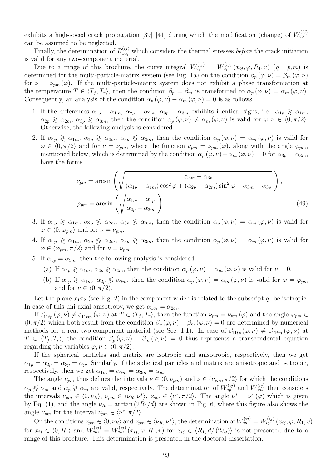exhibits a high-speed crack propagation [39]–[41] during which the modification (change) of  $W_{cq}^{(ij)}$ can be assumed to be neglected.

Finally, the determination of  $R_{1cq}^{(ij)}$  which considers the thermal stresses *before* the crack initiation is valid for any two-component material.

Due to a range of this brochure, the curve integral  $W_{cq}^{(ij)} = W_{cq}^{(ij)}(x_{ij}, \varphi, R_1, v)$   $(q = p,m)$  is determined for the multi-particle-matrix system (see Fig. 1a) on the condition  $\beta_p(\varphi,\nu) = \beta_m(\varphi,\nu)$ for  $\nu = \nu_{nm}(\varphi)$ . If the multi-particle-matrix system does not exhibit a phase transformation at the temperature  $T \in \langle T_f, T_r \rangle$ , then the condition  $\beta_p = \beta_m$  is transformed to  $\alpha_p(\varphi, \nu) = \alpha_m(\varphi, \nu)$ . Consequently, an analysis of the condition  $\alpha_p(\varphi, \nu) - \alpha_m(\varphi, \nu) = 0$  is as follows.

- 1. If the differences  $\alpha_{1p} \alpha_{1m}$ ,  $\alpha_{2p} \alpha_{2m}$ ,  $\alpha_{3p} \alpha_{3m}$  exhibits identical signs, i.e.  $\alpha_{1p} \geq \alpha_{1m}$ ,  $\alpha_{2p} \geq \alpha_{2m}, \ \alpha_{3p} \geq \alpha_{3m}$ , then the condition  $\alpha_p(\varphi, \nu) \neq \alpha_m(\varphi, \nu)$  is valid for  $\varphi, \nu \in \langle 0, \pi/2 \rangle$ . Otherwise, the following analysis is considered.
- 2. If  $\alpha_{1p} \geq \alpha_{1m}$ ,  $\alpha_{2p} \geq \alpha_{2m}$ ,  $\alpha_{3p} \leq \alpha_{3m}$ , then the condition  $\alpha_p(\varphi, \nu) = \alpha_m(\varphi, \nu)$  is valid for  $\varphi \in (0, \pi/2)$  and for  $\nu = \nu_{pm}$ , where the function  $\nu_{pm} = \nu_{pm}(\varphi)$ , along with the angle  $\varphi_{pm}$ , mentioned below, which is determined by the condition  $\alpha_p(\varphi,\nu)-\alpha_m(\varphi,\nu)=0$  for  $\alpha_{3p}=\alpha_{3m}$ , have the forms

$$
\nu_{pm} = \arcsin\left(\sqrt{\frac{\alpha_{3m} - \alpha_{3p}}{(\alpha_{1p} - \alpha_{1m})\cos^2\varphi + (\alpha_{2p} - \alpha_{2m})\sin^2\varphi + \alpha_{3m} - \alpha_{3p}}}\right),
$$

$$
\varphi_{pm} = \arcsin\left(\sqrt{\frac{\alpha_{1m} - \alpha_{1p}}{\alpha_{2p} - \alpha_{2m}}}\right).
$$
(49)

- 3. If  $\alpha_{1p} \geq \alpha_{1m}$ ,  $\alpha_{2p} \leq \alpha_{2m}$ ,  $\alpha_{3p} \leq \alpha_{3m}$ , then the condition  $\alpha_p(\varphi, \nu) = \alpha_m(\varphi, \nu)$  is valid for  $\varphi \in \langle 0, \varphi_{pm} \rangle$  and for  $\nu = \nu_{pm}$ .
- 4. If  $\alpha_{1p} \geq \alpha_{1m}$ ,  $\alpha_{2p} \leq \alpha_{2m}$ ,  $\alpha_{3p} \geq \alpha_{3m}$ , then the condition  $\alpha_p(\varphi, \nu) = \alpha_m(\varphi, \nu)$  is valid for  $\varphi \in \langle \varphi_{pm}, \pi/2 \rangle$  and for  $\nu = \nu_{pm}$ .
- 5. If  $\alpha_{3p} = \alpha_{3m}$ , then the following analysis is considered.
	- (a) If  $\alpha_{1p} \geq \alpha_{1m}$ ,  $\alpha_{2p} \geq \alpha_{2m}$ , then the condition  $\alpha_p(\varphi, \nu) = \alpha_m(\varphi, \nu)$  is valid for  $\nu = 0$ .
	- (b) If  $\alpha_{1p} \geq \alpha_{1m}$ ,  $\alpha_{2p} \leq \alpha_{2m}$ , then the condition  $\alpha_p(\varphi, \nu) = \alpha_m(\varphi, \nu)$  is valid for  $\varphi = \varphi_{pm}$ and for  $\nu \in \langle 0, \pi/2 \rangle$ .

Let the plane  $x_1x_2$  (see Fig. 2) in the component which is related to the subscript  $q_1$  be isotropic. In case of this uni-axial anisotropy, we get  $\alpha_{1q_1} = \alpha_{2q_1}$ .

If  $\varepsilon'_{11tp}(\varphi,\nu) \neq \varepsilon'_{11tm}(\varphi,\nu)$  at  $T \in \langle T_f, T_r \rangle$ , then the function  $\nu_{pm} = \nu_{pm}(\varphi)$  and the angle  $\varphi_{pm} \in$  $\langle 0, \pi/2 \rangle$  which both result from the condition  $\beta_p(\varphi, \nu) - \beta_m(\varphi, \nu) = 0$  are determined by numerical methods for a real two-component material (see Sec. 1.1). In case of  $\varepsilon'_{11tp}(\varphi,\nu) \neq \varepsilon'_{11tm}(\varphi,\nu)$  at  $T \in \langle T_f, T_r \rangle$ , the condition  $\beta_p(\varphi, \nu) - \beta_m(\varphi, \nu) = 0$  thus represents a transcendental equation regarding the variables  $\varphi, \nu \in \langle 0, \pi/2 \rangle$ .

If the spherical particles and matrix are isotropic and anisotropic, respectively, then we get  $\alpha_{1p} = \alpha_{2p} = \alpha_{3p} = \alpha_p$ . Similarly, if the spherical particles and matrix are anisotropic and isotropic, respectively, then we get  $\alpha_{1m} = \alpha_{2m} = \alpha_{3m} = \alpha_m$ .

The angle  $\nu_{pm}$  thus defines the intervals  $\nu \in (0, \nu_{pm})$  and  $\nu \in (\nu_{pm}, \pi/2)$  for which the conditions  $\alpha_p \leq \alpha_m$  and  $\alpha_p \geq \alpha_m$  are valid, respectively. The determination of  $W_{cp}^{(ij)}$  and  $W_{cm}^{(ij)}$  then considers the intervals  $\nu_{pm} \in \langle 0, \nu_R \rangle$ ,  $\nu_{pm} \in \langle \nu_R, \nu^* \rangle$ ,  $\nu_{pm} \in \langle \nu^*, \pi/2 \rangle$ . The angle  $\nu^* = \nu^* (\varphi)$  which is given by Eq. (1), and the angle  $\nu_R = \arctan(2R_1/d)$  are shown in Fig. 6, where this figure also shows the angle  $\nu_{pm}$  for the interval  $\nu_{pm} \in \langle \nu^*, \pi/2 \rangle$ .

On the conditions  $\nu_{pm} \in (0, \nu_R)$  and  $\nu_{pm} \in (\nu_R, \nu^*)$ , the determination of  $W_{cp}^{(ij)} = W_{cp}^{(ij)}(x_{ij}, \varphi, R_1, v)$ for  $x_{ij} \in \langle 0, R_1 \rangle$  and  $W_{cm}^{(ij)} = W_{cm}^{(ij)}(x_{ij}, \varphi, R_1, v)$  for  $x_{ij} \in \langle R_1, d/(2c_{\varphi}) \rangle$  is not presented due to a range of this brochure. This determination is presented in the doctoral dissertation.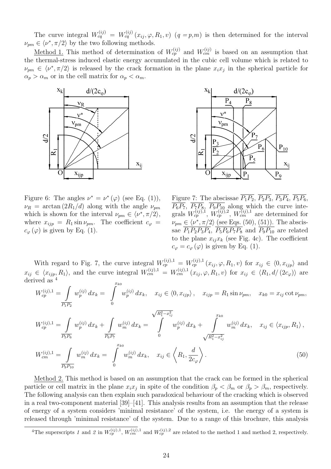The curve integral  $W_{cq}^{(ij)} = W_{cq}^{(ij)}(x_{ij}, \varphi, R_1, v)$  ( $q = p, m$ ) is then determined for the interval  $\nu_{pm} \in \langle \nu^*, \pi/2 \rangle$  by the two following methods.

Method 1. This method of determination of  $W_{cp}^{(ij)}$  and  $W_{cm}^{(ij)}$  is based on an assumption that the thermal-stress induced elastic energy accumulated in the cubic cell volume which is related to  $\nu_{pm} \in \langle \nu^*, \pi/2 \rangle$  is released by the crack formation in the plane  $x_i x_j$  in the spherical particle for  $\alpha_p > \alpha_m$  or in the cell matrix for  $\alpha_p < \alpha_m$ .



Figure 6: The angles  $\nu^* = \nu^*(\varphi)$  (see Eq. (1)),  $\nu_R = \arctan(2R_1/d)$  along with the angle  $\nu_{nm}$ which is shown for the interval  $\nu_{pm} \in \langle \nu^*, \pi/2 \rangle$ , where  $x_{ijp} = R_1 \sin \nu_{pm}$ . The coefficient  $c_{\varphi} =$  $c_{\varphi}(\varphi)$  is given by Eq. (1).



Figure 7: The abscissae  $\overline{P_1P_2}$ ,  $\overline{P_2P_3}$ ,  $\overline{P_3P_4}$ ,  $\overline{P_5P_6}$ ,  $P_6P_7$ ,  $P_7P_8$ ,  $P_9P_{10}$  along which the curve integrals  $W_{cp}^{(ij),1}$ ,  $W_{cp}^{(ij),2}$ ,  $W_{cm}^{(ij),1}$  are determined for  $\nu_{pm} \in \langle \nu^*, \pi/2 \rangle$  (see Eqs. (50), (51)). The abscissae  $\overline{P_1P_2P_3P_4}$ ,  $\overline{P_5P_6P_7P_8}$  and  $\overline{P_9P_{10}}$  are related to the plane  $x_{ij}x_k$  (see Fig. 4c). The coefficient  $c_{\varphi} = c_{\varphi}(\varphi)$  is given by Eq. (1).

With regard to Fig. 7, the curve integral  $W_{cp}^{(ij),1} = W_{cp}^{(ij),1}(x_{ij}, \varphi, R_1, v)$  for  $x_{ij} \in \langle 0, x_{ijp} \rangle$  and  $x_{ij} \in \langle x_{ijp}, R_1 \rangle$ , and the curve integral  $W_{cm}^{(ij),1} = W_{cm}^{(ij),1}(x_{ij}, \varphi, R_1, v)$  for  $x_{ij} \in \langle R_1, d/(2c_{\varphi}) \rangle$  are derived as  $4$ 

$$
W_{cp}^{(ij),1} = \int_{\overline{P_1 P_2}} w_p^{(ij)} dx_k = \int_0^{x_{k0}} w_p^{(ij)} dx_k, \quad x_{ij} \in \langle 0, x_{ijp} \rangle, \quad x_{ijp} = R_1 \sin \nu_{pm}, \quad x_{k0} = x_{ij} \cot \nu_{pm},
$$
  

$$
W_{cp}^{(ij),1} = \int_{\overline{P_5 P_6}} w_p^{(ij)} dx_k + \int_{\overline{P_6 P_7}} w_m^{(ij)} dx_k = \int_0^{\sqrt{R_1^2 - x_{ij}^2}} w_p^{(ij)} dx_k + \int_{\sqrt{R_1^2 - x_{ij}^2}}^{x_{k0}} w_m^{(ij)} dx_k, \quad x_{ij} \in \langle x_{ijp}, R_1 \rangle,
$$
  

$$
W_{cm}^{(ij),1} = \int_{\overline{P_9 P_{10}}} w_m^{(ij)} dx_k = \int_0^{x_{k0}} w_m^{(ij)} dx_k, \quad x_{ij} \in \left\langle R_1, \frac{d}{2c_{\varphi}} \right\rangle.
$$
  
(50)

Method 2. This method is based on an assumption that the crack can be formed in the spherical particle or cell matrix in the plane  $x_i x_j$  in spite of the condition  $\beta_p < \beta_m$  or  $\beta_p > \beta_m$ , respectively. The following analysis can then explain such paradoxical behaviour of the cracking which is observed in a real two-component material [39]–[41]. This analysis results from an assumption that the release of energy of a system considers 'minimal resistance' of the system, i.e. the energy of a system is released through 'minimal resistance' of the system. Due to a range of this brochure, this analysis

<sup>&</sup>lt;sup>4</sup>The superscripts 1 and 2 in  $W_{cp}^{(ij),1}$ ,  $W_{cm}^{(ij),1}$  and  $W_{cp}^{(ij),2}$  are related to the method 1 and method 2, respectively.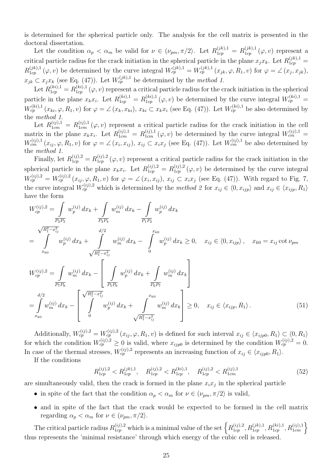is determined for the spherical particle only. The analysis for the cell matrix is presented in the doctoral dissertation.

Let the condition  $\alpha_p < \alpha_m$  be valid for  $\nu \in (\nu_{pm}, \pi/2)$ . Let  $R_{1cp}^{(jk),1} = R_{1cp}^{(jk),1}(\varphi, v)$  represent a critical particle radius for the crack initiation in the spherical particle in the plane  $x_j x_k$ . Let  $R_{1cp}^{(jk),1} =$  $R_{1cp}^{(jk),1}(\varphi, v)$  be determined by the curve integral  $W_{cp}^{(jk),1} = W_{cp}^{(jk),1}(x_{jk}, \varphi, R_1, v)$  for  $\varphi = \angle(x_j, x_{jk}),$  $x_{jk} \subset x_j x_k$  (see Eq. (47)). Let  $W_{cp}^{(jk),1}$  be determined by the method 1.

Let  $R_{1cp}^{(ki),1} = R_{1cp}^{(ki),1} (\varphi, v)$  represent a critical particle radius for the crack initiation in the spherical particle in the plane  $x_k x_i$ . Let  $R_{1cp}^{(ki),1} = R_{1cp}^{(ki),1} (\varphi, v)$  be determined by the curve integral  $W_{cp}^{(ki),1} =$  $W_{cp}^{(ki),1}(x_{ki}, \varphi, R_1, v)$  for  $\varphi = \angle (x_k, x_{ki}), x_{ki} \subset x_k x_i$  (see Eq. (47)). Let  $W_{cp}^{(ki),1}$  be also determined by the method 1.

Let  $R_{1cm}^{(ij),1} = R_{1cm}^{(ij),1}(\varphi, v)$  represent a critical particle radius for the crack initiation in the cell matrix in the plane  $x_k x_i$ . Let  $R_{1cm}^{(ij),1} = R_{1cm}^{(ij),1} (\varphi, v)$  be determined by the curve integral  $W_{cm}^{(ij),1} =$  $W_{cm}^{(ij),1}(x_{ij},\varphi,R_1,v)$  for  $\varphi = \angle(x_i,x_{ij}), x_{ij} \subset x_ix_j$  (see Eq. (47)). Let  $W_{cm}^{(ij),1}$  be also determined by the method 1.

Finally, let  $R_{1cp}^{(ij),2} = R_{1cp}^{(ij),2} (\varphi, v)$  represent a critical particle radius for the crack initiation in the spherical particle in the plane  $x_k x_i$ . Let  $R_{1cp}^{(ij),2} = R_{1cp}^{(ij),2} (\varphi, v)$  be determined by the curve integral  $W_{cp}^{(ij),2} = W_{cp}^{(ij),2}(x_{ij},\varphi,R_1,v)$  for  $\varphi = \angle(x_i,x_{ij}), x_{ij} \subset x_ix_j$  (see Eq. (47)). With regard to Fig. 7, the curve integral  $W_{cp}^{(ij),2}$  which is determined by the method 2 for  $x_{ij} \in \langle 0, x_{ijp} \rangle$  and  $x_{ij} \in \langle x_{ijp}, R_1 \rangle$ have the form

$$
W_{cp}^{(ij),2} = \int_{\frac{P_2P_3}{P_2P_3}} w_p^{(ij)} dx_k + \int_{\frac{P_3P_4}{P_3P_4}} w_m^{(ij)} dx_k - \int_{\frac{P_1P_2}{P_1P_2}} w_p^{(ij)} dx_k
$$
  
\n
$$
= \int_{x_{k0}} w_p^{(ij)} dx_k + \int_{\frac{P_1^2 - x_{ij}^2}{P_1P_2}} w_m^{(ij)} dx_k - \int_0^{x_{k0}} w_p^{(ij)} dx_k \ge 0, \quad x_{ij} \in \langle 0, x_{ijp} \rangle, \quad x_{k0} = x_{ij} \cot \nu_{pm}
$$
  
\n
$$
W_{cp}^{(ij),2} = \int_{\frac{P_1P_8}{P_1P_8}} w_m^{(ij)} dx_k - \left[ \int_{\frac{P_3P_6}{P_3P_6}} w_p^{(ij)} dx_k + \int_{\frac{P_6P_7}{P_6P_7}} w_m^{(ij)} dx_k \right]
$$
  
\n
$$
= \int_{x_{k0}}^{d/2} w_m^{(ij)} dx_k - \left[ \int_{0}^{\sqrt{R_1^2 - x_{ij}^2}} w_p^{(ij)} dx_k + \int_{\frac{P_6P_7}{P_1P_1}x_{ij}^2} x_{ik0}^{(ij)} dx_k \right] \ge 0, \quad x_{ij} \in \langle x_{ijp}, R_1 \rangle.
$$
 (51)

Additionally,  $W_{cp}^{(ij),2} = W_{cp}^{(ij),2} (x_{ij}, \varphi, R_1, v)$  is defined for such interval  $x_{ij} \in \langle x_{ijp0}, R_1 \rangle \subset (0, R_1)$ for which the condition  $W_{cp}^{(ij),2} \geq 0$  is valid, where  $x_{ijp0}$  is determined by the condition  $W_{cp}^{(ij),2} = 0$ . In case of the thermal stresses,  $W_{cp}^{(ij),2}$  represents an increasing function of  $x_{ij} \in \langle x_{ijp0}, R_1 \rangle$ .

If the conditions

$$
R_{1cp}^{(ij),2} < R_{1cp}^{(jk),1}, \quad R_{1cp}^{(ij),2} < R_{1cp}^{(ki),1}, \quad R_{1cp}^{(ij),2} < R_{1cm}^{(ij),1} \tag{52}
$$

are simultaneously valid, then the crack is formed in the plane  $x_i x_j$  in the spherical particle

- in spite of the fact that the condition  $\alpha_p < \alpha_m$  for  $\nu \in (\nu_{pm}, \pi/2)$  is valid,
- and in spite of the fact that the crack would be expected to be formed in the cell matrix regarding  $\alpha_p < \alpha_m$  for  $\nu \in (\nu_{pm}, \pi/2)$ .

The critical particle radius  $R_{1cp}^{(ij),2}$  which is a minimal value of the set  $\left\{R_{1cp}^{(ij),2}, R_{1cp}^{(jk),1}, R_{1cp}^{(ki),1}, R_{1cm}^{(ij),1}\right\}$ thus represents the 'minimal resistance' through which energy of the cubic cell is released.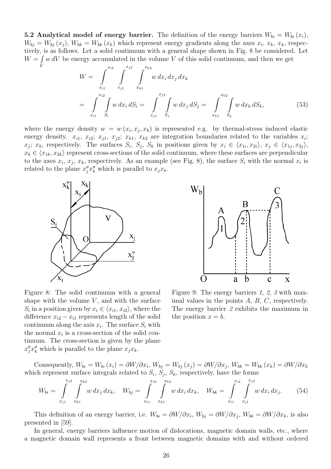5.2 Analytical model of energy barrier. The definition of the energy barriers  $W_{bi} = W_{bi} (x_i)$ ,  $W_{bj} = W_{bj} (x_j)$ ,  $W_{bk} = W_{bk} (x_k)$  which represent energy gradients along the axes  $x_i, x_k, x_k$ , respectively, is as follows. Let a solid continuum with a general shape shown in Fig. 8 be considered. Let  $W = \int w dV$  be energy accumulated in the volume V of this solid continuum, and then we get V  $x_{j2}$  $x_{k2}$ 

$$
W = \int_{x_{i1}}^{x_{i2}} \int_{x_{j1}}^{x_{j2}} \int_{x_{k1}}^{x_{k2}} w \, dx_i \, dx_j \, dx_k
$$
  
= 
$$
\int_{x_{i1}}^{x_{i2}} \int_{S_i} w \, dx_i \, dS_i = \int_{x_{j1}}^{x_{j2}} \int_{S_j} w \, dx_j \, dS_j = \int_{x_{k1}}^{x_{k2}} \int_{S_k} w \, dx_k \, dS_k,
$$
 (53)

where the energy density  $w = w(x_i, x_j, x_k)$  is represented e.g. by thermal-stress induced elastic energy density.  $x_{i1}, x_{i2}, x_{j1}, x_{j2}, x_{k1}, x_{k2}$  are integration boundaries related to the variables  $x_i$ ;  $x_j$ ;  $x_k$ , respectively. The surfaces  $S_i$ ,  $S_j$ ,  $S_k$  in positions given by  $x_i \in \langle x_{1i}, x_{2i} \rangle$ ,  $x_j \in \langle x_{1j}, x_{2j} \rangle$ ,  $x_k \in \langle x_{1k}, x_{2k} \rangle$  represent cross-sections of the solid continuum, where these surfaces are perpendicular to the axes  $x_i, x_j, x_k$ , respectively. As an example (see Fig. 8), the surface  $S_i$  with the normal  $x_i$  is related to the plane  $x''_j x''_k$  which is parallel to  $x_j x_k$ .





Figure 8: The solid continuum with a general shape with the volume  $V$ , and with the surface  $S_i$  in a position given by  $x_i \in \langle x_{i1}, x_{i2} \rangle$ , where the difference  $x_{i2} - x_{i1}$  represents length of the solid continuum along the axis  $x_i$ . The surface  $S_i$  with the normal  $x_i$  is a cross-section of the solid continuum. The cross-section is given by the plane  $x''_j x''_k$  which is parallel to the plane  $x_j x_k$ .

Figure 9: The energy barriers 1, 2, 3 with maximal values in the points  $A, B, C$ , respectively. The energy barrier 2 exhibits the maximum in the position  $x = b$ .

Consequently,  $W_{bi} = W_{bi}(x_i) = \partial W/\partial x_i$ ,  $W_{bj} = W_{bj}(x_j) = \partial W/\partial x_j$ ,  $W_{bk} = W_{bk}(x_k) = \partial W/\partial x_k$ which represent surface integrals related to  $S_i$ ,  $S_j$ ,  $S_k$ , respectively, have the forms

$$
W_{bi} = \int_{x_{j1}}^{x_{j2}} \int_{x_{k1}}^{x_{k2}} w \, dx_j \, dx_k, \quad W_{bj} = \int_{x_{i1}}^{x_{i2}} \int_{x_{k1}}^{x_{k2}} w \, dx_i \, dx_k, \quad W_{bk} = \int_{x_{i1}}^{x_{i2}} \int_{x_{j1}}^{x_{j2}} w \, dx_i \, dx_j. \tag{54}
$$

This definition of an energy barrier, i.e.  $W_{bi} = \partial W/\partial x_i$ ,  $W_{bj} = \partial W/\partial x_j$ ,  $W_{bk} = \partial W/\partial x_k$ , is also presented in [59].

In general, energy barriers influence motion of dislocations, magnetic domain walls, etc., where a magnetic domain wall represents a front between magnetic domains with and without ordered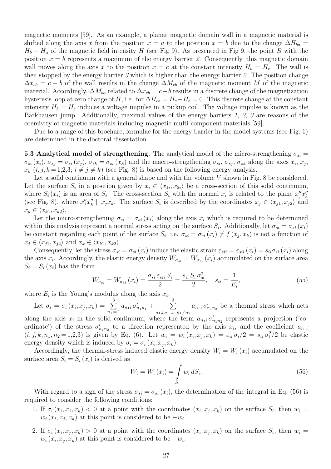magnetic moments [59]. As an example, a planar magnetic domain wall in a magnetic material is shifted along the axis x from the position  $x = a$  to the position  $x = b$  due to the change  $\Delta H_{ba} =$  $H_b - H_a$  of the magnetic field intensity H (see Fig 9). As presented in Fig 9, the point B with the position  $x = b$  represents a maximum of the energy barrier 2. Consequently, this magnetic domain wall moves along the axis x to the position  $x = c$  at the constant intensity  $H_b = H_c$ . The wall is then stopped by the energy barrier 3 which is higher than the energy barrier 2. The position change  $\Delta x_{cb} = c - b$  of the wall results in the change  $\Delta M_{cb}$  of the magnetic moment M of the magnetic material. Accordingly,  $\Delta M_{ba}$  related to  $\Delta x_{cb} = c - b$  results in a discrete change of the magnetization hysteresis loop at zero change of H, i.e. for  $\Delta H_{cb} = H_c - H_b = 0$ . This discrete change at the constant intensity  $H_b = H_c$  induces a voltage impulse in a pickup coil. The voltage impulse is known as the Barkhausen jump. Additionally, maximal values of the energy barriers 1, 2, 3 are reasons of the coercivity of magnetic materials including magnetic multi-component materials [59].

Due to a range of this brochure, formulae for the energy barrier in the model systems (see Fig. 1) are determined in the doctoral dissertation.

5.3 Analytical model of strengthening. The analytical model of the micro-strengthening  $\sigma_{si} =$  $\sigma_{si}(x_i)$ ,  $\sigma_{sj} = \sigma_{si}(x_j)$ ,  $\sigma_{sk} = \sigma_{si}(x_k)$  and the macro-strengthening  $\overline{\sigma}_{si}$ ,  $\overline{\sigma}_{sj}$ ,  $\overline{\sigma}_{sk}$  along the axes  $x_i$ ,  $x_j$ ,  $x_k$   $(i, j, k = 1, 2, 3; i \neq j \neq k)$  (see Fig. 8) is based on the following energy analysis.

Let a solid continuum with a general shape and with the volume  $V$  shown in Fig. 8 be considered. Let the surface  $S_i$  in a position given by  $x_i \in \langle x_{1i}, x_{2i} \rangle$  be a cross-section of this solid continuum, where  $S_i(x_i)$  is an area of  $S_i$ . The cross-section  $S_i$  with the normal  $x_i$  is related to the plane  $x''_j x''_k$ (see Fig. 8), where  $x''_j x''_k \parallel x_j x_k$ . The surface  $S_i$  is described by the coordinates  $x_j \in \langle x_{j1}, x_{j2} \rangle$  and  $x_k \in \langle x_{k1}, x_{k2} \rangle$ .

Let the micro-strengthening  $\sigma_{si} = \sigma_{si}(x_i)$  along the axis  $x_i$  which is required to be determined within this analysis represent a normal stress acting on the surface  $S_i$ . Additionally, let  $\sigma_{si} = \sigma_{si}(x_i)$ be constant regarding each point of the surface  $S_i$ , i.e.  $\sigma_{si} = \sigma_{si}(x_i) \neq f(x_j, x_k)$  is not a function of  $x_i \in \langle x_{i1}, x_{i2} \rangle$  and  $x_k \in \langle x_{k1}, x_{k2} \rangle$ .

Consequently, let the stress  $\sigma_{si} = \sigma_{si}(x_i)$  induce the elastic strain  $\varepsilon_{si} = \varepsilon_{si}(x_i) = s_{ii}\sigma_{si}(x_i)$  along the axis  $x_i$ . Accordingly, the elastic energy density  $W_{\sigma_{si}} = W_{\sigma_{si}}(x_i)$  accumulated on the surface area  $S_i = S_i(x_i)$  has the form

$$
W_{\sigma_{si}} = W_{\sigma_{si}}(x_i) = \frac{\sigma_{si} \,\varepsilon_{sii} \, S_i}{2} = \frac{s_{ii} \, S_i \, \sigma_{si}^2}{2}, \quad s_{ii} = \frac{1}{E_i},\tag{55}
$$

where  $E_i$  is the Young's modulus along the axis  $x_i$ .

Let  $\sigma_i = \sigma_i(x_i, x_j, x_k) = \sum$ 3  $n_1 = 1$  $a_{n_1i} \, \sigma'_{n_1n_1} + \sum$ 3  $n_1, n_2=1; n_1 \neq n_2$  $a_{n_1i} \sigma'_{n_1n_2}$  be a thermal stress which acts

along the axis  $x_i$  in the solid continuum, where the term  $a_{n_1i} \sigma'_{n_1n_2}$  represents a projection ('coordinate') of the stress  $\sigma'_{n_1 n_2}$  to a direction represented by the axis  $x_i$ , and the coefficient  $a_{n_1 i}$  $(i, j, k, n_1, n_2 = 1, 2, 3)$  is given by Eq. (6). Let  $w_i = w_i(x_i, x_j, x_k) = \varepsilon_{ii} \sigma_i/2 = s_{ii} \sigma_i^2/2$  be elastic energy density which is induced by  $\sigma_i = \sigma_i(x_i, x_j, x_k)$ .

Accordingly, the thermal-stress induced elastic energy density  $W_i = W_i(x_i)$  accumulated on the surface area  $S_i = S_i(x_i)$  is derived as

$$
W_i = W_i(x_i) = \int\limits_{S_i} w_i \, dS_i. \tag{56}
$$

With regard to a sign of the stress  $\sigma_{si} = \sigma_{si}(x_i)$ , the determination of the integral in Eq. (56) is required to consider the following conditions:

- 1. If  $\sigma_i(x_i, x_j, x_k)$  < 0 at a point with the coordinates  $(x_i, x_j, x_k)$  on the surface  $S_i$ , then  $w_i =$  $w_i(x_i, x_j, x_k)$  at this point is considered to be  $-w_i$ .
- 2. If  $\sigma_i(x_i, x_j, x_k) > 0$  at a point with the coordinates  $(x_i, x_j, x_k)$  on the surface  $S_i$ , then  $w_i =$  $w_i(x_i, x_j, x_k)$  at this point is considered to be  $+w_i$ .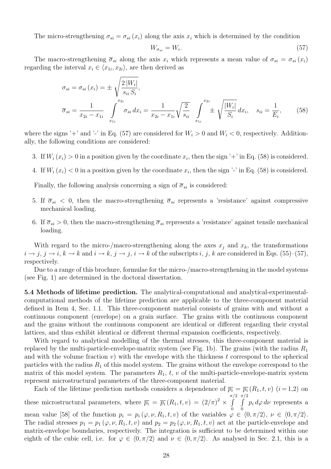The micro-strengthening  $\sigma_{si} = \sigma_{si}(x_i)$  along the axis  $x_i$  which is determined by the condition

$$
W_{\sigma_{si}} = W_i. \tag{57}
$$

The macro-strengthening  $\overline{\sigma}_{si}$  along the axis  $x_i$  which represents a mean value of  $\sigma_{si} = \sigma_{si}(x_i)$ regarding the interval  $x_i \in \langle x_{1i}, x_{2i} \rangle$ , are then derived as

$$
\sigma_{si} = \sigma_{si}(x_i) = \pm \sqrt{\frac{2|W_i|}{s_{ii} S_i}},
$$
\n
$$
\overline{\sigma}_{si} = \frac{1}{x_{2i} - x_{1i}} \int_{x_{1i}}^{x_{2i}} \sigma_{si} dx_i = \frac{1}{x_{2i} - x_{1i}} \sqrt{\frac{2}{s_{ii}}} \int_{x_{1i}}^{x_{2i}} \pm \sqrt{\frac{|W_i|}{S_i}} dx_i, \quad s_{ii} = \frac{1}{E_i},
$$
\n(58)

where the signs '+' and '-' in Eq. (57) are considered for  $W_i > 0$  and  $W_i < 0$ , respectively. Additionally, the following conditions are considered:

- 3. If  $W_i(x_i) > 0$  in a position given by the coordinate  $x_i$ , then the sign '+' in Eq. (58) is considered.
- 4. If  $W_i(x_i) < 0$  in a position given by the coordinate  $x_i$ , then the sign '-' in Eq. (58) is considered.

Finally, the following analysis concerning a sign of  $\overline{\sigma}_{si}$  is considered:

- 5. If  $\overline{\sigma}_{si}$  < 0, then the macro-strengthening  $\overline{\sigma}_{si}$  represents a 'resistance' against compressive mechanical loading.
- 6. If  $\overline{\sigma}_{si} > 0$ , then the macro-strengthening  $\overline{\sigma}_{si}$  represents a 'resistance' against tensile mechanical loading.

With regard to the micro-/macro-strengthening along the axes  $x_j$  and  $x_k$ , the transformations  $i \to j$ ,  $j \to i$ ,  $k \to k$  and  $i \to k$ ,  $j \to j$ ,  $i \to k$  of the subscripts i, j, k are considered in Eqs. (55)–(57), respectively.

Due to a range of this brochure, formulae for the micro-/macro-strengthening in the model systems (see Fig. 1) are determined in the doctoral dissertation.

5.4 Methods of lifetime prediction. The analytical-computational and analytical-experimentalcomputational methods of the lifetime prediction are applicable to the three-component material defined in Item 4, Sec. 1.1. This three-component material consists of grains with and without a continuous component (envelope) on a grain surface. The grains with the continuous component and the grains without the continuous component are identical or different regarding their crystal lattices, and thus exhibit identical or different thermal expansion coefficients, respectively.

With regard to analytical modelling of the thermal stresses, this three-component material is replaced by the multi-particle-envelope-matrix system (see Fig. 1b). The grains (with the radius  $R_1$ and with the volume fraction v) with the envelope with the thickness t correspond to the spherical particles with the radius  $R_1$  of this model system. The grains without the envelope correspond to the matrix of this model system. The parameters  $R_1$ , t, v of the multi-particle-envelope-matrix system represent microstructural parameters of the three-component material.

Each of the lifetime prediction methods considers a dependence of  $\overline{p_i} = \overline{p_i} (R_1, t, v)$   $(i = 1, 2)$  on these microstructural parameters, where  $\overline{p_i} = \overline{p_i} (R_1, t, v) = (2/\pi)^2 \times \int_0^{\pi/2}$ R 0  $\pi/2$ R 0  $p_i d\varphi d\nu$  represents a mean value [58] of the function  $p_i = p_i(\varphi, \nu, R_1, t, v)$  of the variables  $\varphi \in (0, \pi/2), \nu \in (0, \pi/2)$ . The radial stresses  $p_1 = p_1(\varphi, \nu, R_1, t, v)$  and  $p_2 = p_2(\varphi, \nu, R_1, t, v)$  act at the particle-envelope and matrix-envelope boundaries, respectively. The integration is sufficient to be determined within one eighth of the cubic cell, i.e. for  $\varphi \in \langle 0, \pi/2 \rangle$  and  $\nu \in \langle 0, \pi/2 \rangle$ . As analysed in Sec. 2.1, this is a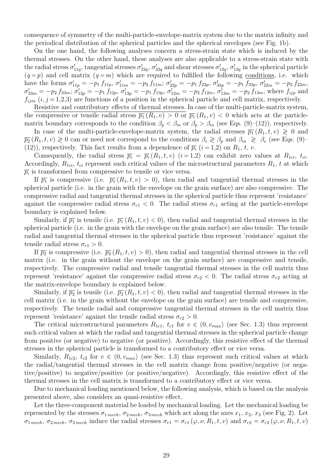consequence of symmetry of the multi-particle-envelope-matrix system due to the matrix infinity and the periodical distribution of the spherical particles and the spherical envelopes (see Fig. 1b).

On the one hand, the following analyses concern a stress-strain state which is induced by the thermal stresses. On the other hand, these analyses are also applicable to a stress-strain state with the radial stress  $\sigma'_{11q}$ , tangential stresses  $\sigma'_{22q}$ ,  $\sigma'_{33q}$  and shear stresses  $\sigma'_{12q}$ ,  $\sigma'_{13q}$  in the spherical particle  $(q = p)$  and cell matrix  $(q = m)$  which are required to fulfilled the following conditions, i.e. which have the forms  $\sigma'_{11p} = -p_1 f_{11p}, \sigma'_{11m} = -p_2 f_{11m}; \sigma'_{22p} = -p_1 f_{22p}, \sigma'_{33p} = -p_1 f_{33p}, \sigma'_{22m} = -p_2 f_{22m},$  $\sigma'_{33m} = -p_2 f_{33m}$ ;  $\sigma'_{12p} = -p_1 f_{12p}$ ,  $\sigma'_{13p} = -p_1 f_{13p}$ ,  $\sigma'_{12m} = -p_2 f_{12m}$ ,  $\sigma'_{13m} = -p_2 f_{13m}$ , where  $f_{ijp}$  and  $f_{ijm}$   $(i, j = 1, 2, 3)$  are functions of a position in the spherical particle and cell matrix, respectively.

Resistive and contributory effects of thermal stresses. In case of the multi-particle-matrix system, the compressive or tensile radial stress  $\overline{p_1}(R_1, v) > 0$  or  $\overline{p_1}(R_1, v) < 0$  which acts at the particlematrix boundary corresponds to the condition  $\beta_p < \beta_m$  or  $\beta_p > \beta_m$  (see Eqs. (9)–(12)), respectively.

In case of the multi-particle-envelope-matrix system, the radial stresses  $\overline{p_1}(R_1, t, v) \geq 0$  and  $\overline{p_2}(R_1,t,v) \geq 0$  can or need not correspond to the conditions  $\beta_e \geq \beta_p$  and  $\beta_m \geq \beta_e$  (see Eqs. (9)– (12)), respectively. This fact results from a dependence of  $\overline{p_i}$   $(i=1,2)$  on  $R_1$ , t, v.

Consequently, the radial stress  $\overline{p_i} = \overline{p_i}(R_1, t, v)$   $(i = 1, 2)$  can exhibit zero values at  $R_{1ci}$ ,  $t_{ci}$ . Accordingly,  $R_{1ci}$ ,  $t_{ci}$  represent such critical values of the microstructural parameters  $R_1$ , t at which  $\overline{p_i}$  is transformed from compressive to tensile or vice versa.

If  $\overline{p_1}$  is compressive (i.e.  $\overline{p_1}(R_1, t, v) > 0$ ), then radial and tangential thermal stresses in the spherical particle (i.e. in the grain with the envelope on the grain surface) are also compressive. The compressive radial and tangential thermal stresses in the spherical particle thus represent 'resistance' against the compressive radial stress  $\sigma_{r1} < 0$ . The radial stress  $\sigma_{r1}$  acting at the particle-envelope boundary is explained below.

Similarly, if  $\overline{p_1}$  is tensile (i.e.  $\overline{p_1}(R_1, t, v) < 0$ ), then radial and tangential thermal stresses in the spherical particle (i.e. in the grain with the envelope on the grain surface) are also tensile. The tensile radial and tangential thermal stresses in the spherical particle thus represent 'resistance' against the tensile radial stress  $\sigma_{r1} > 0$ .

If  $\overline{p_2}$  is compressive (i.e.  $\overline{p_2}(R_1,t,v) > 0$ ), then radial and tangential thermal stresses in the cell matrix (i.e. in the grain without the envelope on the grain surface) are compressive and tensile, respectively. The compressive radial and tensile tangential thermal stresses in the cell matrix thus represent 'resistance' against the compressive radial stress  $\sigma_{r2}$  < 0. The radial stress  $\sigma_{r2}$  acting at the matrix-envelope boundary is explained below.

Similarly, if  $\overline{p_2}$  is tensile (i.e.  $\overline{p_2}(R_1, t, v) < 0$ ), then radial and tangential thermal stresses in the cell matrix (i.e. in the grain without the envelope on the grain surface) are tensile and compressive, respectively. The tensile radial and compressive tangential thermal stresses in the cell matrix thus represent 'resistance' against the tensile radial stress  $\sigma_{r2} > 0$ .

The critical microstructural parameters  $R_{1c1}$ ,  $t_{c1}$  for  $v \in (0, v_{max})$  (see Sec. 1.3) thus represent such critical values at which the radial and tangential thermal stresses in the spherical particle change from positive (or negative) to negative (or positive). Accordingly, this resistive effect of the thermal stresses in the spherical particle is transformed to a contributory effect or vice versa.

Similarly,  $R_{1c2}$ ,  $t_{c2}$  for  $v \in (0, v_{max})$  (see Sec. 1.3) thus represent such critical values at which the radial/tangential thermal stresses in the cell matrix change from positive/negative (or negative/positive) to negative/positive (or positive/negative). Accordingly, this resistive effect of the thermal stresses in the cell matrix is transformed to a contributory effect or vice versa.

Due to mechanical loading mentioned below, the following analysis, which is based on the analysis presented above, also considers an quasi-resistive effect.

Let the three-component material be loaded by mechanical loading. Let the mechanical loading be represented by the stresses  $\sigma_{1 \text{ mech}}$ ,  $\sigma_{2 \text{ mech}}$ ,  $\sigma_{3 \text{ mech}}$  which act along the axes  $x_1, x_2, x_3$  (see Fig. 2). Let  $\sigma_{1,mech}$ ,  $\sigma_{2,mech}$ ,  $\sigma_{3,mech}$  induce the radial stresses  $\sigma_{r1} = \sigma_{r1}(\varphi,\nu,R_1,t,v)$  and  $\sigma_{r2} = \sigma_{r2}(\varphi,\nu,R_1,t,v)$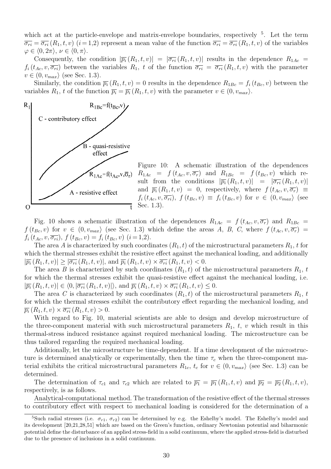which act at the particle-envelope and matrix-envelope boundaries, respectively <sup>5</sup>. Let the term  $\overline{\sigma_{ri}} = \overline{\sigma_{ri}}(R_1, t, v)$   $(i = 1, 2)$  represent a mean value of the function  $\overline{\sigma_{ri}} = \overline{\sigma_{ri}}(R_1, t, v)$  of the variables  $\varphi \in \langle 0, 2\pi \rangle, \, \nu \in \langle 0, \pi \rangle.$ 

Consequently, the condition  $|\overline{p_i}(R_1,t,v)| = |\overline{\sigma_{ri}}(R_1,t,v)|$  results in the dependence  $R_{1Ac}$  $f_i(t_{Ac}, v, \overline{\sigma_{ri}})$  between the variables  $R_1$ , t of the function  $\overline{\sigma_{ri}} = \overline{\sigma_{ri}}(R_1, t, v)$  with the parameter  $v \in (0, v_{max})$  (see Sec. 1.3).

Similarly, the condition  $\overline{p_i}(R_1, t, v) = 0$  results in the dependence  $R_{1Bc} = f_i(t_{Bc}, v)$  between the variables  $R_1$ , t of the function  $\overline{p_i} = \overline{p_i} (R_1, t, v)$  with the parameter  $v \in (0, v_{max})$ .



Figure 10: A schematic illustration of the dependences  $R_{1Ac} = f(t_{Ac}, v, \overline{\sigma}_r)$   $R_{1Ac} = f(t_{Ac}, v, \overline{\sigma}_r)$  and  $R_{1Bc} = f(t_{Bc}, v)$  which result from the conditions  $|\overline{p_i}(R_1,t,v)| = |\overline{\sigma_{ri}}(R_1,t,v)|$ and  $\overline{p_i}(R_1, t, v) = 0$ , respectively, where  $f(t_{Ac}, v, \overline{\sigma_r}) \equiv$  $f_i(t_{Ac}, v, \overline{\sigma_{ri}}), f(t_{Bc}, v) \equiv f_i(t_{Bc}, v)$  for  $v \in (0, v_{max})$  (see  $\bar{ }$  Sec. 1.3).

Fig. 10 shows a schematic illustration of the dependences  $R_{1Ac} = f(t_{Ac}, v, \overline{\sigma_r})$  and  $R_{1Bc} =$  $f(t_{Bc}, v)$  for  $v \in (0, v_{max})$  (see Sec. 1.3) which define the areas A, B, C, where  $f(t_{Ac}, v, \overline{\sigma_r}) =$  $f_i(t_{Ac}, v, \overline{\sigma_{ri}}), f(t_{Bc}, v) = f_i(t_{Bc}, v)$   $(i = 1, 2).$ 

The area A is characterized by such coordinates  $(R_1, t)$  of the microstructural parameters  $R_1$ , t for which the thermal stresses exhibit the resistive effect against the mechanical loading, and additionally  $|\overline{p_i}(R_1,t,v)| \geq |\overline{\sigma_{ri}}(R_1,t,v)|$ , and  $\overline{p_i}(R_1,t,v) \times \overline{\sigma_{ri}}(R_1,t,v) < 0$ .

The area B is characterized by such coordinates  $(R_1, t)$  of the microstructural parameters  $R_1, t$ for which the thermal stresses exhibit the quasi-resistive effect against the mechanical loading, i.e.  $|\overline{p_i}(R_1, t, v)| \in \langle 0, |\overline{\sigma_{ri}}(R_1, t, v)| \rangle$ , and  $\overline{p_i}(R_1, t, v) \times \overline{\sigma_{ri}}(R_1, t, v) \leq 0$ .

The area C is characterized by such coordinates  $(R_1, t)$  of the microstructural parameters  $R_1, t$ for which the thermal stresses exhibit the contributory effect regarding the mechanical loading, and  $\overline{p_i}(R_1,t,v) \times \overline{\sigma_{ri}}(R_1,t,v) > 0.$ 

With regard to Fig. 10, material scientists are able to design and develop microstructure of the three-component material with such microstructural parameters  $R_1$ ,  $t$ ,  $v$  which result in this thermal-stress induced resistance against required mechanical loading. The microstructure can be thus tailored regarding the required mechanical loading.

Additionally, let the microstructure be time-dependent. If a time development of the microstructure is determined analytically or experimentally, then the time  $\tau_c$  when the three-component material exhibits the critical microstructural parameters  $R_{1c}$ ,  $t_c$  for  $v \in (0, v_{max})$  (see Sec. 1.3) can be determined.

The determination of  $\tau_{c1}$  and  $\tau_{c2}$  which are related to  $\overline{p_1} = \overline{p_1}(R_1, t, v)$  and  $\overline{p_2} = \overline{p_2}(R_1, t, v)$ , respectively, is as follows.

Analytical-computational method. The transformation of the resistive effect of the thermal stresses to contributory effect with respect to mechanical loading is considered for the determination of a

<sup>&</sup>lt;sup>5</sup>Such radial stresses (i.e.  $\sigma_{r1}$ ,  $\sigma_{r2}$ ) can be determined by e.g. the Eshelby's model. The Eshelby's model and its development [20,21,28,51] which are based on the Green's function, ordinary Newtonian potential and biharmonic potential define the disturbance of an applied stress-field in a solid continuum, where the applied stress-field is disturbed due to the presence of inclusions in a solid continuum.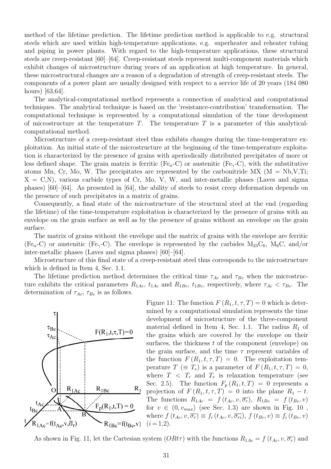method of the lifetime prediction. The lifetime prediction method is applicable to e.g. structural steels which are used within high-temperature applications, e.g. superheater and reheater tubing and piping in power plants. With regard to the high-temperature applications, these structural steels are creep-resistant [60]–[64]. Creep-resistant steels represent multi-component materials which exhibit changes of microstructure during years of an application at high temperature. In general, these microstructural changes are a reason of a degradation of strength of creep-resistant steels. The components of a power plant are usually designed with respect to a service life of 20 years (184 080 hours) [63,64].

The analytical-computational method represents a connection of analytical and computational techniques. The analytical technique is based on the 'resistance-contribution' transformation. The computational technique is represented by a computational simulation of the time development of microstructure at the temperature  $T$ . The temperature  $T$  is a parameter of this analyticalcomputational method.

Microstructure of a creep-resistant steel thus exhibits changes during the time-temperature exploitation. An initial state of the microstructure at the beginning of the time-temperature exploitation is characterized by the presence of grains with aperiodically distributed precipitates of more or less defined shape. The grain matrix is ferritic (Fe<sub> $\alpha$ </sub>-C) or austenitic (Fe<sub> $\alpha$ </sub>-C), with the substitutive atoms Mn, Cr, Mo, W. The precipitates are represented by the carbonitride MX  $(M = Nb, V, Ti;$  $X = C, N$ , various carbide types of Cr, Mo, V, W, and inter-metallic phases (Laves and sigma phases) [60]–[64]. As presented in [64], the ability of steels to resist creep deformation depends on the presence of such precipitates in a matrix of grains.

Consequently, a final state of the microstructure of the structural steel at the end (regarding the lifetime) of the time-temperature exploitation is characterized by the presence of grains with an envelope on the grain surface as well as by the presence of grains without an envelope on the grain surface.

The matrix of grains without the envelope and the matrix of grains with the envelope are ferritic  $(F_{\rm \acute{e}_\alpha-C})$  or austenitic (Fe<sub> $\gamma$ </sub>-C). The envelope is represented by the carbides  $M_{23}C_6$ ,  $M_6C$ , and/or inter-metallic phases (Laves and sigma phases) [60]–[64].

Microstructure of this final state of a creep-resistant steel thus corresponds to the microstructure which is defined in Item 4, Sec. 1.1.

The lifetime prediction method determines the critical time  $\tau_{Ac}$  and  $\tau_{Bc}$  when the microstructure exhibits the critical parameters  $R_{1Ac}$ ,  $t_{1Ac}$  and  $R_{1Bc}$ ,  $t_{1Bc}$ , respectively, where  $\tau_{Ac} < \tau_{Bc}$ . The determination of  $\tau_{Ac}$ ,  $\tau_{Bc}$  is as follows.



Figure 11: The function  $F(R_1, t, \tau, T) = 0$  which is determined by a computational simulation represents the time development of microstructure of the three-component material defined in Item 4, Sec. 1.1. The radius  $R_1$  of the grains which are covered by the envelope on their surfaces, the thickness  $t$  of the component (envelope) on the grain surface, and the time  $\tau$  represent variables of the function  $F(R_1, t, \tau, T) = 0$ . The exploitation temperature  $T \equiv T_e$ ) is a parameter of  $F(R_1, t, \tau, T) = 0$ , where  $T < T_r$  and  $T_r$  is relaxation temperature (see Sec. 2.5). The function  $F_p(R_1, t, T) = 0$  represents a projection of  $F(R_1, t, \tau, T) = 0$  into the plane  $R_1 - t$ . The functions  $R_{1Ac} = f(t_{Ac}, v, \overline{\sigma_r})$ ,  $R_{1Bc} = f(t_{Bc}, v)$ for  $v \in (0, v_{max})$  (see Sec. 1.3) are shown in Fig. 10, where  $f(t_{Ac}, v, \overline{\sigma_r}) \equiv f_i(t_{Ac}, v, \overline{\sigma_{ri}}), f(t_{Bc}, v) \equiv f_i(t_{Bc}, v)$ 

As shown in Fig. 11, let the Cartesian system  $(ORt\tau)$  with the functions  $R_{1Ac} = f(t_{Ac}, v, \overline{\sigma_r})$  and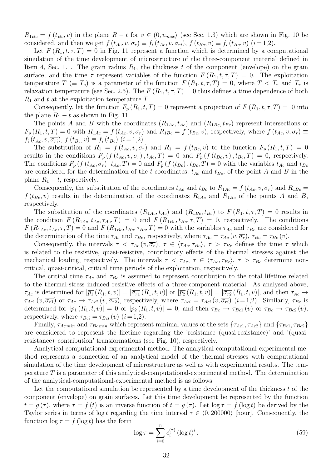$R_{1Bc} = f(t_{Bc}, v)$  in the plane  $R - t$  for  $v \in (0, v_{max})$  (see Sec. 1.3) which are shown in Fig. 10 be considered, and then we get  $f(t_{Ac}, v, \overline{\sigma_r}) \equiv f_i(t_{Ac}, v, \overline{\sigma_{ri}}), f(t_{Bc}, v) \equiv f_i(t_{Bc}, v)$   $(i = 1, 2)$ .

Let  $F(R_1, t, \tau, T) = 0$  in Fig. 11 represent a function which is determined by a computational simulation of the time development of microstructure of the three-component material defined in Item 4, Sec. 1.1. The grain radius  $R_1$ , the thickness t of the component (envelope) on the grain surface, and the time  $\tau$  represent variables of the function  $F(R_1, t, \tau, T) = 0$ . The exploitation temperature  $T \equiv T_e$  is a parameter of the function  $F(R_1, t, \tau, T) = 0$ , where  $T < T_r$  and  $T_r$  is relaxation temperature (see Sec. 2.5). The  $F(R_1, t, \tau, T) = 0$  thus defines a time dependence of both  $R_1$  and t at the exploitation temperature T.

Consequently, let the function  $F_p(R_1, t, T) = 0$  represent a projection of  $F(R_1, t, \tau, T) = 0$  into the plane  $R_1 - t$  as shown in Fig. 11.

The points A and B with the coordinates  $(R_{1Ac}, t_{Ac})$  and  $(R_{1Bc}, t_{Bc})$  represent intersections of  $F_p(R_1, t, T) = 0$  with  $R_{1Ac} = f(t_{Ac}, v, \overline{\sigma_r})$  and  $R_{1Bc} = f(t_{Bc}, v)$ , respectively, where  $f(t_{Ac}, v, \overline{\sigma_r}) \equiv$  $f_i(t_{Ac}, v, \overline{\sigma_{ri}}), f(t_{Bc}, v) \equiv f_i(t_{Bc})$   $(i = 1, 2).$ 

The substitution of  $R_1 = f(t_{Ac}, v, \overline{\sigma_r})$  and  $R_1 = f(t_{Bc}, v)$  to the function  $F_p(R_1, t, T) = 0$ results in the conditions  $F_p(f(t_{Ac}, v, \overline{\sigma_r}), t_{Ac}, T) = 0$  and  $F_p(f(t_{Bc}, v), t_{Bc}, T) = 0$ , respectively. The conditions  $F_p(f(t_{Ac}, \overline{\sigma_r}), t_{Ac}, T) = 0$  and  $F_p(f(t_{Bc}), t_{Bc}, T) = 0$  with the variables  $t_{Ac}$  and  $t_{Bc}$ are considered for the determination of the t-coordinates,  $t_{Ac}$  and  $t_{Bc}$ , of the point A and B in the plane  $R_1 - t$ , respectively.

Consequently, the substitution of the coordinates  $t_{Ac}$  and  $t_{Bc}$  to  $R_{1Ac} = f(t_{Ac}, v, \overline{\sigma_r})$  and  $R_{1Bc} =$  $f(t_{Bc}, v)$  results in the determination of the coordinates  $R_{1Ac}$  and  $R_{1Bc}$  of the points A and B, respectively.

The substitution of the coordinates  $(R_{1Ac}, t_{Ac})$  and  $(R_{1Bc}, t_{Bc})$  to  $F(R_1, t, \tau, T) = 0$  results in the condition  $F(R_{1Ac}, t_{Ac}, \tau_{Ac}, T) = 0$  and  $F(R_{1Bc}, t_{Bc}, \tau, T) = 0$ , respectively. The conditions  $F(R_{1Ac}, t_{Ac}, \tau, T) = 0$  and  $F(R_{1Bc}, t_{Bc}, \tau_{Bc}, T) = 0$  with the variables  $\tau_{Ac}$  and  $\tau_{Bc}$  are considered for the determination of the time  $\tau_{Ac}$  and  $\tau_{Bc}$ , respectively, where  $\tau_{Ac} = \tau_{Ac} (v, \overline{\sigma_r})$ ,  $\tau_{Bc} = \tau_{Bc} (v)$ .

Consequently, the intervals  $\tau < \tau_{Ac}(v, \overline{\sigma_r})$ ,  $\tau \in \langle \tau_{Ac}, \tau_{Bc} \rangle$ ,  $\tau > \tau_{Be}$  defines the time  $\tau$  which is related to the resistive, quasi-resistive, contributory effects of the thermal stresses against the mechanical loading, respectively. The intervals  $\tau < \tau_{Ac}$ ,  $\tau \in \langle \tau_{Ac}, \tau_{Bc} \rangle$ ,  $\tau > \tau_{Bc}$  determine noncritical, quasi-critical, critical time periods of the exploitation, respectively.

The critical time  $\tau_{Ac}$  and  $\tau_{Bc}$  is assumed to represent contribution to the total lifetime related to the thermal-stress induced resistive effects of a three-component material. As analysed above,  $\tau_{Ac}$  is determined for  $|\overline{p_1}(R_1,t,v)| = |\overline{\sigma_{r1}}(R_1,t,v)|$  or  $|\overline{p_2}(R_1,t,v)| = |\overline{\sigma_{r2}}(R_1,t,v)|$ , and then  $\tau_{Ac} \to$  $\tau_{Ac1}(v, \overline{\sigma_{r1}})$  or  $\tau_{Ac} \to \tau_{Ac2}(v, \overline{\sigma_{r2}})$ , respectively, where  $\tau_{Aci} = \tau_{Aci}(v, \overline{\sigma_{ri}})$   $(i = 1, 2)$ . Similarly,  $\tau_{Bc}$  is determined for  $|\overline{p_1}(R_1,t,v)| = 0$  or  $|\overline{p_2}(R_1,t,v)| = 0$ , and then  $\tau_{Bc} \to \tau_{Bc1}(v)$  or  $\tau_{Bc} \to \tau_{Bc2}(v)$ , respectively, where  $\tau_{Bci} = \tau_{Bci}(v)$   $(i = 1,2)$ .

Finally,  $\tau_{Acmin}$  and  $\tau_{Bcmin}$  which represent minimal values of the sets  $\{\tau_{Ac1}, \tau_{Ac2}\}$  and  $\{\tau_{Bc1}, \tau_{Bc2}\}$ are considered to represent the lifetime regarding the 'resistance–(quasi-resistance)' and '(quasiresistance)–contribution' transformations (see Fig. 10), respectively.

Analytical-computational-experimental method. The analytical-computational-experimental method represents a connection of an analytical model of the thermal stresses with computational simulation of the time development of microstructure as well as with experimental results. The temperature T is a parameter of this analytical-computational-experimental method. The determination of the analytical-computational-experimental method is as follows.

Let the computational simulation be represented by a time development of the thickness  $t$  of the component (envelope) on grain surfaces. Let this time development be represented by the function  $t = q(\tau)$ , where  $\tau = f(t)$  is an inverse function of  $t = q(\tau)$ . Let  $\log \tau = f(\log t)$  be derived by the Taylor series in terms of log t regarding the time interval  $\tau \in (0, 200000)$  [hour]. Consequently, the function  $\log \tau = f(\log t)$  has the form

$$
\log \tau = \sum_{i=0}^{n} c_i^{(\tau)} \left( \log t \right)^i. \tag{59}
$$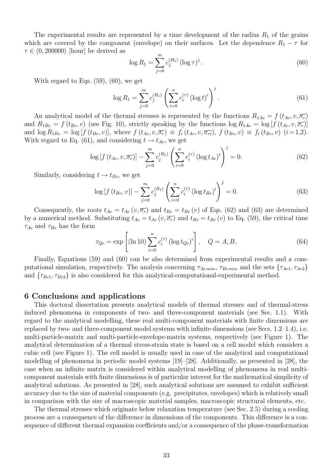The experimental results are represented by a time development of the radius  $R_1$  of the grains which are covered by the component (envelope) on their surfaces. Let the dependence  $R_1 - \tau$  for  $\tau \in \langle 0, 200000 \rangle$  [hour] be derived as

$$
\log R_1 = \sum_{j=0}^{m} c_j^{(R_1)} (\log \tau)^j.
$$
 (60)

With regard to Eqs. (59), (60), we get

$$
\log R_1 = \sum_{j=0}^{m} c_j^{(R_1)} \left( \sum_{i=0}^{n} c_i^{(\tau)} \left( \log t \right)^i \right)^j.
$$
\n(61)

An analytical model of the thermal stresses is represented by the functions  $R_{1Ac} = f(t_{Ac}, v, \overline{\sigma_r})$ and  $R_{1Bc} = f(t_{Bc}, v)$  (see Fig. 10), strictly speaking by the functions  $\log R_{1Ac} = \log [f(t_{Ac}, v, \overline{\sigma_r})]$ and  $\log R_{1Bc} = \log [f(t_{Bc}, v)]$ , where  $f(t_{Ac}, v, \overline{\sigma_r}) \equiv f_i(t_{Ac}, v, \overline{\sigma_{ri}})$ ,  $f(t_{Bc}, v) \equiv f_i(t_{Bc}, v)$   $(i = 1, 2)$ . With regard to Eq. (61), and considering  $t \rightarrow t_{Ac}$ , we get

$$
\log [f(t_{Ac}, v, \overline{\sigma_r})] - \sum_{j=0}^{m} c_j^{(R_1)} \left( \sum_{i=0}^{n} c_i^{(\tau)} (\log t_{Ac})^i \right)^j = 0.
$$
 (62)

Similarly, considering  $t \rightarrow t_{Be}$ , we get

$$
\log\left[f\left(t_{Bc}, v\right)\right] - \sum_{j=0}^{m} c_j^{(R_1)} \left(\sum_{i=0}^{n} c_i^{(\tau)} \left(\log t_{Bc}\right)^i\right)^j = 0. \tag{63}
$$

Consequently, the roots  $t_{Ac} = t_{Ac} (v, \overline{\sigma_r})$  and  $t_{Bc} = t_{Bc} (v)$  of Eqs. (62) and (63) are determined by a numerical method. Substituting  $t_{Ac} = t_{Ac} (v, \overline{\sigma_r})$  and  $t_{Bc} = t_{Bc} (v)$  to Eq. (59), the critical time  $\tau_{Ac}$  and  $\tau_{Bc}$  has the form

$$
\tau_{Qc} = \exp\left[ (\ln 10) \sum_{i=0}^{n} c_i^{(\tau)} (\log t_{Qc})^i \right], \quad Q = A, B. \tag{64}
$$

Finally, Equations (59) and (60) can be also determined from experimental results and a computational simulation, respectively. The analysis concerning  $\tau_{Ac min}$ ,  $\tau_{Bc min}$  and the sets  $\{\tau_{Ac1}, \tau_{Ac2}\}$ and  $\{\tau_{Bc1}, \tau_{Bc2}\}\$  is also considered for this analytical-computational-experimental method.

## 6 Conclusions and applications

This doctoral dissertation presents analytical models of thermal stresses and of thermal-stress induced phenomena in components of two- and three-component materials (see Sec. 1.1). With regard to the analytical modelling, these real multi-component materials with finite dimensions are replaced by two- and three-component model systems with infinite dimensions (see Secs. 1.2–1.4), i.e. multi-particle-matrix and multi-particle-envelope-matrix systems, respectively (see Figure 1). The analytical determination of a thermal stress-strain state is based on a cell model which considers a cubic cell (see Figure 1). The cell model is usually used in case of the analytical and computational modelling of phenomena in periodic model systems [19]–[28]. Additionally, as presented in [28], the case when an infinite matrix is considered within analytical modelling of phenomena in real multicomponent materials with finite dimensions is of particular interest for the mathematical simplicity of analytical solutions. As presented in [28], such analytical solutions are assumed to exhibit sufficient accuracy due to the size of material components (e.g. precipitates, envelopes) which is relatively small in comparison with the size of macroscopic material samples, macroscopic structural elements, etc.

The thermal stresses which originate below relaxation temperature (see Sec. 2.5) during a cooling process are a consequence of the difference in dimensions of the components. This difference is a consequence of different thermal expansion coefficients and/or a consequence of the phase-transformation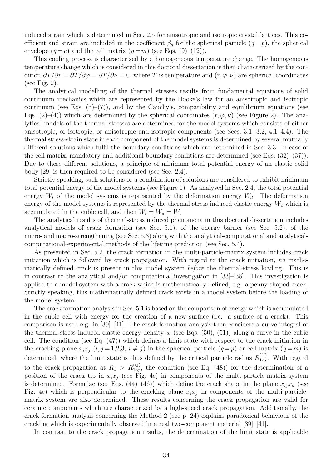induced strain which is determined in Sec. 2.5 for anisotropic and isotropic crystal lattices. This coefficient and strain are included in the coefficient  $\beta_q$  for the spherical particle  $(q = p)$ , the spherical envelope  $(q = e)$  and the cell matrix  $(q = m)$  (see Eqs. (9)–(12)).

This cooling process is characterized by a homogeneous temperature change. The homogeneous temperature change which is considered in this doctoral dissertation is then characterized by the condition  $\frac{\partial T}{\partial r} = \frac{\partial T}{\partial \varphi} = \frac{\partial T}{\partial v} = 0$ , where T is temperature and  $(r, \varphi, \nu)$  are spherical coordinates (see Fig. 2).

The analytical modelling of the thermal stresses results from fundamental equations of solid continuum mechanics which are represented by the Hooke's law for an anisotropic and isotropic continuum (see Eqs.  $(5)-(7)$ ), and by the Cauchy's, compatibility and equilibrium equations (see Eqs. (2)–(4)) which are determined by the spherical coordinates  $(r, \varphi, \nu)$  (see Figure 2). The analytical models of the thermal stresses are determined for the model systems which consists of either anisotropic, or isotropic, or anisotropic and isotropic components (see Secs. 3.1, 3.2, 4.1–4.4). The thermal stress-strain state in each component of the model systems is determined by several mutually different solutions which fulfil the boundary conditions which are determined in Sec. 3.3. In case of the cell matrix, mandatory and additional boundary conditions are determined (see Eqs.  $(32)$ – $(37)$ ). Due to these different solutions, a principle of minimum total potential energy of an elastic solid body [29] is then required to be considered (see Sec. 2.4).

Strictly speaking, such solutions or a combination of solutions are considered to exhibit minimum total potential energy of the model systems (see Figure 1). As analysed in Sec. 2.4, the total potential energy  $W_t$  of the model systems is represented by the deformation energy  $W_d$ . The deformation energy of the model systems is represented by the thermal-stress induced elastic energy  $W_c$  which is accumulated in the cubic cell, and then  $W_t = W_d = W_c$ 

The analytical results of thermal-stress induced phenomena in this doctoral dissertation includes analytical models of crack formation (see Sec. 5.1), of the energy barrier (see Sec. 5.2), of the micro- and macro-strengthening (see Sec. 5.3) along with the analytical-computational and analyticalcomputational-experimental methods of the lifetime prediction (see Sec. 5.4).

As presented in Sec. 5.2, the crack formation in the multi-particle-matrix system includes crack initiation which is followed by crack propagation. With regard to the crack initiation, no mathematically defined crack is present in this model system before the thermal-stress loading. This is in contrast to the analytical and/or computational investigation in [33]–[38]. This investigation is applied to a model system with a crack which is mathematically defined, e.g. a penny-shaped crack. Strictly speaking, this mathematically defined crack exists in a model system before the loading of the model system.

The crack formation analysis in Sec. 5.1 is based on the comparison of energy which is accumulated in the cubic cell with energy for the creation of a new surface (i.e. a surface of a crack). This comparison is used e.g. in [39]–[41]. The crack formation analysis then considers a curve integral of the thermal-stress induced elastic energy density w (see Eqs.  $(50)$ ,  $(51)$ ) along a curve in the cubic cell. The condition (see Eq. (47)) which defines a limit state with respect to the crack initiation in the cracking plane  $x_ix_j$   $(i, j = 1,2,3; i \neq j)$  in the spherical particle  $(q = p)$  or cell matrix  $(q = m)$  is determined, where the limit state is thus defined by the critical particle radius  $R_{1cq}^{(ij)}$ . With regard to the crack propagation at  $R_1 > R_{1cq}^{(ij)}$ , the condition (see Eq. (48)) for the determination of a position of the crack tip in  $x_ix_j$  (see Fig. 4c) in components of the multi-particle-matrix system is determined. Formulae (see Eqs.  $(44)$ – $(46)$ ) which define the crack shape in the plane  $x_{ij}x_k$  (see Fig. 4c) which is perpendicular to the cracking plane  $x_i x_j$  in components of the multi-particlematrix system are also determined. These results concerning the crack propagation are valid for ceramic components which are characterized by a high-speed crack propagation. Additionally, the crack formation analysis concerning the Method 2 (see p. 24) explains paradoxical behaviour of the cracking which is experimentally observed in a real two-component material [39]–[41].

In contrast to the crack propagation results, the determination of the limit state is applicable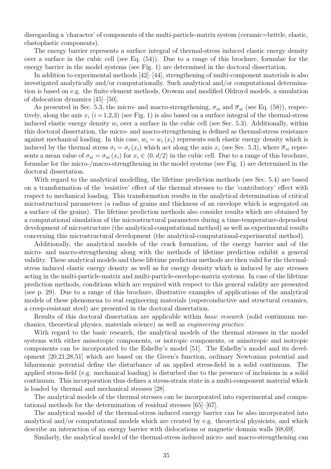disregarding a 'character' of components of the multi-particle-matrix system (ceramic=brittle, elastic, elastoplastic components).

The energy barrier represents a surface integral of thermal-stress induced elastic energy density over a surface in the cubic cell (see Eq. (54)). Due to a range of this brochure, formulae for the energy barrier in the model systems (see Fig. 1) are determined in the doctoral dissertation.

In addition to experimental methods [42]–[44], strengthening of multi-component materials is also investigated analytically and/or computationally. Such analytical and/or computational determination is based on e.g. the finite element methods, Orowan and modified Oldroyd models, a simulation of dislocation dynamics [45]–[50].

As presented in Sec. 5.3, the micro- and macro-strengthening,  $\sigma_{si}$  and  $\overline{\sigma}_{si}$  (see Eq. (58)), respectively, along the axis  $x_i$   $(i = 1,2,3)$  (see Fig. 1) is also based on a surface integral of the thermal-stress induced elastic energy density  $w_i$  over a surface in the cubic cell (see Sec. 5.3). Additionally, within this doctoral dissertation, the micro- and macro-strengthening is defined as thermal-stress resistance against mechanical loading. In this case,  $w_i = w_i(x_i)$  represents such elastic energy density which is induced by the thermal stress  $\sigma_i = \sigma_i(x_i)$  which act along the axis  $x_i$  (see Sec. 5.3), where  $\overline{\sigma}_{si}$  represents a mean value of  $\sigma_{si} = \sigma_{si}(x_i)$  for  $x_i \in (0, d/2)$  in the cubic cell. Due to a range of this brochure, formulae for the micro-/macro-strengthening in the model systems (see Fig. 1) are determined in the doctoral dissertation.

With regard to the analytical modelling, the lifetime prediction methods (see Sec. 5.4) are based on a transformation of the 'resistive' effect of the thermal stresses to the 'contributory' effect with respect to mechanical loading. This transformation results in the analytical determination of critical microstructural parameters (a radius of grains and thickness of an envelope which is segregated on a surface of the grains). The lifetime prediction methods also consider results which are obtained by a computational simulation of the microstructural parameters during a time-temperature-dependent development of microstructure (the analytical-computational method) as well as experimental results concerning this microstructural development (the analytical-computational-experimental method).

Additionally, the analytical models of the crack formation, of the energy barrier and of the micro- and macro-strengthening along with the methods of lifetime prediction exhibit a general validity. These analytical models and these lifetime prediction methods are then valid for the thermalstress induced elastic energy density as well as for energy density which is induced by any stresses acting in the multi-particle-matrix and multi-particle-envelope-matrix systems. In case of the lifetime prediction methods, conditions which are required with respect to this general validity are presented (see p. 29). Due to a range of this brochure, illustrative examples of applications of the analytical models of these phenomena to real engineering materials (superconductive and structural ceramics, a creep-resistant steel) are presented in the doctoral dissertation.

Results of this doctoral dissertation are applicable within *basic research* (solid continuum mechanics, theoretical physics, materials science) as well as engineering practice.

With regard to the basic research, the analytical models of the thermal stresses in the model systems with either anisotropic components, or isotropic components, or anisotropic and isotropic components can be incorporated to the Eshelby's model [51]. The Eshelby's model and its development [20,21,28,51] which are based on the Green's function, ordinary Newtonian potential and biharmonic potential define the disturbance of an applied stress-field in a solid continuum. The applied stress-field (e.g. mechanical loading) is disturbed due to the presence of inclusions in a solid continuum. This incorporation thus defines a stress-strain state in a multi-component material which is loaded by thermal and mechanical stresses [28].

The analytical models of the thermal stresses can be incorporated into experimental and computational methods for the determination of residual stresses [65]–[67].

The analytical model of the thermal-stress induced energy barrier can be also incorporated into analytical and/or computational models which are created by e.g. theoretical physicists, and which describe an interaction of an energy barrier with dislocations or magnetic domain walls [68,69].

Similarly, the analytical model of the thermal-stress induced micro- and macro-strengthening can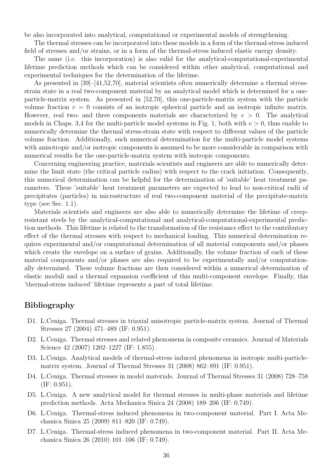be also incorporated into analytical, computational or experimental models of strengthening.

The thermal stresses can be incorporated into these models in a form of the thermal-stress induced field of stresses and/or strains, or in a form of the thermal-stress induced elastic energy density.

The same (i.e. this incorporation) is also valid for the analytical-computational-experimental lifetime prediction methods which can be considered within other analytical, computational and experimental techniques for the determination of the lifetime.

As presented in [39]–[41,52,70], material scientists often numerically determine a thermal stressstrain state in a real two-component material by an analytical model which is determined for a oneparticle-matrix system. As presented in [52,70], this one-particle-matrix system with the particle volume fraction  $v = 0$  consists of an isotropic spherical particle and an isotropic infinite matrix. However, real two- and three components materials are characterized by  $v > 0$ . The analytical models in Chaps. 3,4 for the multi-particle model systems in Fig. 1, both with  $v > 0$ , thus enable to numerically determine the thermal stress-strain state with respect to different values of the particle volume fraction. Additionally, such numerical determination for the multi-particle model systems with anisotropic and/or isotropic components is assumed to be more considerable in comparison with numerical results for the one-particle-matrix system with isotropic components.

Concerning engineering practice, materials scientists and engineers are able to numerically determine the limit state (the critical particle radius) with respect to the crack initiation. Consequently, this numerical determination can be helpful for the determination of 'suitable' heat treatment parameters. These 'suitable' heat treatment parameters are expected to lead to non-critical radii of precipitates (particles) in microstructure of real two-component material of the precipitate-matrix type (see Sec.  $1.1$ ).

Materials scientists and engineers are also able to numerically determine the lifetime of creepresistant steels by the analytical-computational and analytical-computational-experimental prediction methods. This lifetime is related to the transformation of the resistance effect to the contributory effect of the thermal stresses with respect to mechanical loading. This numerical determination requires experimental and/or computational determination of all material components and/or phases which create the envelope on a surface of grains. Additionally, the volume fraction of each of these material components and/or phases are also required to be experimentally and/or computationally determined. These volume fractions are then considered within a numerical determination of elastic moduli and a thermal expansion coefficient of this multi-component envelope. Finally, this 'thermal-stress induced' lifetime represents a part of total lifetime.

## Bibliography

- D1. L.Ceniga. Thermal stresses in triaxial anisotropic particle-matrix system. Journal of Thermal Stresses 27 (2004) 471–489 (IF: 0.951).
- D2. L.Ceniga. Thermal stresses and related phenomena in composite ceramics. Journal of Materials Science 42 (2007) 1202–1227 (IF: 1.855).
- D3. L.Ceniga. Analytical models of thermal-stress induced phenomena in isotropic multi-particlematrix system. Journal of Thermal Stresses 31 (2008) 862–891 (IF: 0.951).
- D4. L.Ceniga. Thermal stresses in model materials. Journal of Thermal Stresses 31 (2008) 728–758 (IF: 0.951).
- D5. L.Ceniga. A new analytical model for thermal stresses in multi-phase materials and lifetime prediction methods. Acta Mechanica Sinica 24 (2008) 189–206 (IF: 0.749).
- D6. L.Ceniga. Thermal-stress induced phenomena in two-component material. Part I. Acta Mechanica Sinica 25 (2009) 811–820 (IF: 0.749).
- D7. L.Ceniga. Thermal-stress induced phenomena in two-component material. Part II. Acta Mechanica Sinica 26 (2010) 101–106 (IF: 0.749).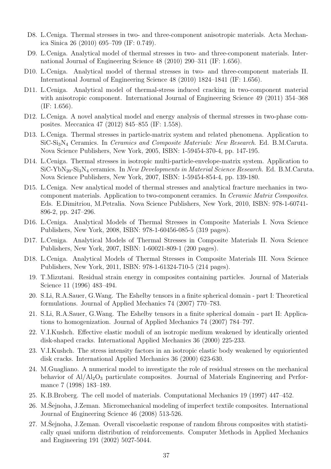- D8. L.Ceniga. Thermal stresses in two- and three-component anisotropic materials. Acta Mechanica Sinica 26 (2010) 695–709 (IF: 0.749).
- D9. L.Ceniga. Analytical model of thermal stresses in two- and three-component materials. International Journal of Engineering Science 48 (2010) 290–311 (IF: 1.656).
- D10. L.Ceniga. Analytical model of thermal stresses in two- and three-component materials II. International Journal of Engineering Science 48 (2010) 1824–1841 (IF: 1.656).
- D11. L.Ceniga. Analytical model of thermal-stress induced cracking in two-component material with anisotropic component. International Journal of Engineering Science 49 (2011) 354–368 (IF: 1.656).
- D12. L.Ceniga. A novel analytical model and energy analysis of thermal stresses in two-phase composites. Meccanica 47 (2012) 845–855 (IF: 1.558).
- D13. L.Ceniga. Thermal stresses in particle-matrix system and related phenomena. Application to SiC-Si3N<sup>4</sup> Ceramics. In Ceramics and Composite Materials: New Research. Ed. B.M.Caruta. Nova Science Publishers, New York, 2005, ISBN: 1-59454-370-4, pp. 147-195.
- D14. L.Ceniga. Thermal stresses in isotropic multi-particle-envelope-matrix system. Application to  $SiC-YbN_{20}-Si<sub>3</sub>N<sub>4</sub>$  ceramics. In New Developments in Material Science Research. Ed. B.M.Caruta. Nova Science Publishers, New York, 2007, ISBN: 1-59454-854-4, pp. 139-180.
- D15. L.Ceniga. New analytical model of thermal stresses and analytical fracture mechanics in twocomponent materials. Application to two-component ceramics. In Ceramic Matrix Composites. Eds. E.Dimitriou, M.Petralia. Nova Science Publishers, New York, 2010, ISBN: 978-1-60741- 896-2, pp. 247–296.
- D16. L.Ceniga. Analytical Models of Thermal Stresses in Composite Materials I. Nova Science Publishers, New York, 2008, ISBN: 978-1-60456-085-5 (319 pages).
- D17. L.Ceniga. Analytical Models of Thermal Stresses in Composite Materials II. Nova Science Publishers, New York, 2007, ISBN: 1-60021-809-1 (200 pages).
- D18. L.Ceniga. Analytical Models of Thermal Stresses in Composite Materials III. Nova Science Publishers, New York, 2011, ISBN: 978-1-61324-710-5 (214 pages).
	- 19. T.Mizutani. Residual strain energy in composites containing particles. Journal of Materials Science 11 (1996) 483–494.
	- 20. S.Li, R.A.Sauer, G.Wang. The Eshelby tensors in a finite spherical domain part I: Theoretical formulations. Journal of Applied Mechanics 74 (2007) 770–783.
	- 21. S.Li, R.A.Sauer, G.Wang. The Eshelby tensors in a finite spherical domain part II: Applications to homogenization. Journal of Applied Mechanics 74 (2007) 784–797.
	- 22. V.I.Kushch. Effective elastic moduli of an isotropic medium weakened by identically oriented disk-shaped cracks. International Applied Mechanics 36 (2000) 225-233.
	- 23. V.I.Kushch. The stress intensity factors in an isotropic elastic body weakened by equioriented disk cracks. International Applied Mechanics 36 (2000) 623-630.
	- 24. M.Guagliano. A numerical model to investigate the role of residual stresses on the mechanical behavior of  $A/Al_2O_3$  particulate composites. Journal of Materials Engineering and Performance 7 (1998) 183–189.
	- 25. K.B.Broberg. The cell model of materials. Computational Mechanics 19 (1997) 447–452.
	- 26. M.Sejnoha, J.Zeman. Micromechanical modeling of imperfect textile composites. International Journal of Engineering Science 46 (2008) 513-526.
	- 27. M.Sejnoha, J.Zeman. Overall viscoelastic response of random fibrous composites with statistically quasi uniform distribution of reinforcements. Computer Methods in Applied Mechanics and Engineering 191 (2002) 5027-5044.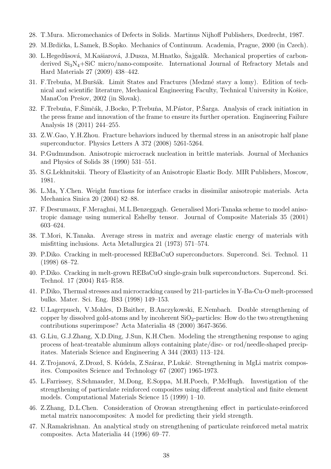- 28. T.Mura. Micromechanics of Defects in Solids. Martinus Nijhoff Publishers, Dordrecht, 1987.
- 29. M.Brdička, L.Samek, B.Sopko. Mechanics of Continuum. Academia, Prague, 2000 (in Czech).
- 30. L.Hegedűsová, M.Kašiarová, J.Dusza, M.Hnatko, Sajgalík. Mechanical properties of carbonderived Si3N4+SiC micro/nano-composite. International Journal of Refractory Metals and Hard Materials 27 (2009) 438–442.
- 31. F.Trebuňa, M.Buršák. Limit States and Fractures (Medzné stavy a lomy). Edition of technical and scientific literature, Mechanical Engineering Faculty, Technical University in Košice, ManaCon Prešov, 2002 (in Slovak).
- 32. F.Trebuňa, F.Šimčák, J.Bocko, P.Trebuňa, M.Pástor, P.Šarga. Analysis of crack initiation in the press frame and innovation of the frame to ensure its further operation. Engineering Failure Analysis 18 (2011) 244–255.
- 33. Z.W.Gao, Y.H.Zhou. Fracture behaviors induced by thermal stress in an anisotropic half plane superconductor. Physics Letters A 372 (2008) 5261-5264.
- 34. P.Gudmundson. Anisotropic microcrack nucleation in brittle materials. Journal of Mechanics and Physics of Solids 38 (1990) 531–551.
- 35. S.G.Lekhnitskii. Theory of Elasticity of an Anisotropic Elastic Body. MIR Publishers, Moscow, 1981.
- 36. L.Ma, Y.Chen. Weight functions for interface cracks in dissimilar anisotropic materials. Acta Mechanica Sinica 20 (2004) 82–88.
- 37. F.Desrumaux, F.Meraghni, M.L.Benzeggagh. Generalised Mori-Tanaka scheme to model anisotropic damage using numerical Eshelby tensor. Journal of Composite Materials 35 (2001) 603–624.
- 38. T.Mori, K.Tanaka. Average stress in matrix and average elastic energy of materials with misfitting inclusions. Acta Metallurgica 21 (1973) 571–574.
- 39. P.Diko. Cracking in melt-processed REBaCuO superconductors. Supercond. Sci. Technol. 11 (1998) 68–72.
- 40. P.Diko. Cracking in melt-grown REBaCuO single-grain bulk superconductors. Supercond. Sci. Technol. 17 (2004) R45–R58.
- 41. P.Diko, Thermal stresses and microcracking caused by 211-particles in Y-Ba-Cu-O melt-processed bulks. Mater. Sci. Eng. B83 (1998) 149–153.
- 42. U.Lagerpusch, V.Mohles, D.Baither, B.Anczykowski, E.Nembach. Double strengthening of copper by dissolved gold-atoms and by incoherent  $SiO<sub>2</sub>$ -particles: How do the two strengthening contributions superimpose? Acta Materialia 48 (2000) 3647-3656.
- 43. G.Liu, G.J.Zhang, X.D.Ding, J.Sun, K.H.Chen. Modeling the strengthening response to aging process of heat-treatable aluminum alloys containing plate/disc- or rod/needle-shaped precipitates. Materials Science and Engineering A 344 (2003) 113–124.
- 44. Z.Trojanová, Z.Drozd, S. Kúdela, Z.Száraz, P.Lukáč. Strengthening in MgLi matrix composites. Composites Science and Technology 67 (2007) 1965-1973.
- 45. L.Farrissey, S.Schmauder, M.Dong, E.Soppa, M.H.Poech, P.McHugh. Investigation of the strengthening of particulate reinforced composites using different analytical and finite element models. Computational Materials Science 15 (1999) 1–10.
- 46. Z.Zhang, D.L.Chen. Consideration of Orowan strengthening effect in particulate-reinforced metal matrix nanocomposites: A model for predicting their yield strength.
- 47. N.Ramakrishnan. An analytical study on strengthening of particulate reinforced metal matrix composites. Acta Materialia 44 (1996) 69–77.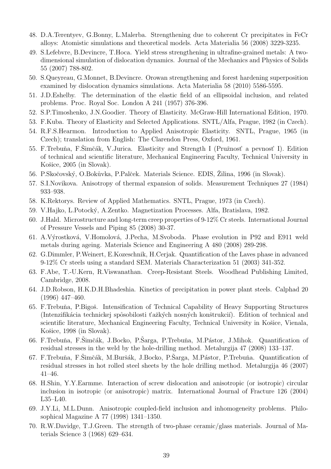- 48. D.A.Terentyev, G.Bonny, L.Malerba. Strengthening due to coherent Cr precipitates in FeCr alloys: Atomistic simulations and theoretical models. Acta Materialia 56 (2008) 3229-3235.
- 49. S.Lefebvre, B.Devincre, T.Hoca. Yield stress strengthening in ultrafine-grained metals: A twodimensional simulation of dislocation dynamics. Journal of the Mechanics and Physics of Solids 55 (2007) 788-802.
- 50. S.Queyreau, G.Monnet, B.Devincre. Orowan strengthening and forest hardening superposition examined by dislocation dynamics simulations. Acta Materialia 58 (2010) 5586-5595.
- 51. J.D.Eshelby. The determination of the elastic field of an ellipsoidal inclusion, and related problems. Proc. Royal Soc. London A 241 (1957) 376-396.
- 52. S.P.Timoshenko, J.N.Goodier. Theory of Elasticity. McGraw-Hill International Edition, 1970.
- 53. F.Kuba. Theory of Elasticity and Selected Applications. SNTL/Alfa, Prague, 1982 (in Czech).
- 54. R.F.S.Hearmon. Introduction to Applied Anisotropic Elasticity. SNTL, Prague, 1965 (in Czech); translation from English: The Clarendon Press, Oxford, 1961.
- 55. F.Trebuňa, F.Simčák, V.Jurica. Elasticity and Strength I (Pružnosť a pevnosť I). Edition of technical and scientific literature, Mechanical Engineering Faculty, Technical University in Košice, 2005 (in Slovak).
- 56. P.Skočovský, O.Bokůvka, P.Palček. Materials Science. EDIS, Žilina, 1996 (in Slovak).
- 57. S.I.Novikova. Anisotropy of thermal expansion of solids. Measurement Techniques 27 (1984) 933–938.
- 58. K.Rektorys. Review of Applied Mathematics. SNTL, Prague, 1973 (in Czech).
- 59. V.Hajko, L.Potock´y, A.Zentko. Magnetization Processes. Alfa, Bratislava, 1982.
- 60. J.Hald. Microstructure and long-term creep properties of 9-12% Cr steels. International Journal of Pressure Vessels and Piping 85 (2008) 30-37.
- 61. A.Výrostková, V.Homolová, J.Pecha, M.Svoboda. Phase evolution in P92 and E911 weld metals during ageing. Materials Science and Engineering A 480 (2008) 289-298.
- 62. G.Dimmler, P.Weinert, E.Kozeschnik, H.Cerjak. Quantification of the Laves phase in advanced 9-12% Cr steels using a standard SEM. Materials Characterization 51 (2003) 341-352.
- 63. F.Abe, T.-U.Kern, R.Viswanathan. Creep-Resistant Steels. Woodhead Publishing Limited, Cambridge, 2008.
- 64. J.D.Robson, H.K.D.H.Bhadeshia. Kinetics of precipitation in power plant steels. Calphad 20 (1996) 447–460.
- 65. F. Trebuňa, P. Bigoš. Intensification of Technical Capability of Heavy Supporting Structures (Intenzifikácia technickej spôsobilosti ťažkých nosných konštrukcií). Edition of technical and scientific literature, Mechanical Engineering Faculty, Technical University in Košice, Vienala, Košice, 1998 (in Slovak).
- 66. F.Trebuňa, F.Šimčák, J.Bocko, P.Šarga, P.Trebuňa, M.Pástor, J.Mihok. Quantification of residual stresses in the weld by the hole-drilling method. Metalurgija 47 (2008) 133–137.
- 67. F.Trebuňa, F.Simčák, M.Buršák, J.Bocko, P.Sarga, M.Pástor, P.Trebuňa. Quantification of residual stresses in hot rolled steel sheets by the hole drilling method. Metalurgija 46 (2007) 41–46.
- 68. H.Shin, Y.Y.Earmme. Interaction of screw dislocation and anisotropic (or isotropic) circular inclusion in isotropic (or anisotropic) matrix. International Journal of Fracture 126 (2004) L35–L40.
- 69. J.Y.Li, M.L.Dunn. Anisotropic coupled-field inclusion and inhomogeneity problems. Philosophical Magazine A 77 (1998) 1341–1350.
- 70. R.W.Davidge, T.J.Green. The strength of two-phase ceramic/glass materials. Journal of Materials Science 3 (1968) 629–634.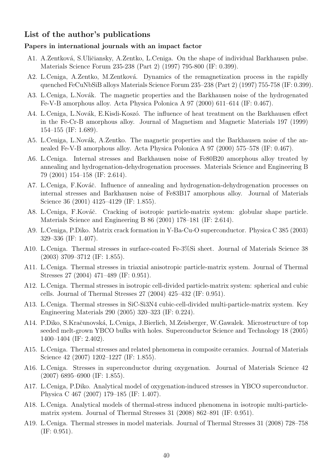## List of the author's publications

#### Papers in international journals with an impact factor

- A1. A.Zentková, S.Uličiansky, A.Zentko, L.Ceniga. On the shape of individual Barkhausen pulse. Materials Science Forum 235-238 (Part 2) (1997) 795-800 (IF: 0.399).
- A2. L.Ceniga, A.Zentko, M.Zentková. Dynamics of the remagnetization process in the rapidly quenched FeCuNbSiB alloys Materials Science Forum 235–238 (Part 2) (1997) 755-758 (IF: 0.399).
- A3. L.Ceniga, L.Novák. The magnetic properties and the Barkhausen noise of the hydrogenated Fe-V-B amorphous alloy. Acta Physica Polonica A 97 (2000) 611–614 (IF: 0.467).
- A4. L.Ceniga, L.Novák, E.Kisdi-Koszó. The influence of heat treatment on the Barkhausen effect in the Fe-Cr-B amorphous alloy. Journal of Magnetism and Magnetic Materials 197 (1999) 154–155 (IF: 1.689).
- A5. L.Ceniga, L.Novák, A.Zentko. The magnetic properties and the Barkhausen noise of the annealed Fe-V-B amorphous alloy. Acta Physica Polonica A 97 (2000) 575–578 (IF: 0.467).
- A6. L.Ceniga. Internal stresses and Barkhausen noise of Fe80B20 amorphous alloy treated by annealing and hydrogenation-dehydrogenation processes. Materials Science and Engineering B 79 (2001) 154–158 (IF: 2.614).
- A7. L.Ceniga, F.Kováč. Influence of annealing and hydrogenation-dehydrogenation processes on internal stresses and Barkhausen noise of Fe83B17 amorphous alloy. Journal of Materials Science 36 (2001) 4125–4129 (IF: 1.855).
- A8. L.Ceniga, F.Kováč. Cracking of isotropic particle-matrix system: globular shape particle. Materials Science and Engineering B 86 (2001) 178–181 (IF: 2.614).
- A9. L.Ceniga, P.Diko. Matrix crack formation in Y-Ba-Cu-O superconductor. Physica C 385 (2003) 329–336 (IF: 1.407).
- A10. L.Ceniga. Thermal stresses in surface-coated Fe-3%Si sheet. Journal of Materials Science 38 (2003) 3709–3712 (IF: 1.855).
- A11. L.Ceniga. Thermal stresses in triaxial anisotropic particle-matrix system. Journal of Thermal Stresses 27 (2004) 471–489 (IF: 0.951).
- A12. L.Ceniga. Thermal stresses in isotropic cell-divided particle-matrix system: spherical and cubic cells. Journal of Thermal Stresses 27 (2004) 425–432 (IF: 0.951).
- A13. L.Ceniga. Thermal stresses in SiC-Si3N4 cubic-cell-divided multi-particle-matrix system. Key Engineering Materials 290 (2005) 320–323 (IF: 0.224).
- A14. P.Diko, S.Kračunovská, L.Ceniga, J.Bierlich, M.Zeisberger, W.Gawalek. Microstructure of top seeded melt-grown YBCO bulks with holes. Superconductor Science and Technology 18 (2005) 1400–1404 (IF: 2.402).
- A15. L.Ceniga. Thermal stresses and related phenomena in composite ceramics. Journal of Materials Science 42 (2007) 1202–1227 (IF: 1.855).
- A16. L.Ceniga. Stresses in superconductor during oxygenation. Journal of Materials Science 42 (2007) 6895–6900 (IF: 1.855).
- A17. L.Ceniga, P.Diko. Analytical model of oxygenation-induced stresses in YBCO superconductor. Physica C 467 (2007) 179–185 (IF: 1.407).
- A18. L.Ceniga. Analytical models of thermal-stress induced phenomena in isotropic multi-particlematrix system. Journal of Thermal Stresses 31 (2008) 862–891 (IF: 0.951).
- A19. L.Ceniga. Thermal stresses in model materials. Journal of Thermal Stresses 31 (2008) 728–758 (IF: 0.951).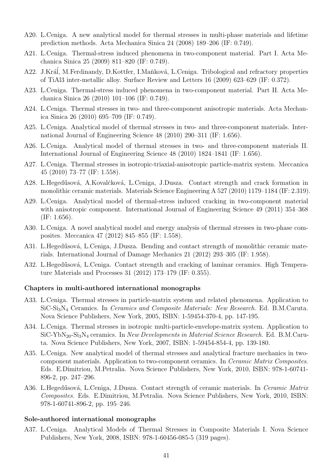- A20. L.Ceniga. A new analytical model for thermal stresses in multi-phase materials and lifetime prediction methods. Acta Mechanica Sinica 24 (2008) 189–206 (IF: 0.749).
- A21. L.Ceniga. Thermal-stress induced phenomena in two-component material. Part I. Acta Mechanica Sinica 25 (2009) 811–820 (IF: 0.749).
- A22. J.Král, M.Ferdinandy, D.Kottfer, I.Maňková, L.Ceniga. Tribological and refractory properties of TiAl3 inter-metallic alloy. Surface Review and Letters 16 (2009) 623–629 (IF: 0.372).
- A23. L.Ceniga. Thermal-stress induced phenomena in two-component material. Part II. Acta Mechanica Sinica 26 (2010) 101–106 (IF: 0.749).
- A24. L.Ceniga. Thermal stresses in two- and three-component anisotropic materials. Acta Mechanica Sinica 26 (2010) 695–709 (IF: 0.749).
- A25. L.Ceniga. Analytical model of thermal stresses in two- and three-component materials. International Journal of Engineering Science 48 (2010) 290–311 (IF: 1.656).
- A26. L.Ceniga. Analytical model of thermal stresses in two- and three-component materials II. International Journal of Engineering Science 48 (2010) 1824–1841 (IF: 1.656).
- A27. L.Ceniga. Thermal stresses in isotropic-triaxial-anisotropic particle-matrix system. Meccanica 45 (2010) 73–77 (IF: 1.558).
- A28. L.Hegedűsová, A.Kovalčková, L.Ceniga, J.Dusza. Contact strength and crack formation in monolithic ceramic materials. Materials Science Engineering A 527 (2010) 1179–1184 (IF: 2.319).
- A29. L.Ceniga. Analytical model of thermal-stress induced cracking in two-component material with anisotropic component. International Journal of Engineering Science 49 (2011) 354–368 (IF: 1.656).
- A30. L.Ceniga. A novel analytical model and energy analysis of thermal stresses in two-phase composites. Meccanica 47 (2012) 845–855 (IF: 1.558).
- A31. L.Hegedűsová, L.Ceniga, J.Dusza. Bending and contact strength of monolithic ceramic materials. International Journal of Damage Mechanics 21 (2012) 293–305 (IF: 1.958).
- A32. L.Hegedűsová, L.Ceniga. Contact strength and cracking of laminar ceramics. High Temperature Materials and Processes 31 (2012) 173–179 (IF: 0.355).

#### Chapters in multi-authored international monographs

- A33. L.Ceniga. Thermal stresses in particle-matrix system and related phenomena. Application to SiC-Si<sub>3</sub>N<sub>4</sub> Ceramics. In *Ceramics and Composite Materials: New Research*. Ed. B.M.Caruta. Nova Science Publishers, New York, 2005, ISBN: 1-59454-370-4, pp. 147-195.
- A34. L.Ceniga. Thermal stresses in isotropic multi-particle-envelope-matrix system. Application to  $SiC-YbN_{20}-Si<sub>3</sub>N<sub>4</sub>$  ceramics. In New Developments in Material Science Research. Ed. B.M.Caruta. Nova Science Publishers, New York, 2007, ISBN: 1-59454-854-4, pp. 139-180.
- A35. L.Ceniga. New analytical model of thermal stresses and analytical fracture mechanics in twocomponent materials. Application to two-component ceramics. In Ceramic Matrix Composites. Eds. E.Dimitriou, M.Petralia. Nova Science Publishers, New York, 2010, ISBN: 978-1-60741- 896-2, pp. 247–296.
- A36. L.Hegedűsová, L.Ceniga, J.Dusza. Contact strength of ceramic materials. In Ceramic Matrix Composites. Eds. E.Dimitriou, M.Petralia. Nova Science Publishers, New York, 2010, ISBN: 978-1-60741-896-2, pp. 195–246.

#### Sole-authored international monographs

A37. L.Ceniga. Analytical Models of Thermal Stresses in Composite Materials I. Nova Science Publishers, New York, 2008, ISBN: 978-1-60456-085-5 (319 pages).